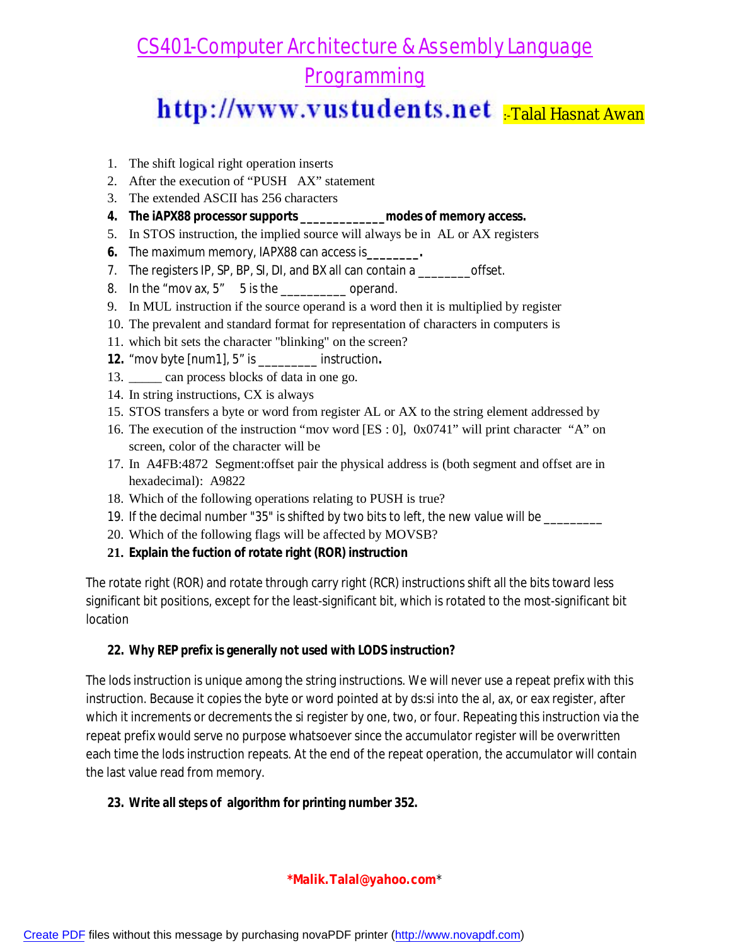## http://www.vustudents.net

- 1. The shift logical right operation inserts
- 2. After the execution of "PUSH AX" statement
- 3. The extended ASCII has 256 characters
- **4. The iAPX88 processor supports \_\_\_\_\_\_\_\_\_\_\_\_\_modes of memory access.**
- 5. In STOS instruction, the implied source will always be in AL or AX registers
- **6.** The maximum memory, IAPX88 can access is**\_\_\_\_\_\_\_\_.**
- 7. The registers IP, SP, BP, SI, DI, and BX all can contain a \_\_\_\_\_\_\_\_\_offset.
- 8. In the "mov ax,  $5"$  5 is the  $\frac{1}{2}$  operand.
- 9. In MUL instruction if the source operand is a word then it is multiplied by register
- 10. The prevalent and standard format for representation of characters in computers is
- 11. which bit sets the character "blinking" on the screen?
- *12.* "mov byte [num1], 5" is \_\_\_\_\_\_\_\_\_ instruction*.*
- 13. \_\_\_\_\_ can process blocks of data in one go.
- 14. In string instructions, CX is always
- 15. STOS transfers a byte or word from register AL or AX to the string element addressed by
- 16. The execution of the instruction "mov word [ES : 0], 0x0741" will print character "A" on screen, color of the character will be
- 17. In A4FB:4872 Segment:offset pair the physical address is (both segment and offset are in hexadecimal): A9822
- 18. Which of the following operations relating to PUSH is true?
- 19. If the decimal number "35" is shifted by two bits to left, the new value will be \_\_\_\_\_\_\_\_\_
- 20. Which of the following flags will be affected by MOVSB?
- **21. Explain the fuction of rotate right (ROR) instruction**

The rotate right (ROR) and rotate through carry right (RCR) instructions shift all the bits toward less significant bit positions, except for the least-significant bit, which is rotated to the most-significant bit location

### **22. Why REP prefix is generally not used with LODS instruction?**

The lods instruction is unique among the string instructions. We will never use a repeat prefix with this instruction. Because it copies the byte or word pointed at by ds:si into the al, ax, or eax register, after which it increments or decrements the si register by one, two, or four. Repeating this instruction via the repeat prefix would serve no purpose whatsoever since the accumulator register will be overwritten each time the lods instruction repeats. At the end of the repeat operation, the accumulator will contain the last value read from memory.

### **23. Write all steps of algorithm for printing number 352.**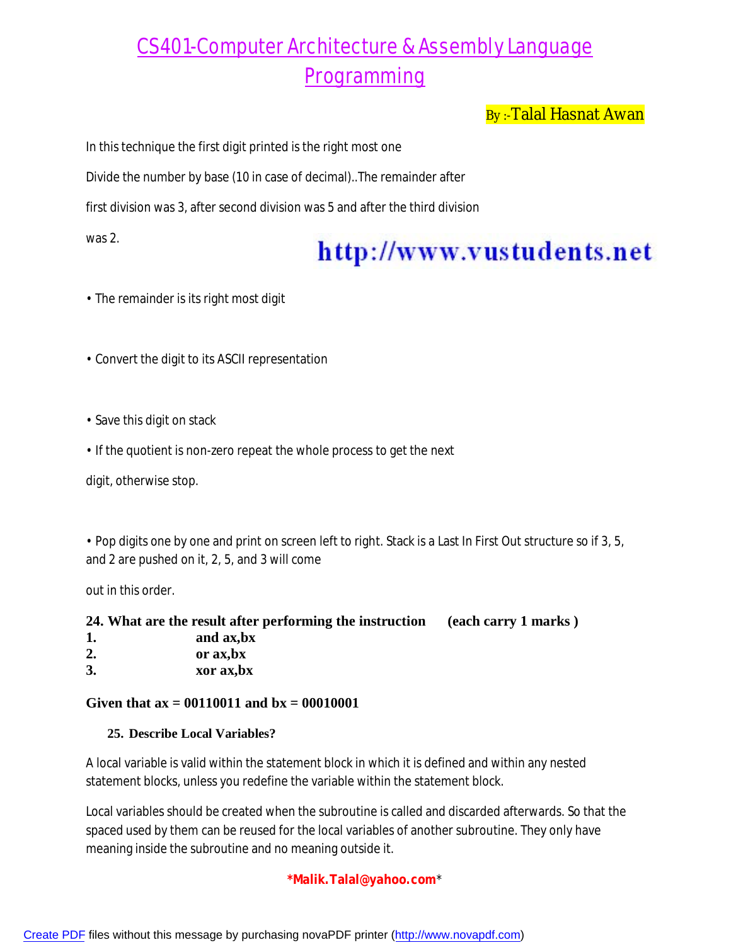By:-Talal Hasnat Awan

In this technique the first digit printed is the right most one

Divide the number by base (10 in case of decimal)..The remainder after

first division was 3, after second division was 5 and after the third division

was 2.

# http://www.vustudents.net

- The remainder is its right most digit
- Convert the digit to its ASCII representation
- Save this digit on stack
- If the quotient is non-zero repeat the whole process to get the next

digit, otherwise stop.

• Pop digits one by one and print on screen left to right. Stack is a Last In First Out structure so if 3, 5, and 2 are pushed on it, 2, 5, and 3 will come

out in this order.

|    | 24. What are the result after performing the instruction | (each carry 1 marks) |
|----|----------------------------------------------------------|----------------------|
|    | and ax, bx                                               |                      |
| 2. | or ax, bx                                                |                      |
| 3. | xor ax, bx                                               |                      |

### **Given that ax = 00110011 and bx = 00010001**

### **25. Describe Local Variables?**

A local variable is valid within the statement block in which it is defined and within any nested statement blocks, unless you redefine the variable within the statement block.

Local variables should be created when the subroutine is called and discarded afterwards. So that the spaced used by them can be reused for the local variables of another subroutine. They only have meaning inside the subroutine and no meaning outside it.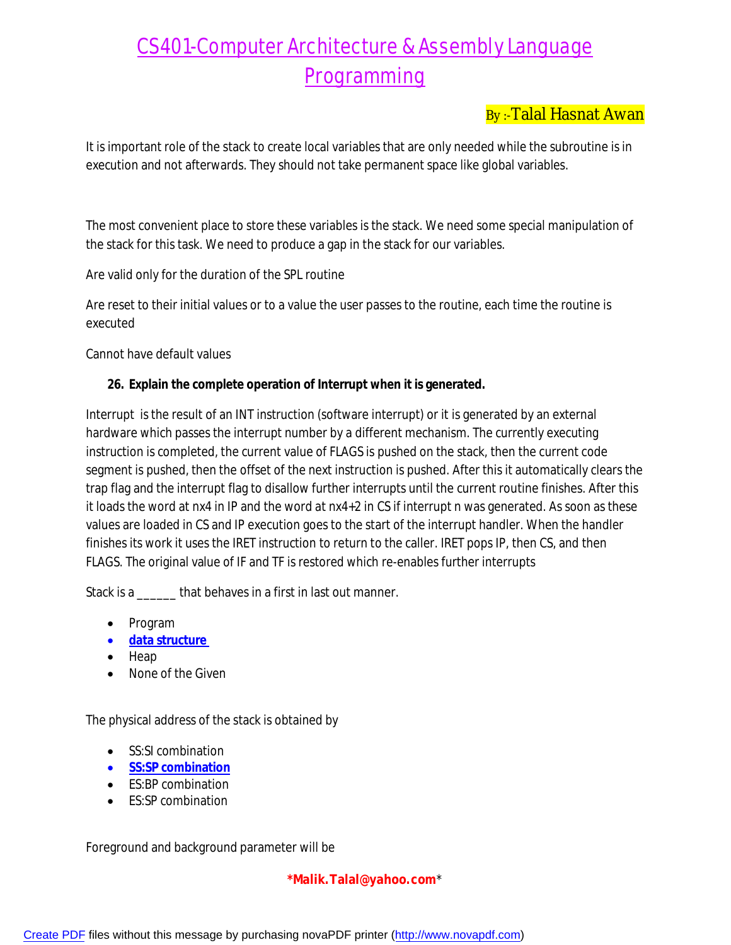### By :-Talal Hasnat Awan

It is important role of the stack to create local variables that are only needed while the subroutine is in execution and not afterwards. They should not take permanent space like global variables.

The most convenient place to store these variables is the stack. We need some special manipulation of the stack for this task. We need to produce a gap in the stack for our variables.

Are valid only for the duration of the SPL routine

Are reset to their initial values or to a value the user passes to the routine, each time the routine is executed

Cannot have default values

### **26. Explain the complete operation of Interrupt when it is generated.**

Interrupt is the result of an INT instruction (software interrupt) or it is generated by an external hardware which passes the interrupt number by a different mechanism. The currently executing instruction is completed, the current value of FLAGS is pushed on the stack, then the current code segment is pushed, then the offset of the next instruction is pushed. After this it automatically clears the trap flag and the interrupt flag to disallow further interrupts until the current routine finishes. After this it loads the word at nx4 in IP and the word at nx4+2 in CS if interrupt n was generated. As soon as these values are loaded in CS and IP execution goes to the start of the interrupt handler. When the handler finishes its work it uses the IRET instruction to return to the caller. IRET pops IP, then CS, and then FLAGS. The original value of IF and TF is restored which re-enables further interrupts

Stack is a \_\_\_\_\_\_ that behaves in a first in last out manner.

- Program
- **data structure**
- $\bullet$  Heap
- None of the Given

The physical address of the stack is obtained by

- SS:SI combination
- **SS:SP combination**
- ES:BP combination
- **ES:SP combination**

Foreground and background parameter will be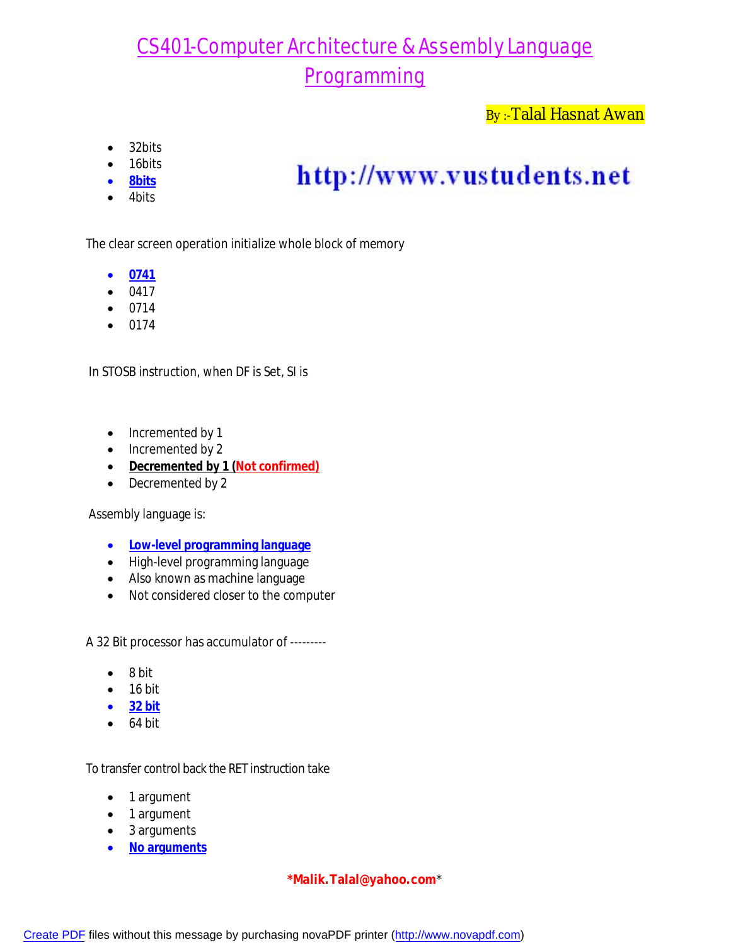### By:-Talal Hasnat Awan

- 32bits
- 16bits
- **8bits**
- 4bits

# http://www.vustudents.net

The clear screen operation initialize whole block of memory

- **0741**
- $-0417$
- $0714$
- $0174$

In STOSB instruction, when DF is Set, SI is

- Incremented by 1
- Incremented by 2
- **Decremented by 1 (Not confirmed)**
- Decremented by 2

Assembly language is:

- **Low-level programming language**
- High-level programming language
- Also known as machine language
- Not considered closer to the computer

A 32 Bit processor has accumulator of ---------

- $\bullet$  8 bit
- $\bullet$  16 bit
- **32 bit**
- $-64$  bit

To transfer control back the RET instruction take

- 1 argument
- 1 argument
- 3 arguments
- **No arguments**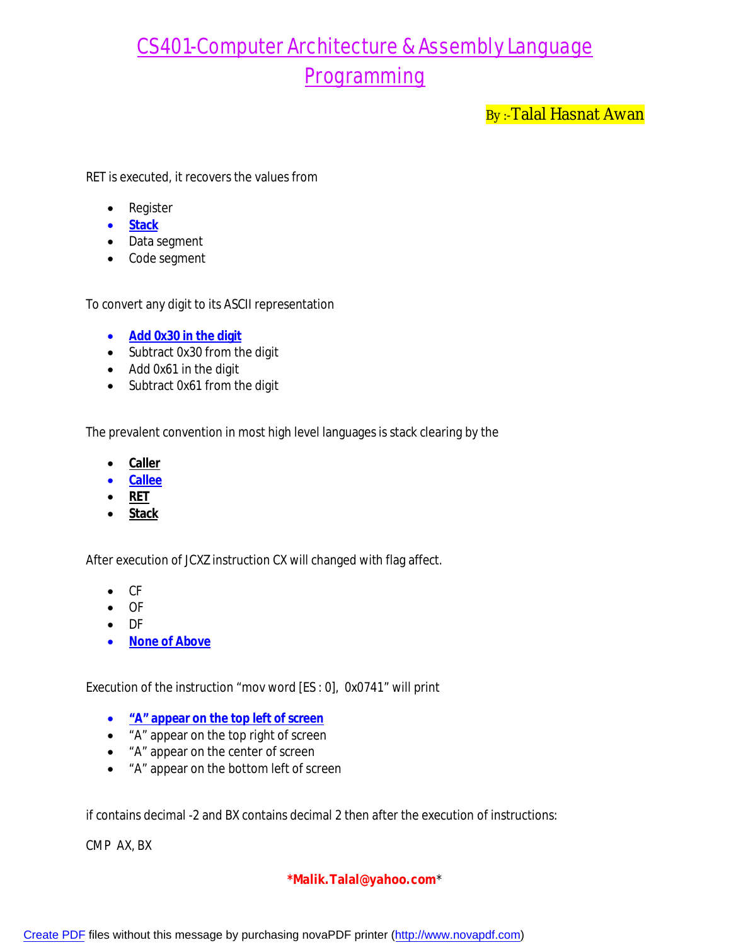By :-Talal Hasnat Awan

RET is executed, it recovers the values from

- Register
- **Stack**
- Data segment
- Code segment

To convert any digit to its ASCII representation

- **Add 0x30 in the digit**
- Subtract 0x30 from the digit
- Add 0x61 in the digit
- Subtract 0x61 from the digit

The prevalent convention in most high level languages is stack clearing by the

- **•** Caller
- **Callee**
- **RET**
- **Stack**

After execution of JCXZ instruction CX will changed with flag affect.

- CF
- OF
- DF
- **•** None of Above

Execution of the instruction "mov word [ES : 0], 0x0741" will print

- **"A" appear on the top left of screen**
- "A" appear on the top right of screen
- "A" appear on the center of screen
- "A" appear on the bottom left of screen

if contains decimal -2 and BX contains decimal 2 then after the execution of instructions:

CMP AX, BX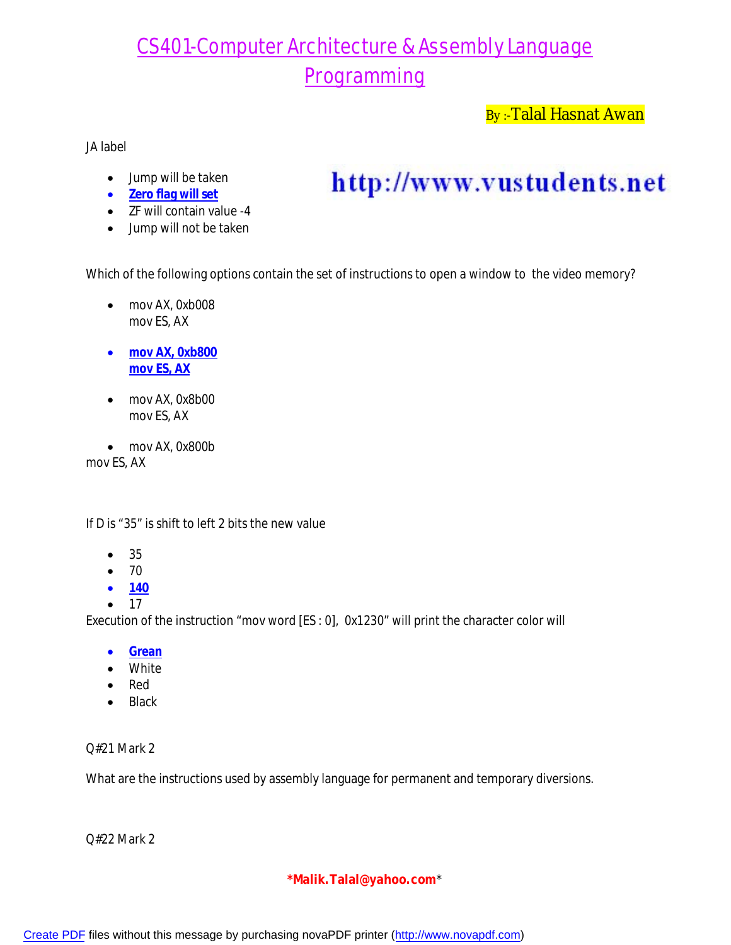By:-Talal Hasnat Awan

JA label

- Jump will be taken
- **Zero flag will set**
- **ZF will contain value -4**
- Jump will not be taken

http://www.vustudents.net

Which of the following options contain the set of instructions to open a window to the video memory?

- mov AX, 0xb008 mov ES, AX
- **mov AX, 0xb800 mov ES, AX**
- mov AX, 0x8b00 mov ES, AX
- mov AX, 0x800b

mov ES, AX

If D is "35" is shift to left 2 bits the new value

- 35
- 70
- **140**
- 17

Execution of the instruction "mov word [ES : 0], 0x1230" will print the character color will

- **Grean**
- White
- Red
- Black

Q#21 Mark 2

What are the instructions used by assembly language for permanent and temporary diversions.

Q#22 Mark 2

### **\*Malik.Talal@yahoo.com**\*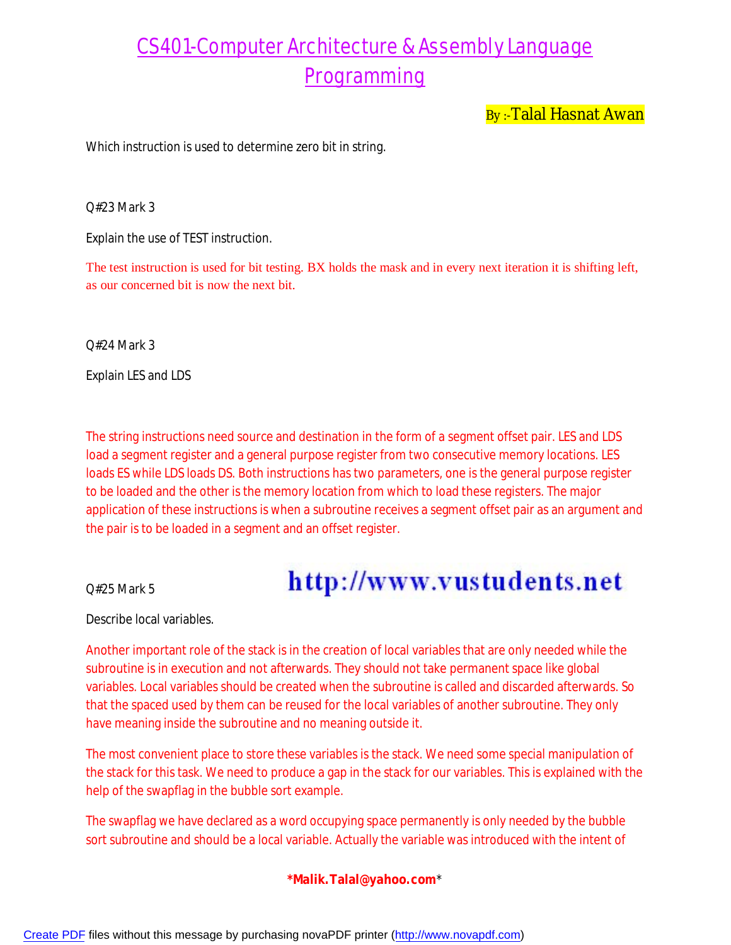By:-Talal Hasnat Awan

Which instruction is used to determine zero bit in string.

Q#23 Mark 3

Explain the use of TEST instruction.

The test instruction is used for bit testing. BX holds the mask and in every next iteration it is shifting left, as our concerned bit is now the next bit.

Q#24 Mark 3

Explain LES and LDS

The string instructions need source and destination in the form of a segment offset pair. LES and LDS load a segment register and a general purpose register from two consecutive memory locations. LES loads ES while LDS loads DS. Both instructions has two parameters, one is the general purpose register to be loaded and the other is the memory location from which to load these registers. The major application of these instructions is when a subroutine receives a segment offset pair as an argument and the pair is to be loaded in a segment and an offset register.

Q#25 Mark 5

## http://www.vustudents.net

Describe local variables.

Another important role of the stack is in the creation of local variables that are only needed while the subroutine is in execution and not afterwards. They should not take permanent space like global variables. Local variables should be created when the subroutine is called and discarded afterwards. So that the spaced used by them can be reused for the local variables of another subroutine. They only have meaning inside the subroutine and no meaning outside it.

The most convenient place to store these variables is the stack. We need some special manipulation of the stack for this task. We need to produce a gap in the stack for our variables. This is explained with the help of the swapflag in the bubble sort example.

The swapflag we have declared as a word occupying space permanently is only needed by the bubble sort subroutine and should be a local variable. Actually the variable was introduced with the intent of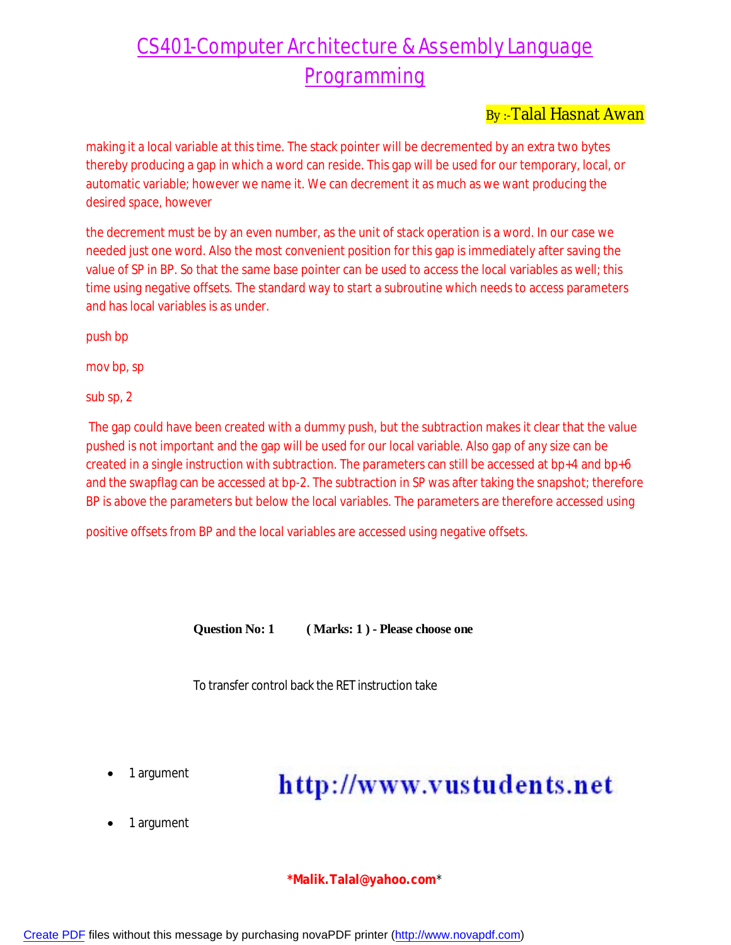### By:-Talal Hasnat Awan

making it a local variable at this time. The stack pointer will be decremented by an extra two bytes thereby producing a gap in which a word can reside. This gap will be used for our temporary, local, or automatic variable; however we name it. We can decrement it as much as we want producing the desired space, however

the decrement must be by an even number, as the unit of stack operation is a word. In our case we needed just one word. Also the most convenient position for this gap is immediately after saving the value of SP in BP. So that the same base pointer can be used to access the local variables as well; this time using negative offsets. The standard way to start a subroutine which needs to access parameters and has local variables is as under.

push bp

mov bp, sp

sub sp, 2

The gap could have been created with a dummy push, but the subtraction makes it clear that the value pushed is not important and the gap will be used for our local variable. Also gap of any size can be created in a single instruction with subtraction. The parameters can still be accessed at bp+4 and bp+6 and the swapflag can be accessed at bp-2. The subtraction in SP was after taking the snapshot; therefore BP is above the parameters but below the local variables. The parameters are therefore accessed using

positive offsets from BP and the local variables are accessed using negative offsets.

**Question No: 1 ( Marks: 1 ) - Please choose one** 

To transfer control back the RET instruction take

1 argument

## http://www.vustudents.net

1 argument

**\*Malik.Talal@yahoo.com**\*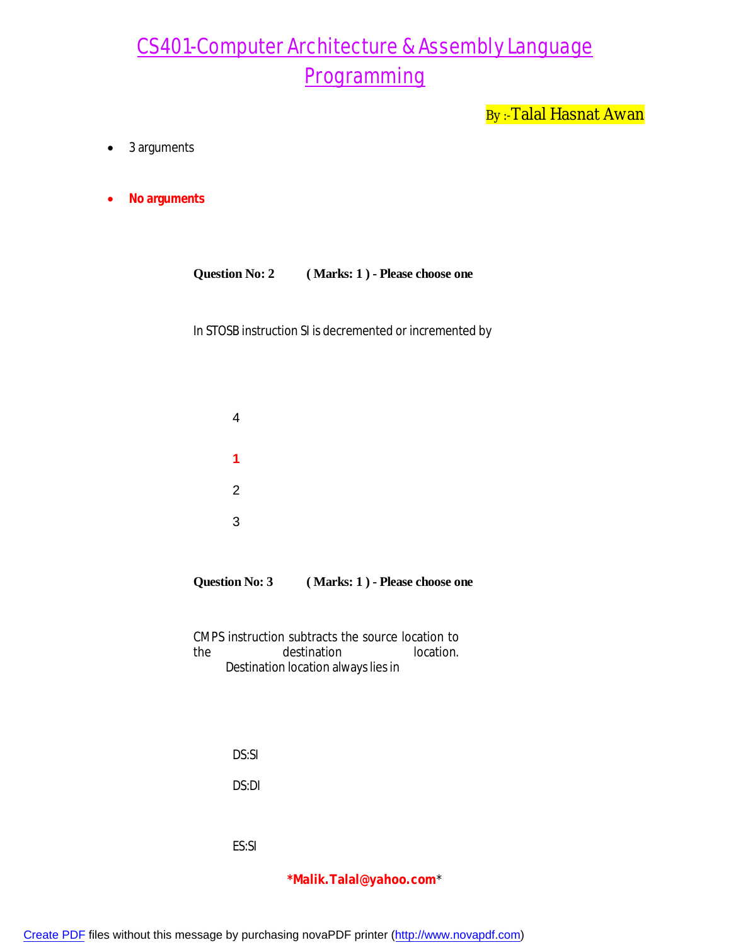By :- Talal Hasnat Awan

- 3 arguments
- **No arguments**

| Question No: 2 | (Marks: 1) - Please choose one |
|----------------|--------------------------------|
|----------------|--------------------------------|

In STOSB instruction SI is decremented or incremented by

| <b>Question No: 3</b> | (Marks: 1) - Please choose one |
|-----------------------|--------------------------------|
|-----------------------|--------------------------------|

CMPS instruction subtracts the source location to the destination location. Destination location always lies in

DS:SI

DS:DI

ES:SI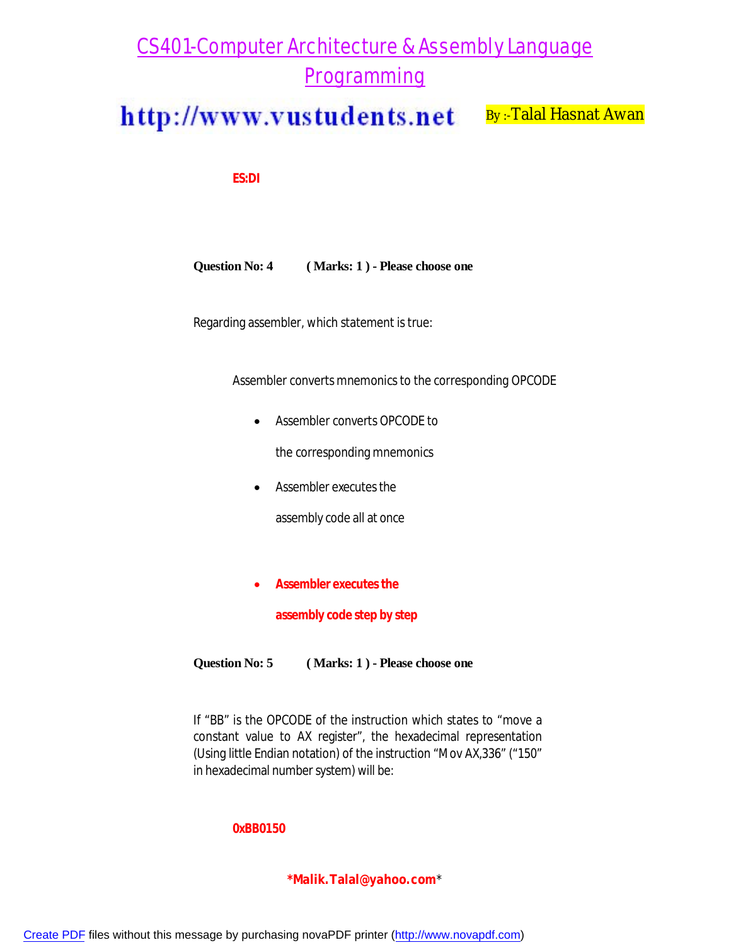http://www.vustudents.net By:-Talal Hasnat Awan

**ES:DI** 

**Question No: 4 ( Marks: 1 ) - Please choose one** 

Regarding assembler, which statement is true:

Assembler converts mnemonics to the corresponding OPCODE

Assembler converts OPCODE to

the corresponding mnemonics

Assembler executes the

assembly code all at once

**Assembler executes the** 

**assembly code step by step** 

**Question No: 5 ( Marks: 1 ) - Please choose one** 

If "BB" is the OPCODE of the instruction which states to "move a constant value to AX register", the hexadecimal representation (Using little Endian notation) of the instruction "Mov AX,336" ("150" in hexadecimal number system) will be:

#### **0xBB0150**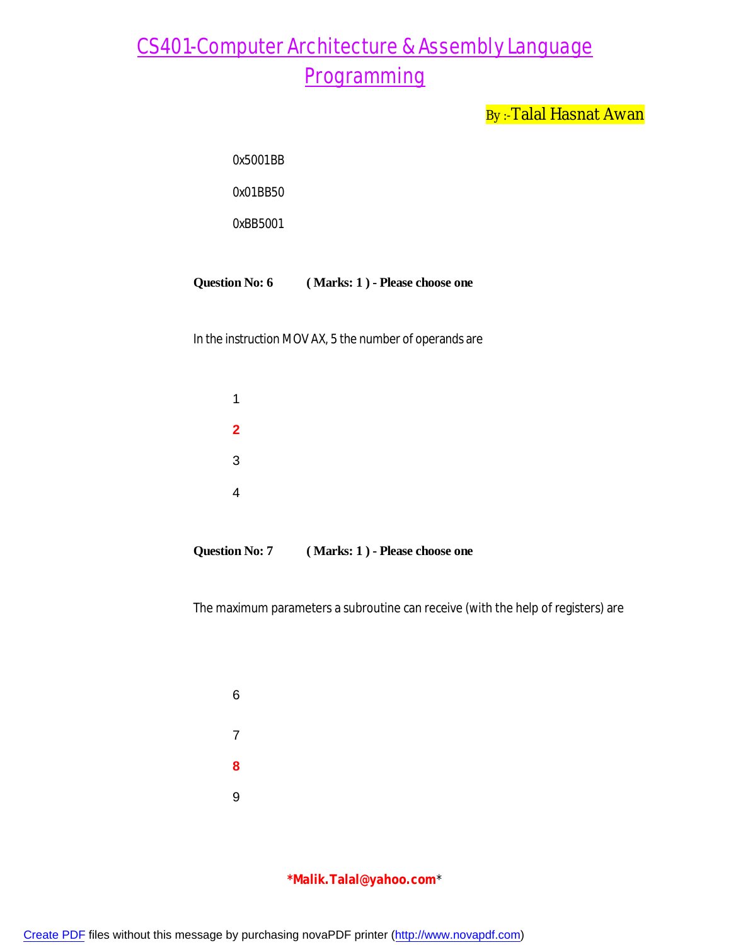By :- Talal Hasnat Awan

| 0x5001RR |  |
|----------|--|
| 0x01BB50 |  |
| 0xBB5001 |  |
|          |  |

#### **Question No: 6 ( Marks: 1 ) - Please choose one**

In the instruction MOV AX, 5 the number of operands are

| 1                       |  |  |  |
|-------------------------|--|--|--|
| $\overline{\mathbf{2}}$ |  |  |  |
| $\mathbf{3}$            |  |  |  |
| 4                       |  |  |  |
|                         |  |  |  |

**Question No: 7 ( Marks: 1 ) - Please choose one** 

The maximum parameters a subroutine can receive (with the help of registers) are

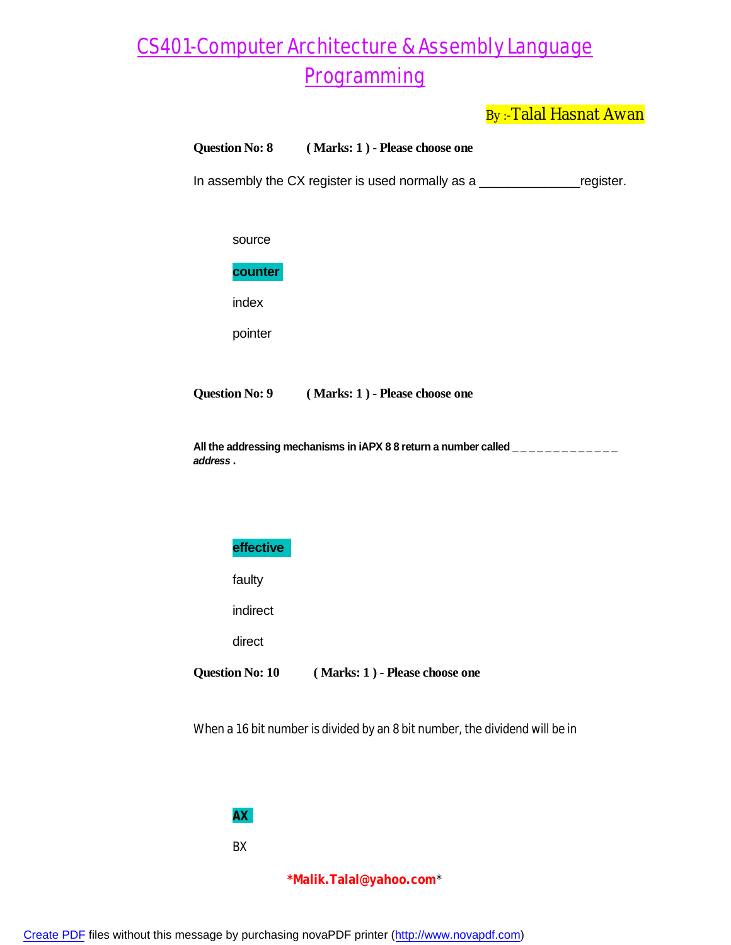By:-Talal Hasnat Awan

#### **Question No: 8 ( Marks: 1 ) - Please choose one**

In assembly the CX register is used normally as a \_\_\_\_\_\_\_\_\_\_\_\_\_\_\_\_\_\_\_register.

#### **counter**

index

pointer

**Question No: 9 ( Marks: 1 ) - Please choose one** 

All the addressing mechanisms in iAPX 8 8 return a number called \_\_\_\_\_\_\_\_\_\_\_\_\_ *address* **.** 



faulty

indirect

direct

**Question No: 10 ( Marks: 1 ) - Please choose one** 

When a 16 bit number is divided by an 8 bit number, the dividend will be in

#### **AX**

BX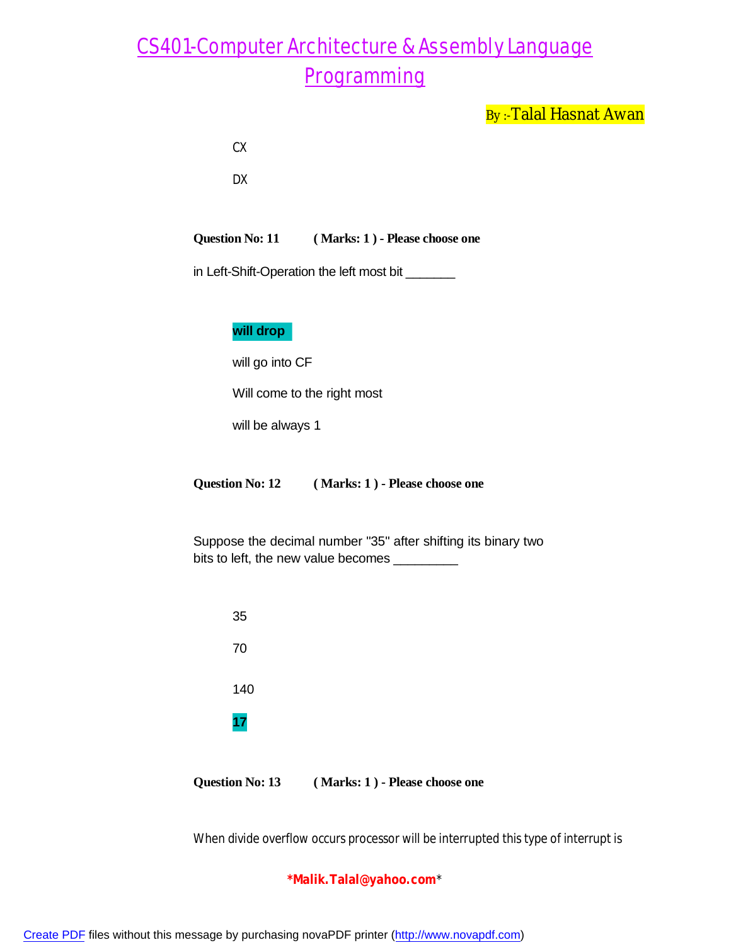By:-Talal Hasnat Awan

| I<br>I<br>$\sim$ |
|------------------|
|------------------|

DX

**Question No: 11 ( Marks: 1 ) - Please choose one** 

in Left-Shift-Operation the left most bit \_\_\_\_\_\_\_

### **will drop**

will go into CF

Will come to the right most

will be always 1

**Question No: 12 ( Marks: 1 ) - Please choose one** 

Suppose the decimal number "35" after shifting its binary two bits to left, the new value becomes \_\_\_\_\_\_\_\_\_

| 35  |  |  |  |
|-----|--|--|--|
| 70  |  |  |  |
| 140 |  |  |  |
| 17  |  |  |  |
|     |  |  |  |

**Question No: 13 ( Marks: 1 ) - Please choose one** 

When divide overflow occurs processor will be interrupted this type of interrupt is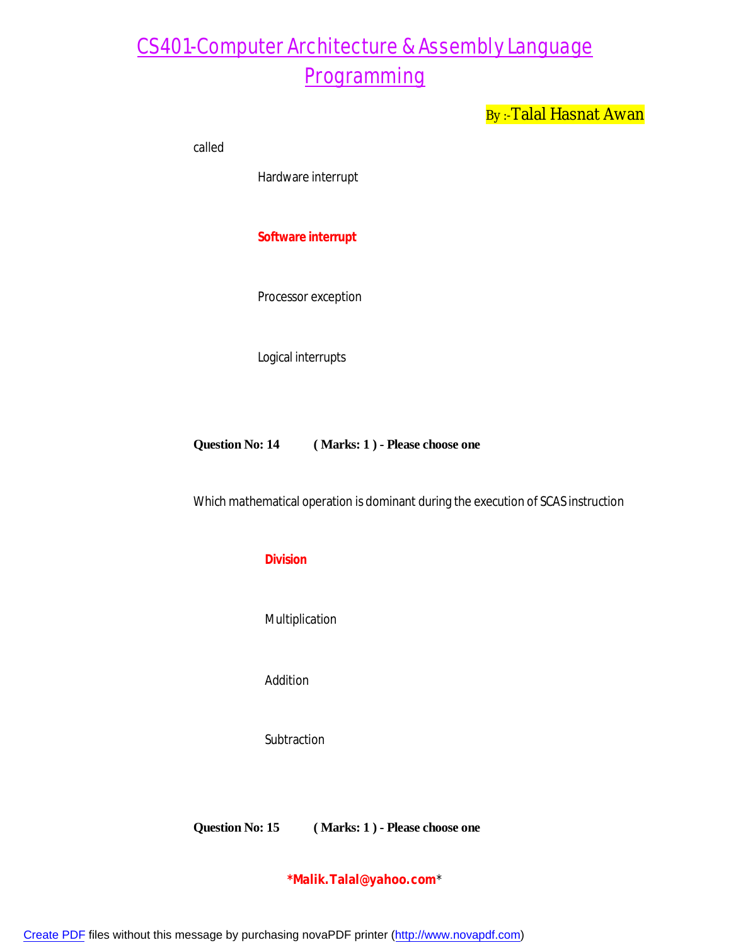By:-Talal Hasnat Awan

called

Hardware interrupt

**Software interrupt** 

Processor exception

Logical interrupts

**Question No: 14 ( Marks: 1 ) - Please choose one** 

Which mathematical operation is dominant during the execution of SCAS instruction

#### **Division**

Multiplication

Addition

**Subtraction** 

**Question No: 15 ( Marks: 1 ) - Please choose one** 

**\*Malik.Talal@yahoo.com**\*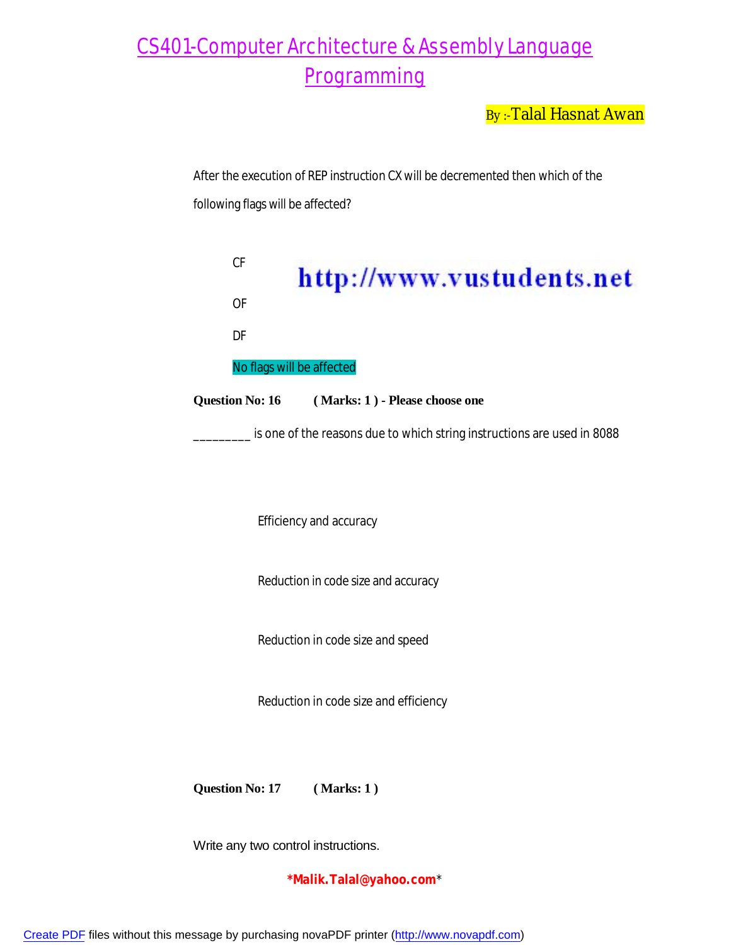By:-Talal Hasnat Awan

After the execution of REP instruction CX will be decremented then which of the following flags will be affected?

CF http://www.vustudents.net OF DF No flags will be affected **Question No: 16 ( Marks: 1 ) - Please choose one**  \_\_\_\_\_\_\_\_\_ is one of the reasons due to which string instructions are used in 8088

Efficiency and accuracy

Reduction in code size and accuracy

Reduction in code size and speed

Reduction in code size and efficiency

**Question No: 17 ( Marks: 1 )**

Write any two control instructions.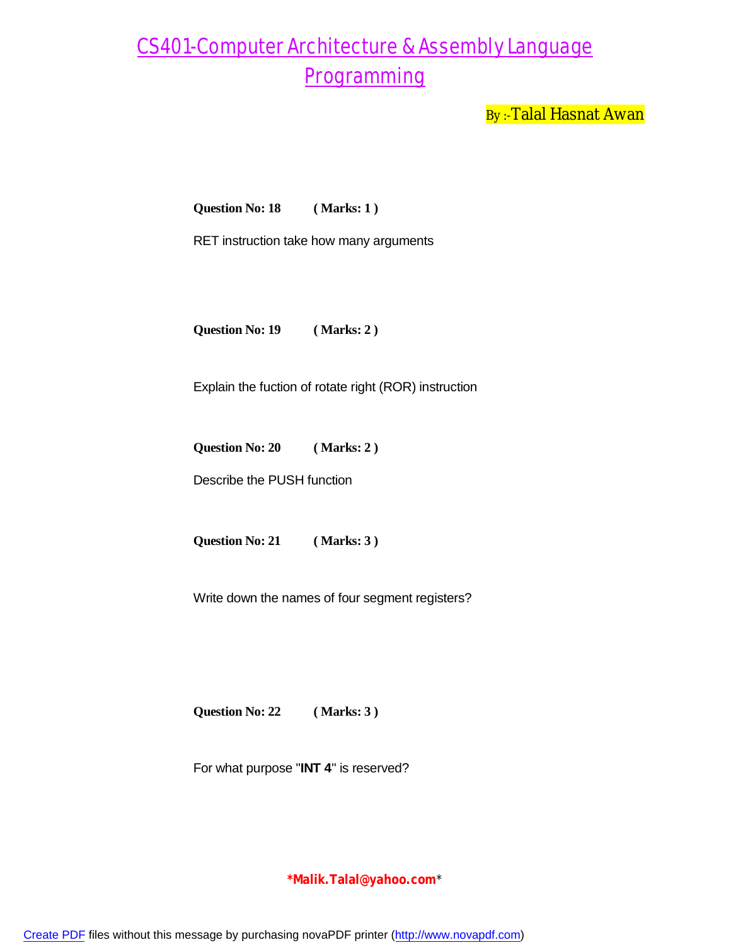By:-Talal Hasnat Awan

**Question No: 18 ( Marks: 1 )**

RET instruction take how many arguments

**Question No: 19 ( Marks: 2 )**

Explain the fuction of rotate right (ROR) instruction

**Question No: 20 ( Marks: 2 )**

Describe the PUSH function

**Question No: 21 ( Marks: 3 )**

Write down the names of four segment registers?

**Question No: 22 ( Marks: 3 )**

For what purpose "**INT 4**" is reserved?

**\*Malik.Talal@yahoo.com**\*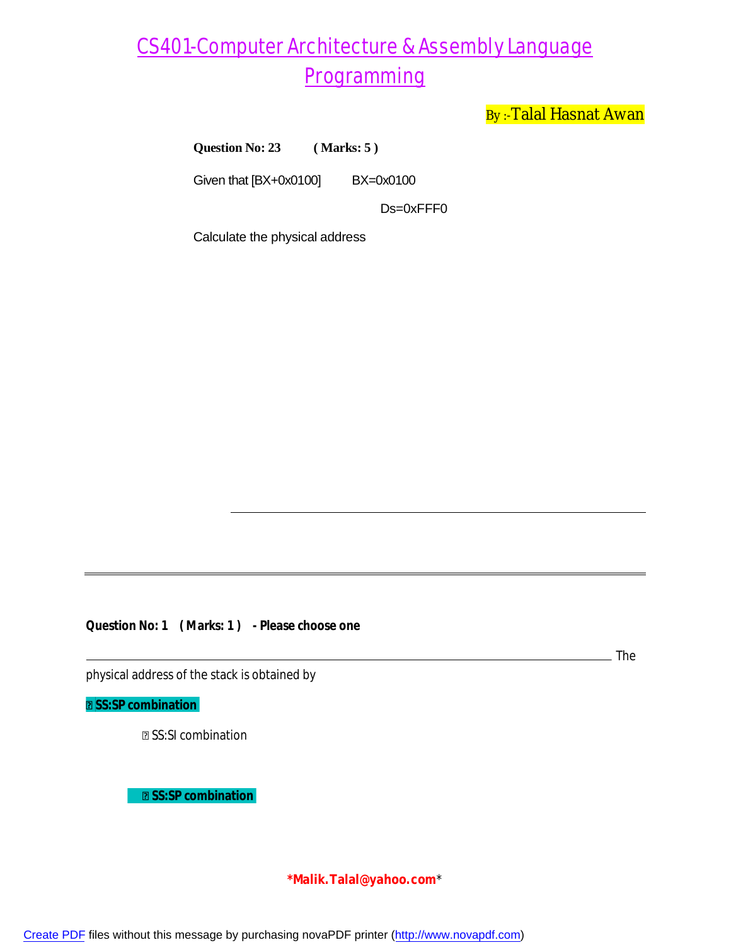By:-Talal Hasnat Awan

**Question No: 23 ( Marks: 5 )**

Given that [BX+0x0100] BX=0x0100

Ds=0xFFF0

Calculate the physical address

**Question No: 1 ( Marks: 1 ) - Please choose one**

The

physical address of the stack is obtained by

**SS:SP combination** 

**<b><b>** SS:SI combination

**B** SS:SP combination

**\*Malik.Talal@yahoo.com**\*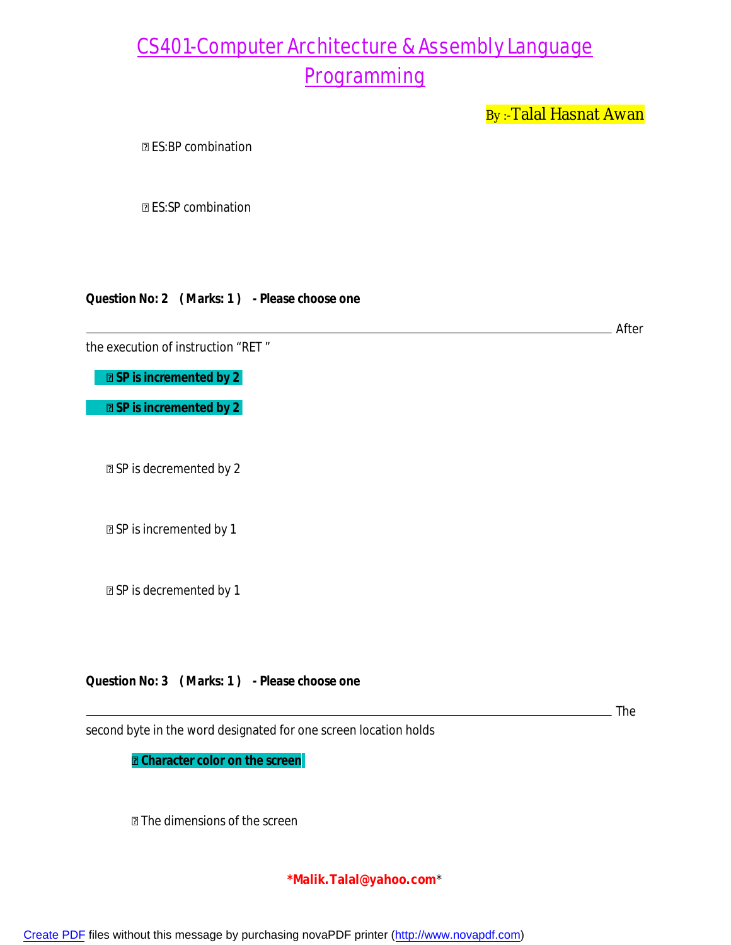By:-Talal Hasnat Awan

ES:BP combination

**图 ES:SP combination** 

#### **Question No: 2 ( Marks: 1 ) - Please choose one**

the execution of instruction "RET "

 $\boxed{2}$  **SP is incremented by 2** 

 $\boxed{2}$  **SP is incremented by 2** 

SP is decremented by 2

SP is incremented by 1

SP is decremented by 1

**Question No: 3 ( Marks: 1 ) - Please choose one**

The

After

second byte in the word designated for one screen location holds

 **Character color on the screen**

The dimensions of the screen

**\*Malik.Talal@yahoo.com**\*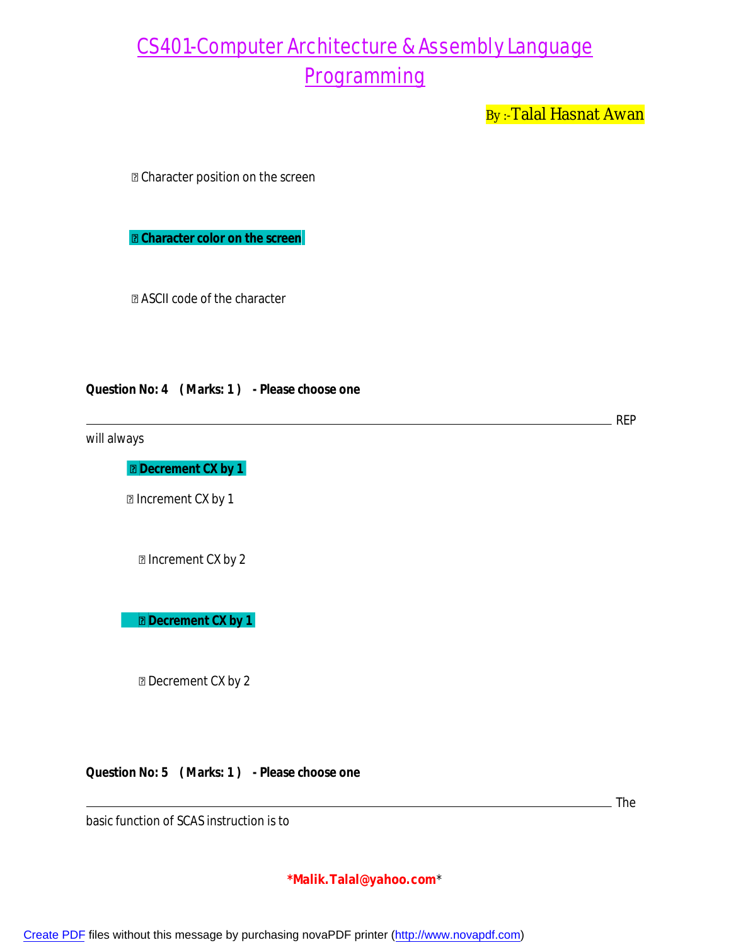By:-Talal Hasnat Awan

Character position on the screen

 **Character color on the screen**

ASCII code of the character

#### **Question No: 4 ( Marks: 1 ) - Please choose one**

will always

**Decrement CX by 1** 

**D** Increment CX by 1

Increment CX by 2

**Decrement CX by 1** 

**Decrement CX by 2** 

**Question No: 5 ( Marks: 1 ) - Please choose one**

The

 $\_$  REP

basic function of SCAS instruction is to

#### **\*Malik.Talal@yahoo.com**\*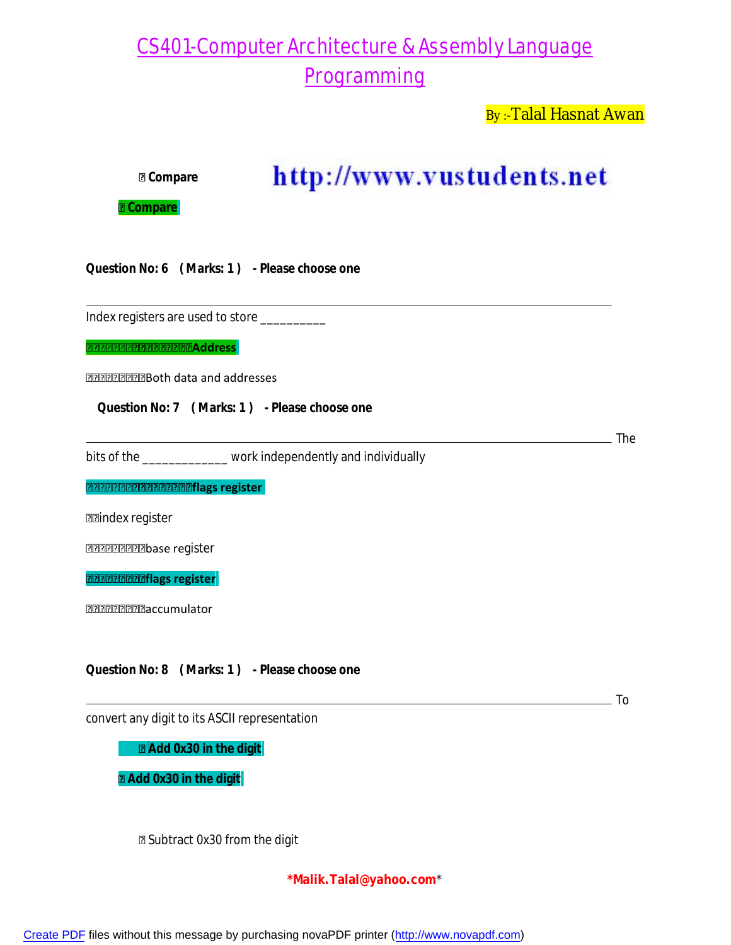By:-Talal Hasnat Awan

http://www.vustudents.net **Compare Compare Question No: 6 ( Marks: 1 ) - Please choose one** Index registers are used to store \_\_\_\_\_\_\_\_\_\_ **REPRESEERED CONTROLS** Both data and addresses **Question No: 7 ( Marks: 1 ) - Please choose one** The bits of the \_\_\_\_\_\_\_\_\_\_\_\_\_ work independently and individually **flags register n**aindex register **PRPPPPPPPDase register flags register and accumulator Question No: 8 ( Marks: 1 ) - Please choose one** To convert any digit to its ASCII representation **Add 0x30 in the digit Add 0x30 in the digit**

Subtract 0x30 from the digit

**\*Malik.Talal@yahoo.com**\*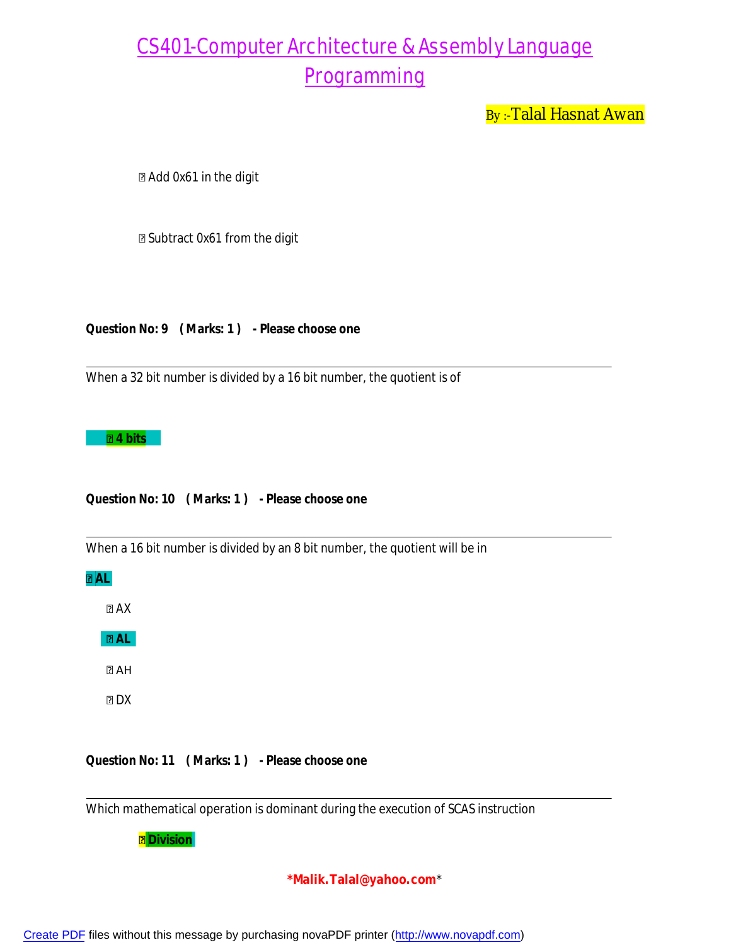By:-Talal Hasnat Awan

Add 0x61 in the digit

Subtract 0x61 from the digit

**Question No: 9 ( Marks: 1 ) - Please choose one**

When a 32 bit number is divided by a 16 bit number, the quotient is of

#### **4 bits**

**Question No: 10 ( Marks: 1 ) - Please choose one**

When a 16 bit number is divided by an 8 bit number, the quotient will be in

**AL**

 $A X$ 

**AL** 

 $2AH$ 

 $D X$ 

**Question No: 11 ( Marks: 1 ) - Please choose one**

Which mathematical operation is dominant during the execution of SCAS instruction

 **Division**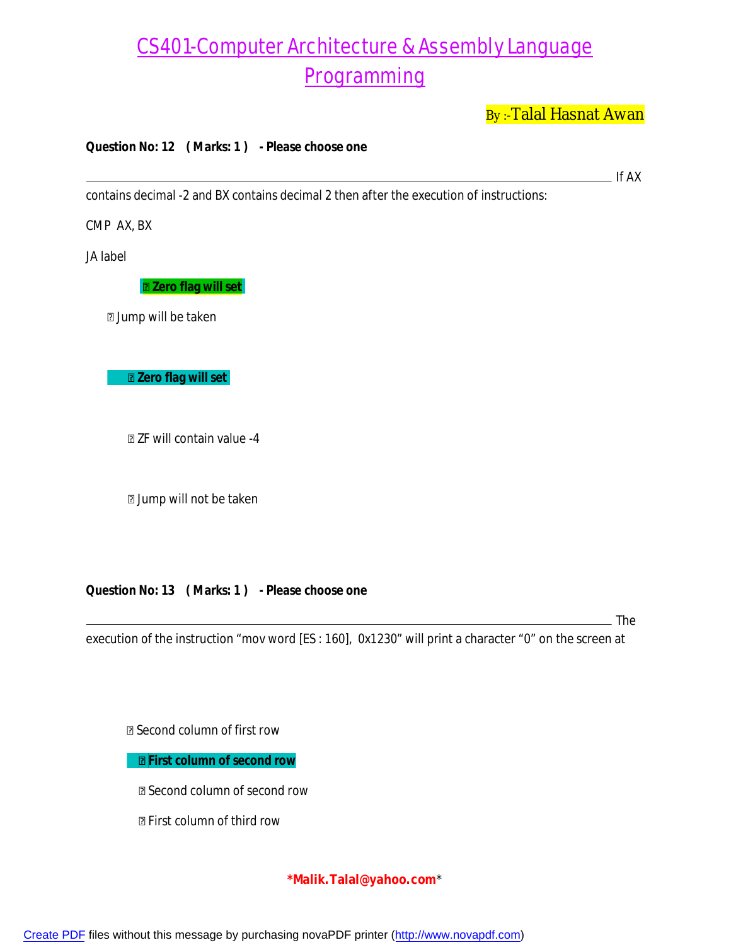By:-Talal Hasnat Awan

 $\overline{\phantom{0}}$  If AX

#### **Question No: 12 ( Marks: 1 ) - Please choose one**

contains decimal -2 and BX contains decimal 2 then after the execution of instructions:

CMP AX, BX

JA label

**Zero flag will set**

Jump will be taken

 **Zero flag will set**

ZF will contain value -4

Jump will not be taken

#### **Question No: 13 ( Marks: 1 ) - Please choose one**

<sub>-</sub> The

execution of the instruction "mov word [ES : 160], 0x1230" will print a character "0" on the screen at

Second column of first row

**First column of second row**

Second column of second row

First column of third row

#### **\*Malik.Talal@yahoo.com**\*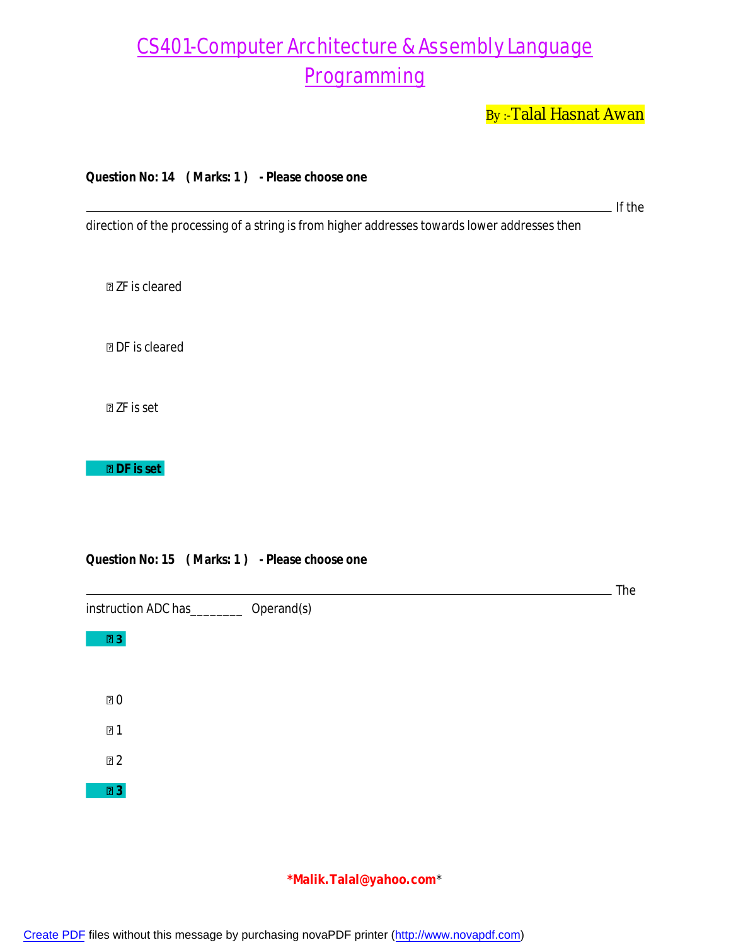By:-Talal Hasnat Awan

**Question No: 14 ( Marks: 1 ) - Please choose one**

If the

**The** 

direction of the processing of a string is from higher addresses towards lower addresses then

ZF is cleared

DF is cleared

ZF is set

 **DF is set**

**13** 

0

1

 $2$ 

 **3**

#### **Question No: 15 ( Marks: 1 ) - Please choose one**

instruction ADC has\_\_\_\_\_\_\_\_ Operand(s)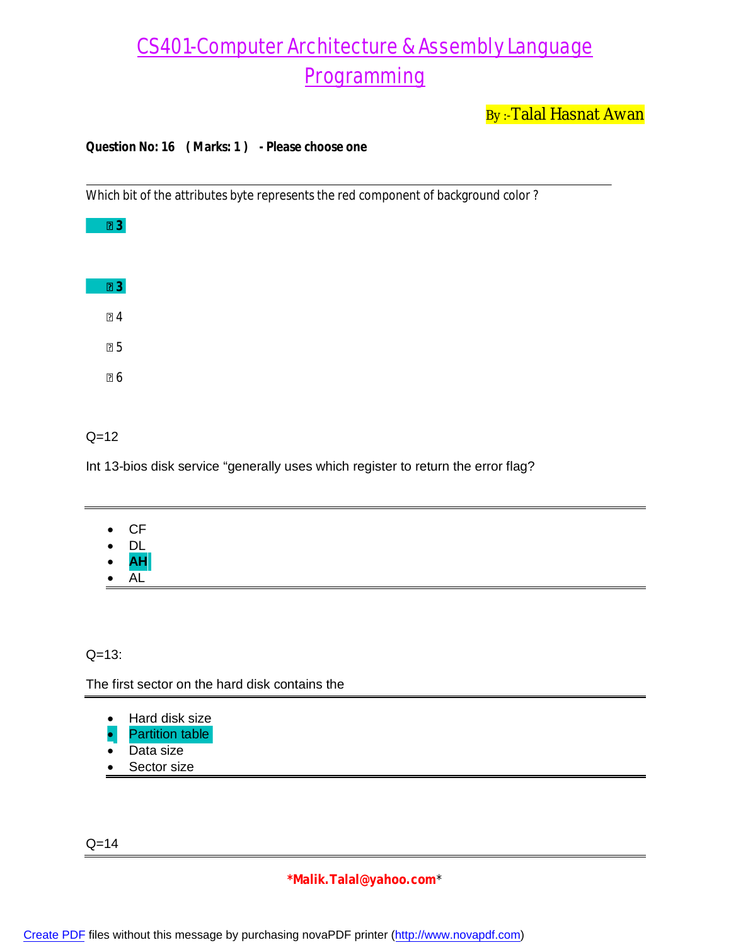By:-Talal Hasnat Awan

#### **Question No: 16 ( Marks: 1 ) - Please choose one**

Which bit of the attributes byte represents the red component of background color ?

| "    |  |
|------|--|
| ⊡3   |  |
| ៲១ 4 |  |
| 25   |  |
| פֿ ∂ |  |

#### $Q=12$

Int 13-bios disk service "generally uses which register to return the error flag?

- CF
- DL
- **AH**
- AL

#### $Q = 13$ :

The first sector on the hard disk contains the

- Hard disk size
- Partition table
- Data size
- Sector size

 $Q = 14$ 

#### **\*Malik.Talal@yahoo.com**\*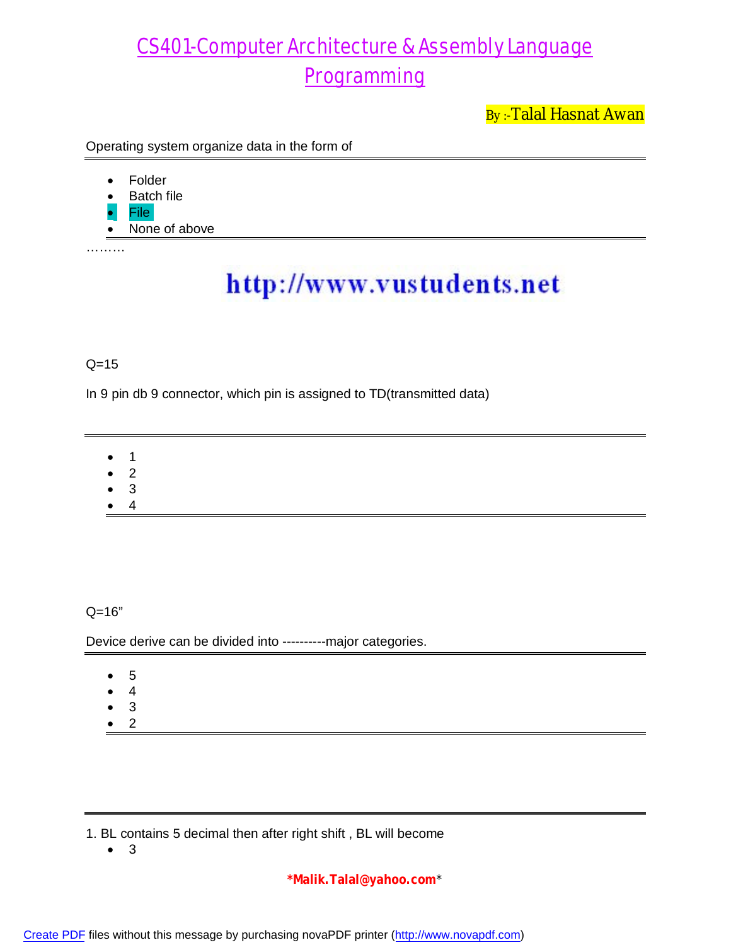By:-Talal Hasnat Awan

Operating system organize data in the form of

- Folder
- Batch file
- File
- None of above

………

# http://www.vustudents.net

### $Q=15$

In 9 pin db 9 connector, which pin is assigned to TD(transmitted data)

- 1
- 2
- 3
- 4

Q=16"

Device derive can be divided into ----------major categories.

- 5
- 4
- 3
- 2

1. BL contains 5 decimal then after right shift , BL will become

3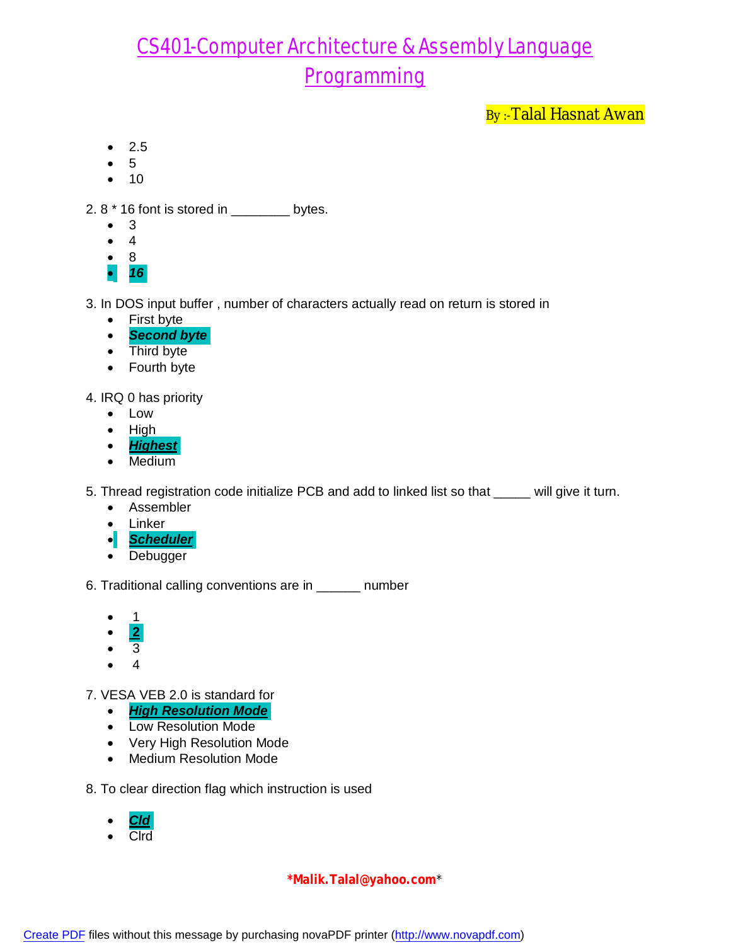By:-Talal Hasnat Awan

- $2.5$
- 5
- $10$

2.  $8 * 16$  font is stored in  $\frac{1}{2}$  bytes.

- $\bullet$  3
- $\bullet$  4
- 8
- *16*

3. In DOS input buffer , number of characters actually read on return is stored in

- First byte
- *Second byte*
- Third byte
- Fourth byte

4. IRQ 0 has priority

- Low
- $\bullet$  High
- *Highest*
- Medium

5. Thread registration code initialize PCB and add to linked list so that \_\_\_\_\_ will give it turn.

- Assembler
- Linker
- *Scheduler*
- Debugger

6. Traditional calling conventions are in \_\_\_\_\_\_ number

- 1
- **2**
- $\bullet$  3
- 4

7. VESA VEB 2.0 is standard for

- *High Resolution Mode*
- Low Resolution Mode
- Very High Resolution Mode
- Medium Resolution Mode

8. To clear direction flag which instruction is used

- *Cld*
- Clrd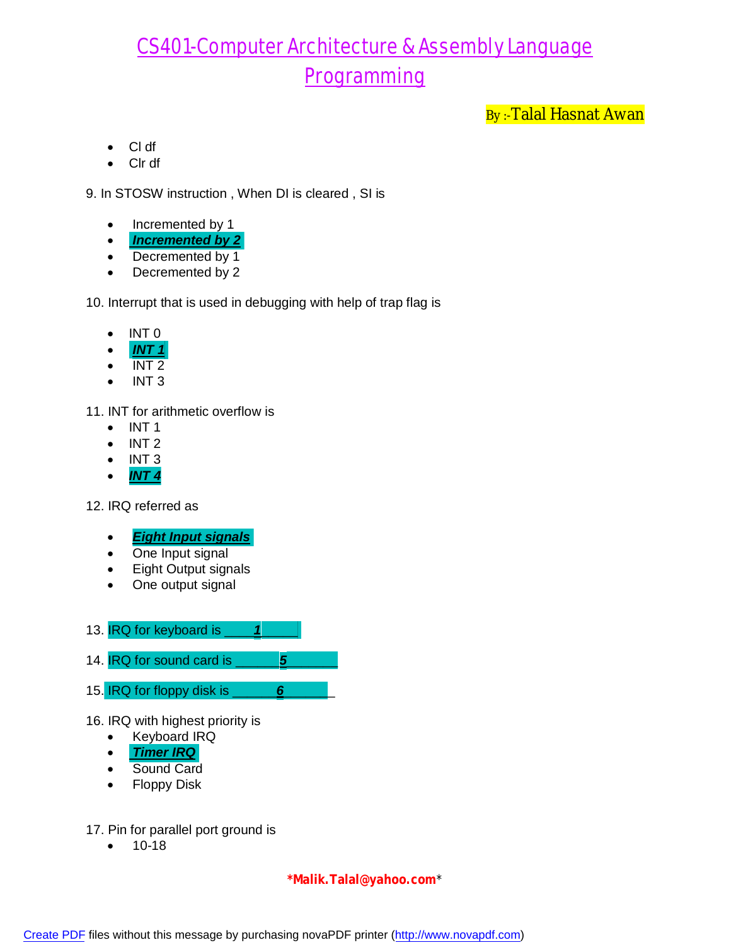By :-Talal Hasnat Awan

- Cl df
- Clr df

9. In STOSW instruction , When DI is cleared , SI is

- Incremented by 1
- *Incremented by 2*
- Decremented by 1
- Decremented by 2

10. Interrupt that is used in debugging with help of trap flag is

- $\bullet$  INT 0
- *INT 1*
- INT 2
- $\bullet$  INT 3

11. INT for arithmetic overflow is

- $\bullet$  INT 1
- $\bullet$  INT 2
- $\bullet$  INT 3
- *INT 4*

12. IRQ referred as

- *Eight Input signals*
- One Input signal
- Eight Output signals
- One output signal
- 13. IRQ for keyboard is \_\_\_\_*1*\_\_\_\_\_
- 14. **IRQ** for sound card is **19. 10. 10.**

15. IRQ for floppy disk is \_\_\_\_\_\_*6*\_\_\_\_\_\_\_

- 16. IRQ with highest priority is
	- Keyboard IRQ
	- *Timer IRQ*
	- Sound Card
	- Floppy Disk

17. Pin for parallel port ground is

 $• 10-18$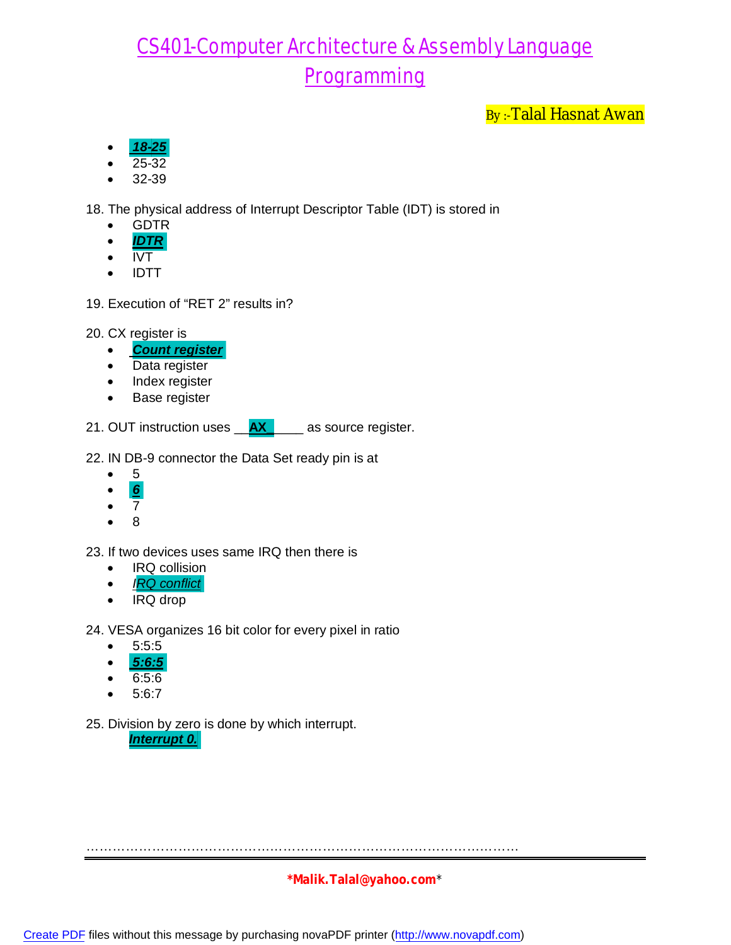By:-Talal Hasnat Awan

- *18-25*
- 25-32
- 32-39

18. The physical address of Interrupt Descriptor Table (IDT) is stored in

- GDTR
- *IDTR*
- $\bullet$  IVT
- IDTT
- 19. Execution of "RET 2" results in?
- 20. CX register is
	- *Count register*
	- Data register
	- Index register
	- Base register

21. OUT instruction uses \_\_**AX\_**\_\_\_\_ as source register.

22. IN DB-9 connector the Data Set ready pin is at

- 5
- *6*
- $\bullet$  7
- $\bullet$  8

23. If two devices uses same IRQ then there is

- IRQ collision
- *IRQ conflict*
- IRQ drop

24. VESA organizes 16 bit color for every pixel in ratio

- $5:5:5$
- *5:6:5*
- 6:5:6
- 5:6:7
- 25. Division by zero is done by which interrupt.

*Interrupt 0.*

………………………………………………………………………………………

#### **\*Malik.Talal@yahoo.com**\*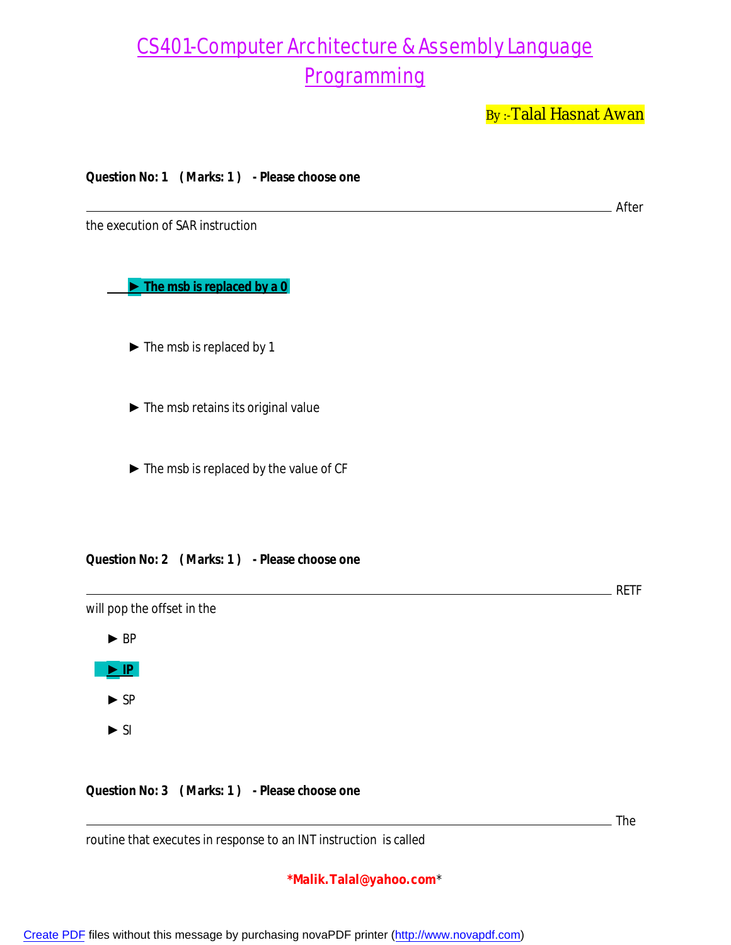By:-Talal Hasnat Awan

After

**Question No: 1 ( Marks: 1 ) - Please choose one**

the execution of SAR instruction

 **► The msb is replaced by a 0**

► The msb is replaced by 1

 $\blacktriangleright$  The msb retains its original value

► The msb is replaced by the value of CF

#### **Question No: 2 ( Marks: 1 ) - Please choose one**

RETF

**The** 

will pop the offset in the

 ► BP **► IP**  ► SP  $\blacktriangleright$  SI

#### **Question No: 3 ( Marks: 1 ) - Please choose one**

routine that executes in response to an INT instruction is called

#### **\*Malik.Talal@yahoo.com**\*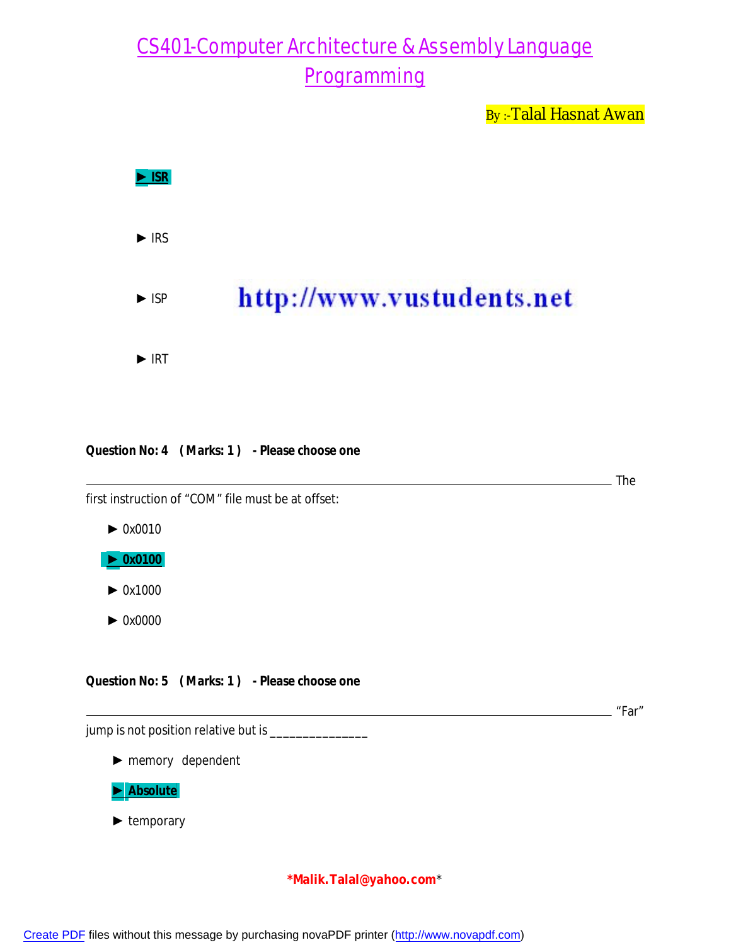By:-Talal Hasnat Awan



#### **Question No: 4 ( Marks: 1 ) - Please choose one**

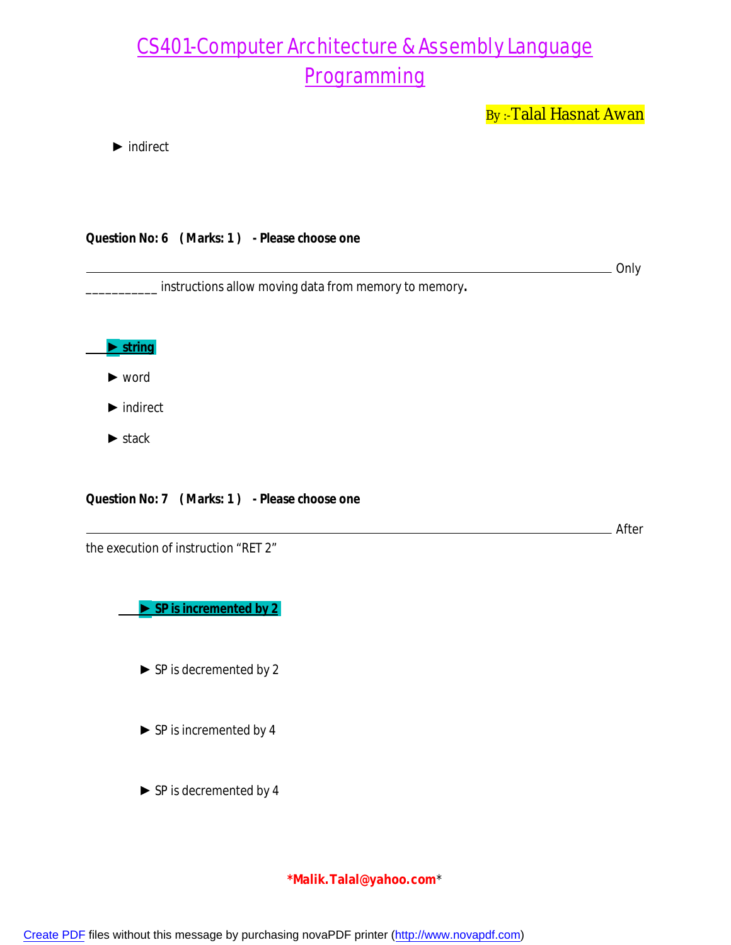By:-Talal Hasnat Awan

► indirect

|  | Question No: 6 (Marks: 1) - Please choose one |
|--|-----------------------------------------------|
|  |                                               |

**COLLEGE** Only

After

\_\_\_\_\_\_\_\_\_\_\_ instructions allow moving data from memory to memory*.*



- ► word
- ► indirect
- ► stack

**Question No: 7 ( Marks: 1 ) - Please choose one**

the execution of instruction "RET 2"

 **► SP is incremented by 2**

- ► SP is decremented by 2
- ► SP is incremented by 4
- ► SP is decremented by 4

#### **\*Malik.Talal@yahoo.com**\*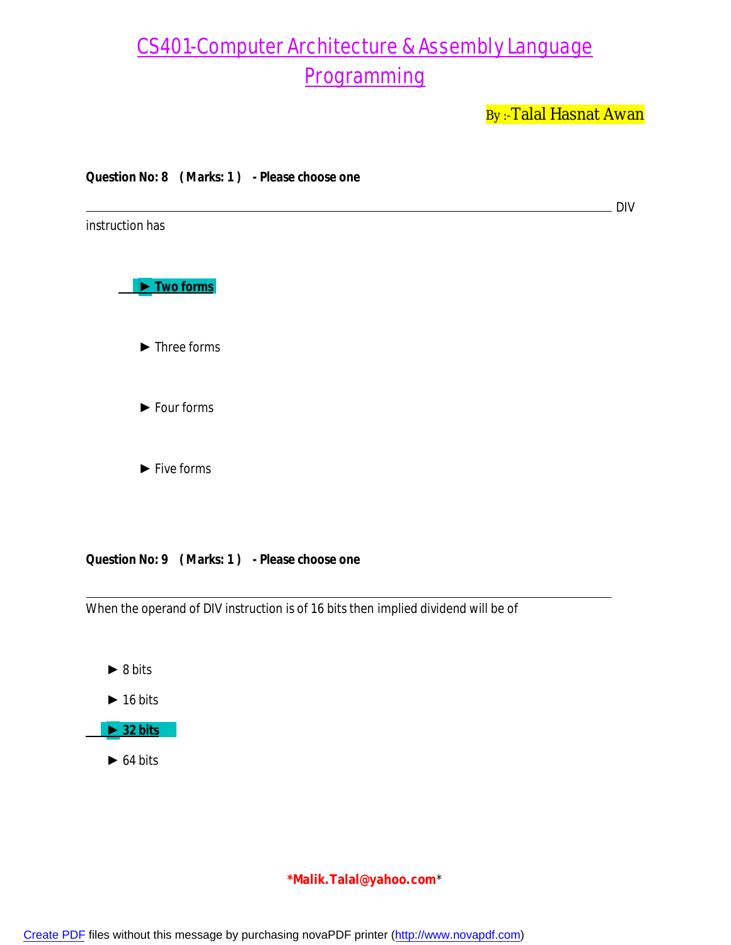By:-Talal Hasnat Awan



 $\triangleright$  64 bits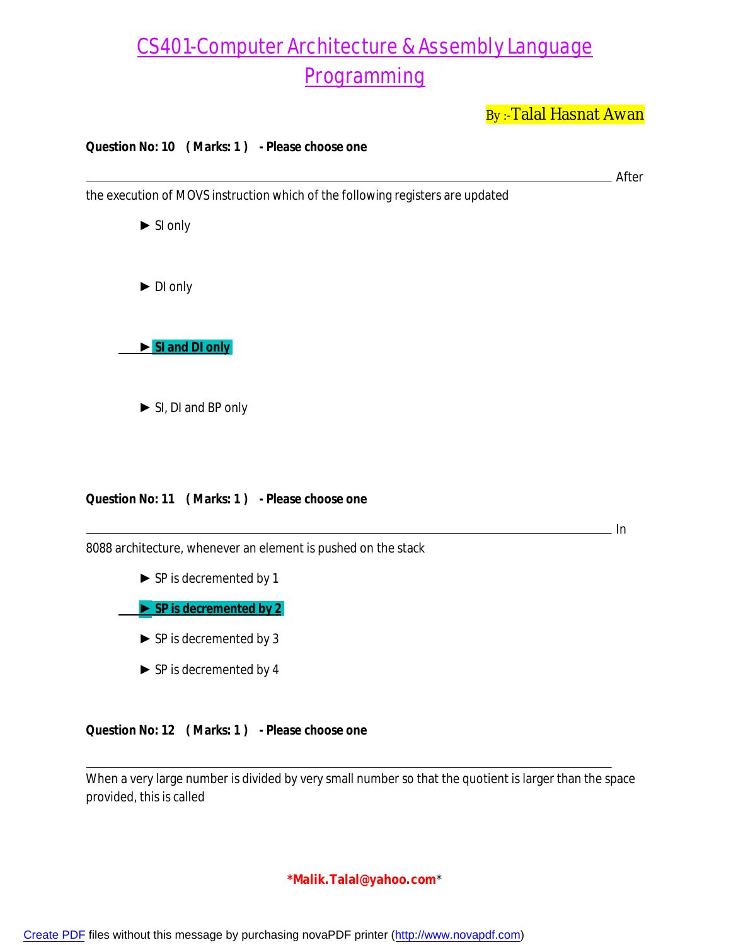By:-Talal Hasnat Awan

After

 $\_ In$ 

#### **Question No: 10 ( Marks: 1 ) - Please choose one**

the execution of MOVS instruction which of the following registers are updated

 ► SI only ► DI only  **► SI and DI only** ► SI, DI and BP only

#### **Question No: 11 ( Marks: 1 ) - Please choose one**

8088 architecture, whenever an element is pushed on the stack

► SP is decremented by 1

 **► SP is decremented by 2**

- ► SP is decremented by 3
- ► SP is decremented by 4

**Question No: 12 ( Marks: 1 ) - Please choose one**

When a very large number is divided by very small number so that the quotient is larger than the space provided, this is called

#### **\*Malik.Talal@yahoo.com**\*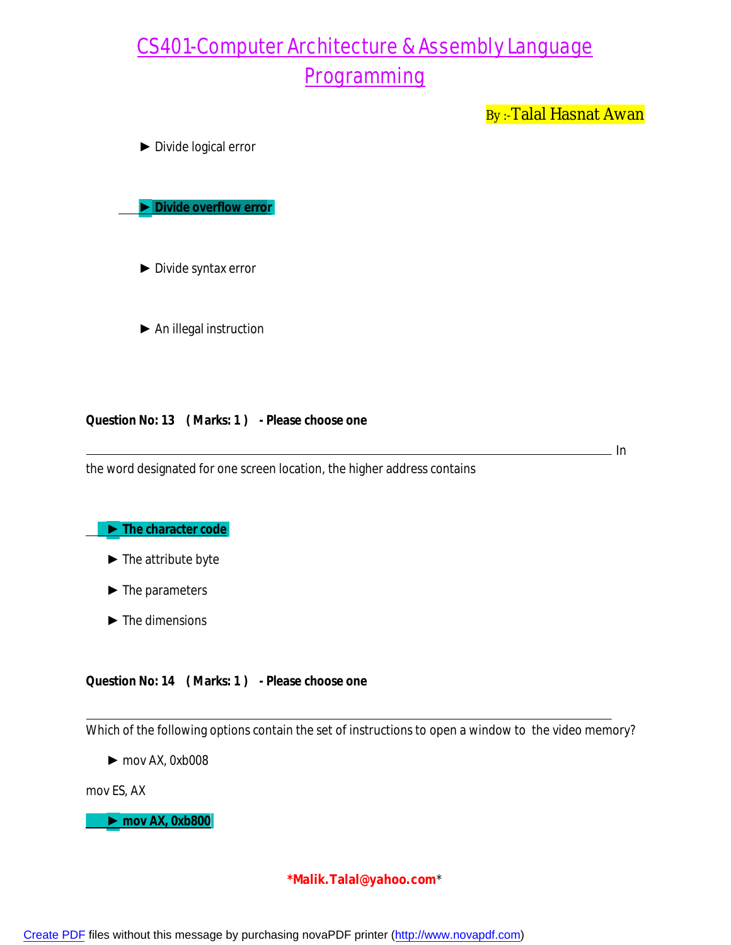By:-Talal Hasnat Awan

► Divide logical error

 **► Divide overflow error**

► Divide syntax error

► An illegal instruction

**Question No: 13 ( Marks: 1 ) - Please choose one**

the word designated for one screen location, the higher address contains

. In

 **► The character code**

- ► The attribute byte
- ► The parameters
- $\blacktriangleright$  The dimensions

#### **Question No: 14 ( Marks: 1 ) - Please choose one**

Which of the following options contain the set of instructions to open a window to the video memory?

► mov AX, 0xb008

mov ES, AX

 **► mov AX, 0xb800**

#### **\*Malik.Talal@yahoo.com**\*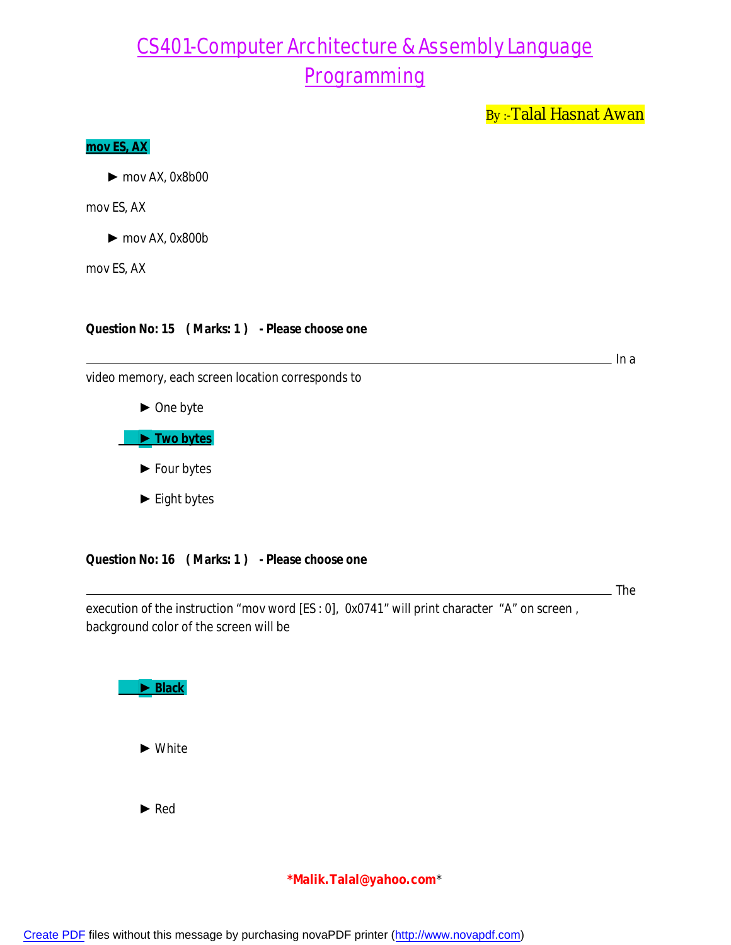By:-Talal Hasnat Awan

#### **mov ES, AX**

► mov AX, 0x8b00

mov ES, AX

► mov AX, 0x800b

mov ES, AX

**Question No: 15 ( Marks: 1 ) - Please choose one**

 $\overline{\phantom{a}}$  In a

video memory, each screen location corresponds to



► Eight bytes

**Question No: 16 ( Marks: 1 ) - Please choose one**

**The** 

execution of the instruction "mov word [ES : 0], 0x0741" will print character "A" on screen, background color of the screen will be

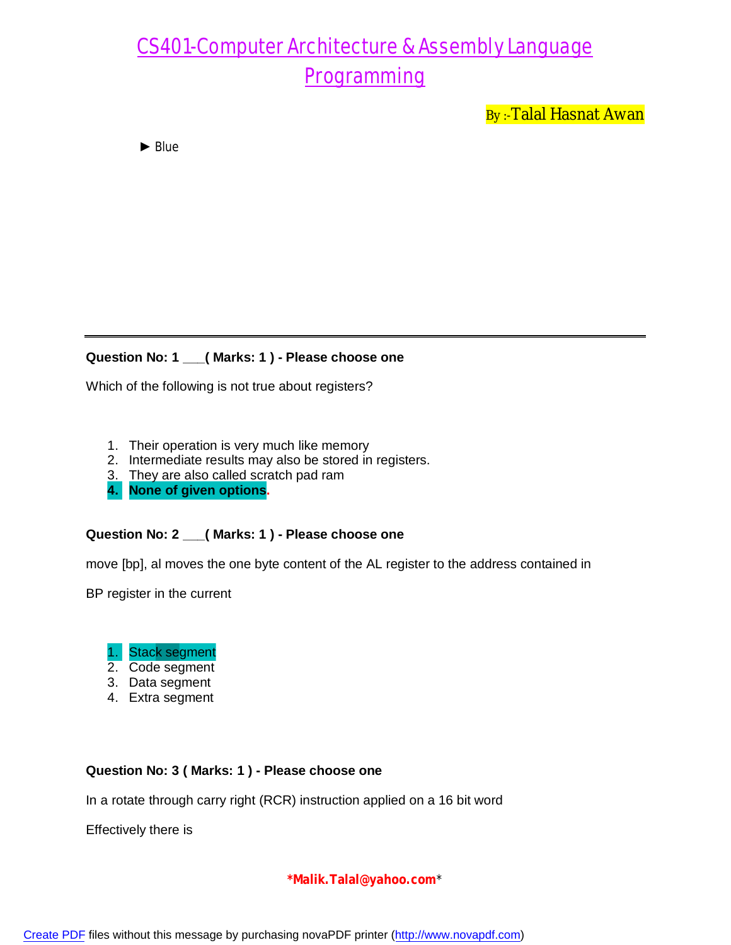By:-Talal Hasnat Awan

► Blue

#### **Question No: 1 \_\_\_( Marks: 1 ) - Please choose one**

Which of the following is not true about registers?

- 1. Their operation is very much like memory
- 2. Intermediate results may also be stored in registers.
- 3. They are also called scratch pad ram
- **4. None of given options.**

### **Question No: 2 \_\_\_( Marks: 1 ) - Please choose one**

move [bp], al moves the one byte content of the AL register to the address contained in

BP register in the current



- 2. Code segment
- 3. Data segment
- 4. Extra segment

#### **Question No: 3 ( Marks: 1 ) - Please choose one**

In a rotate through carry right (RCR) instruction applied on a 16 bit word

Effectively there is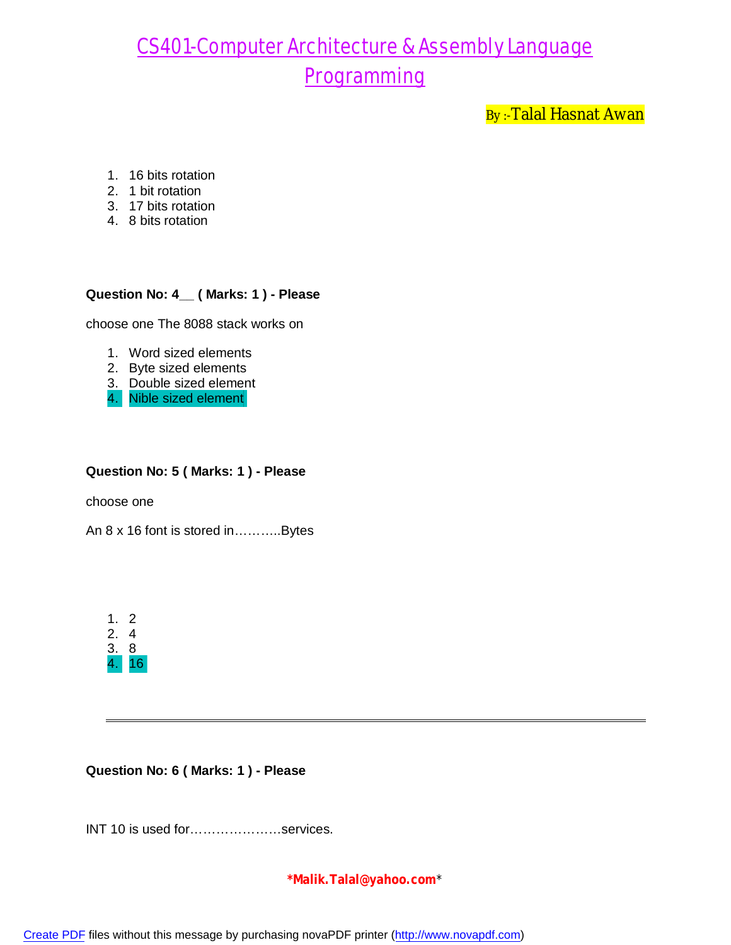By:-Talal Hasnat Awan

- 1. 16 bits rotation
- 2. 1 bit rotation
- 3. 17 bits rotation
- 4. 8 bits rotation

### **Question No: 4\_\_ ( Marks: 1 ) - Please**

choose one The 8088 stack works on

- 1. Word sized elements
- 2. Byte sized elements
- 3. Double sized element
- 4. Nible sized element

#### **Question No: 5 ( Marks: 1 ) - Please**

choose one

An 8 x 16 font is stored in………..Bytes

| 1  | ') |
|----|----|
| 2. | 4  |
| 3. | 8  |
|    |    |

#### **Question No: 6 ( Marks: 1 ) - Please**

INT 10 is used for…………………services.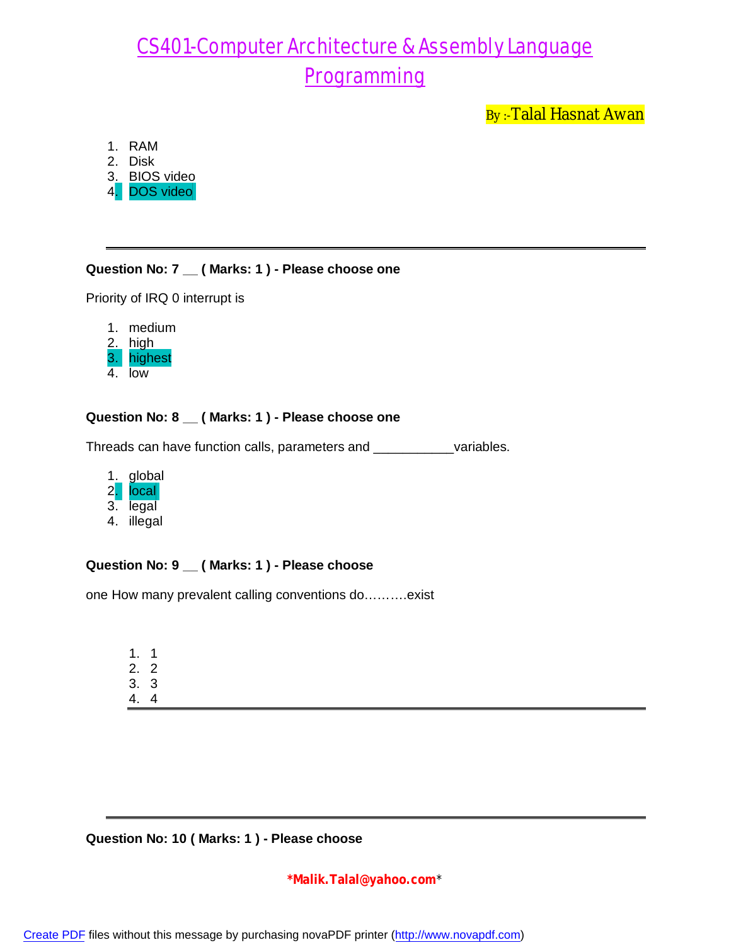By:-Talal Hasnat Awan

- 1. RAM
- 2. Disk
- 3. BIOS video
- 4. DOS video

### **Question No: 7 \_\_ ( Marks: 1 ) - Please choose one**

Priority of IRQ 0 interrupt is

|    | medium  |
|----|---------|
|    | high    |
| 31 | highest |
|    | low     |

### **Question No: 8 \_\_ ( Marks: 1 ) - Please choose one**

Threads can have function calls, parameters and \_\_\_\_\_\_\_\_\_\_\_variables.

- 1. global 2. local 3. legal
- 4. illegal

#### **Question No: 9 \_\_ ( Marks: 1 ) - Please choose**

one How many prevalent calling conventions do……….exist

1. 1 2. 2 3. 3

4. 4

#### **Question No: 10 ( Marks: 1 ) - Please choose**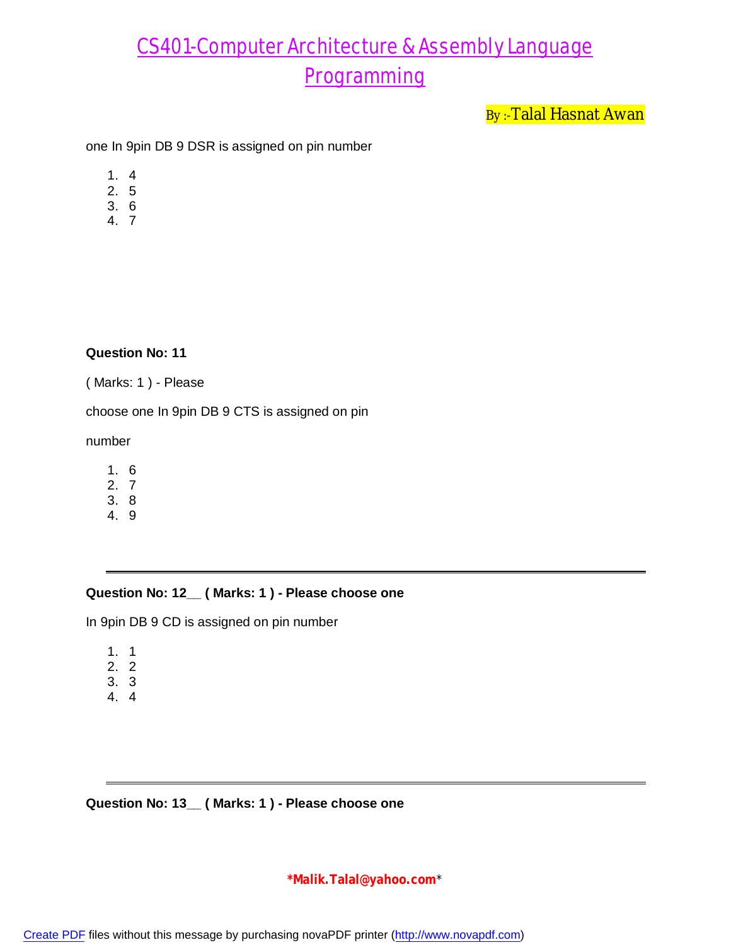By:-Talal Hasnat Awan

one In 9pin DB 9 DSR is assigned on pin number

- 1. 4
- 2. 5
- 3. 6
- 4. 7

#### **Question No: 11**

( Marks: 1 ) - Please

choose one In 9pin DB 9 CTS is assigned on pin

number

- 1. 6
- 2. 7 3. 8
- 4. 9

#### **Question No: 12\_\_ ( Marks: 1 ) - Please choose one**

In 9pin DB 9 CD is assigned on pin number

- 1. 1
- 2. 2
- 3. 3
- 4. 4

**Question No: 13\_\_ ( Marks: 1 ) - Please choose one**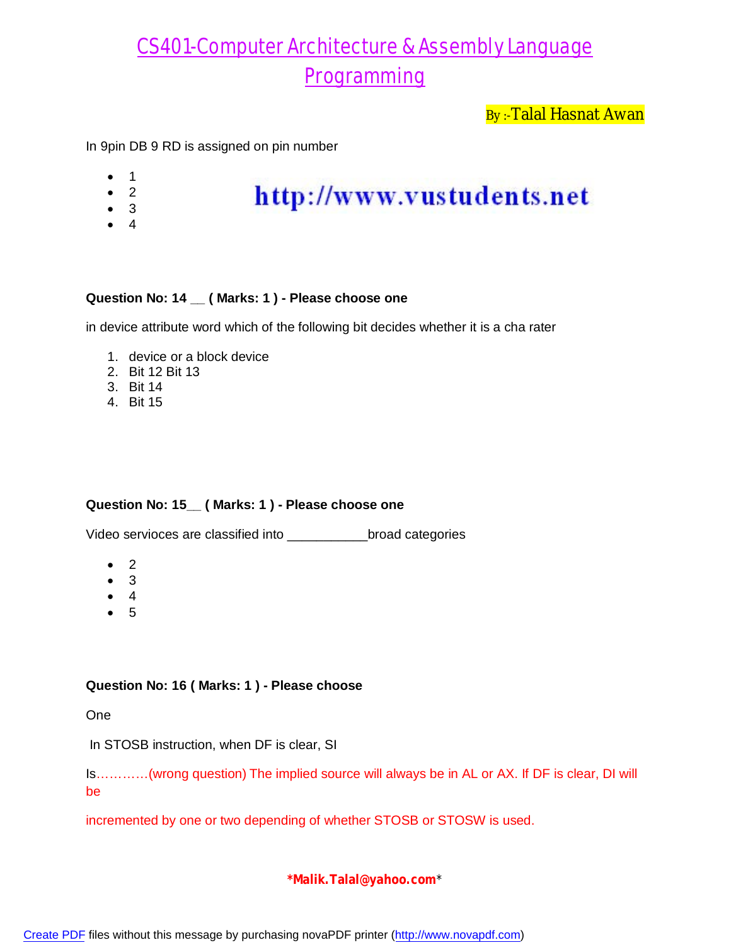By:-Talal Hasnat Awan

In 9pin DB 9 RD is assigned on pin number

- 1
- $\bullet$  2
- 3
- $\bullet$  4

## http://www.vustudents.net

### **Question No: 14 \_\_ ( Marks: 1 ) - Please choose one**

in device attribute word which of the following bit decides whether it is a cha rater

- 1. device or a block device
- 2. Bit 12 Bit 13
- 3. Bit 14
- 4. Bit 15

#### **Question No: 15\_\_ ( Marks: 1 ) - Please choose one**

Video servioces are classified into \_\_\_\_\_\_\_\_\_\_\_broad categories

- $\bullet$  2
- $\bullet$  3
- $\bullet$  4
- $5$

#### **Question No: 16 ( Marks: 1 ) - Please choose**

One

In STOSB instruction, when DF is clear, SI

Is…………(wrong question) The implied source will always be in AL or AX. If DF is clear, DI will be

incremented by one or two depending of whether STOSB or STOSW is used.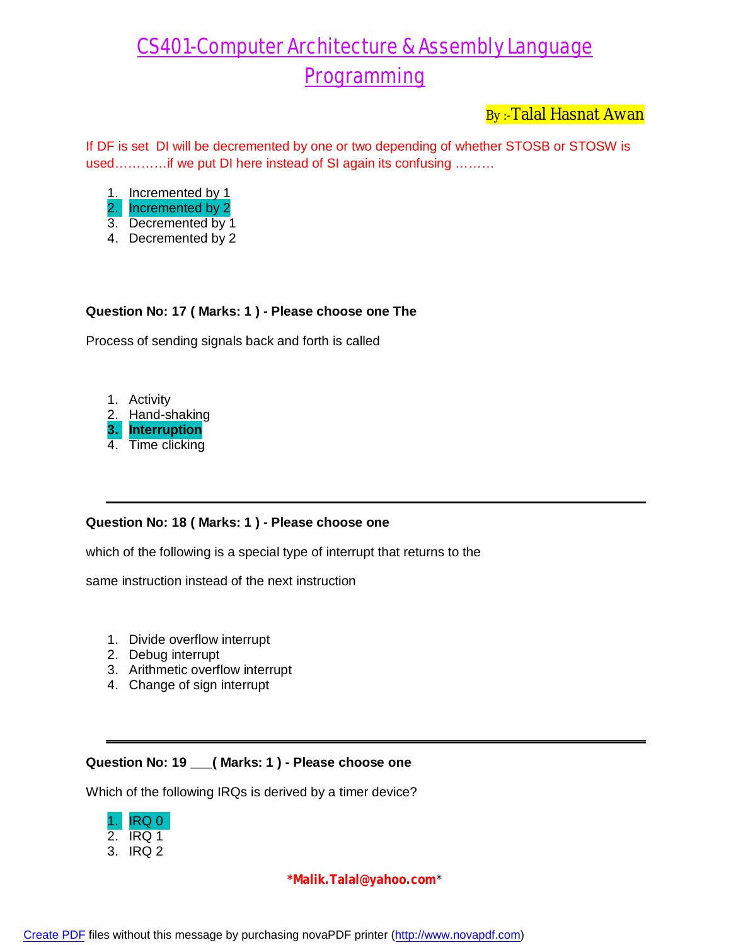By :-Talal Hasnat Awan

If DF is set DI will be decremented by one or two depending of whether STOSB or STOSW is used…………if we put DI here instead of SI again its confusing ………

- 1. Incremented by 1
- 2. Incremented by 2
- 3. Decremented by 1
- 4. Decremented by 2

### **Question No: 17 ( Marks: 1 ) - Please choose one The**

Process of sending signals back and forth is called

1. Activity 2. Hand-shaking **3. Interruption** 4. Time clicking

#### **Question No: 18 ( Marks: 1 ) - Please choose one**

which of the following is a special type of interrupt that returns to the

same instruction instead of the next instruction

- 1. Divide overflow interrupt
- 2. Debug interrupt
- 3. Arithmetic overflow interrupt
- 4. Change of sign interrupt

#### **Question No: 19 \_\_\_( Marks: 1 ) - Please choose one**

Which of the following IRQs is derived by a timer device?

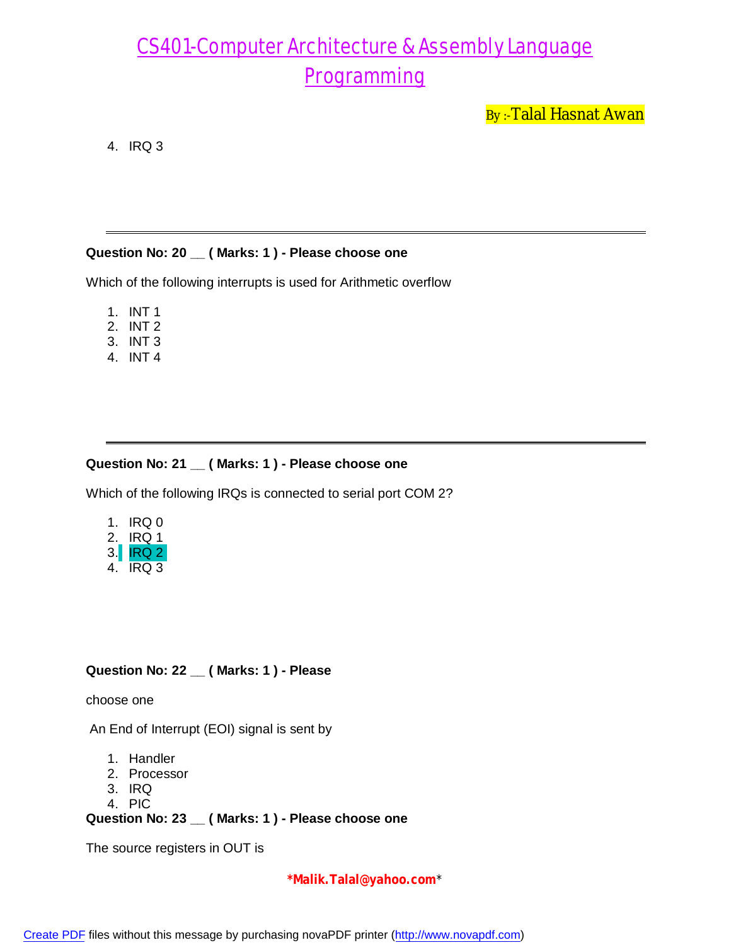By :-Talal Hasnat Awan

4. IRQ 3

#### **Question No: 20 \_\_ ( Marks: 1 ) - Please choose one**

Which of the following interrupts is used for Arithmetic overflow

- 1. INT 1
- 2. INT 2
- 3. INT 3
- 4. INT 4

#### **Question No: 21 \_\_ ( Marks: 1 ) - Please choose one**

Which of the following IRQs is connected to serial port COM 2?

- 1. IRQ 0 2. IRQ 1
- 3.<mark>| IRQ 2</mark> 4. IRQ 3

### **Question No: 22 \_\_ ( Marks: 1 ) - Please**

choose one

An End of Interrupt (EOI) signal is sent by

- 1. Handler
- 2. Processor
- 3. IRQ
- 4. PIC

**Question No: 23 \_\_ ( Marks: 1 ) - Please choose one**

The source registers in OUT is

**\*Malik.Talal@yahoo.com**\*

[Create PDF](http://www.novapdf.com) files without this message by purchasing novaPDF printer (<http://www.novapdf.com>)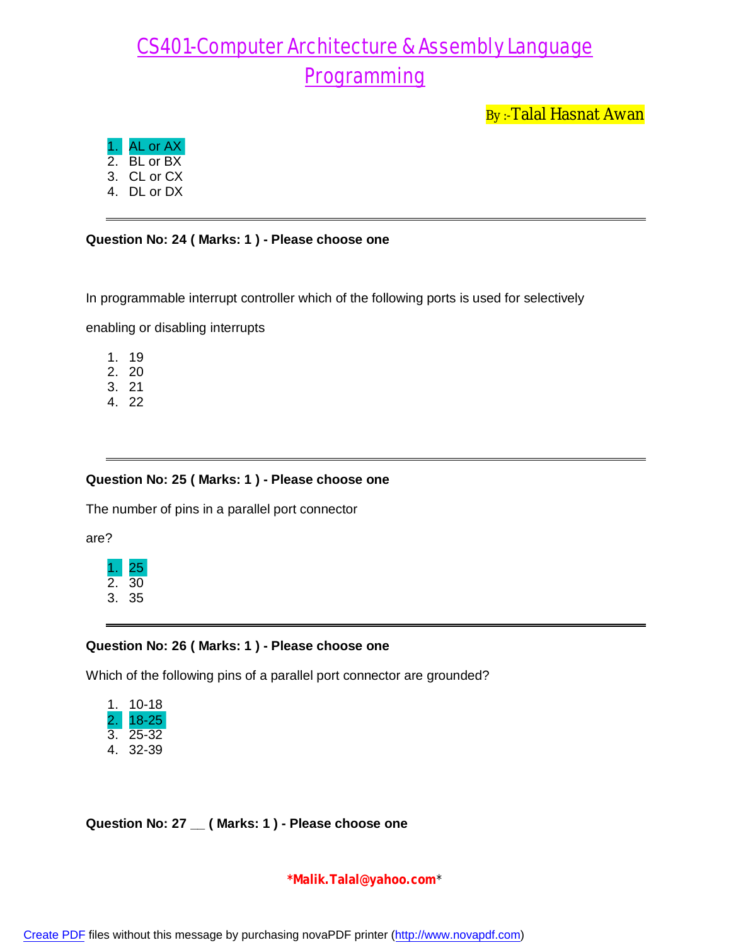By:-Talal Hasnat Awan

- 1. AL or AX
- 2. BL or BX
- 3. CL or CX
- 4. DL or DX

### **Question No: 24 ( Marks: 1 ) - Please choose one**

In programmable interrupt controller which of the following ports is used for selectively

enabling or disabling interrupts

- 1. 19
- 2. 20
- 3. 21
- 4. 22

#### **Question No: 25 ( Marks: 1 ) - Please choose one**

The number of pins in a parallel port connector

are?



### **Question No: 26 ( Marks: 1 ) - Please choose one**

Which of the following pins of a parallel port connector are grounded?

| 1. | 10-18 |
|----|-------|
| 2  | 18-25 |
| 3. | 25-32 |
| 4. | 32-39 |

**Question No: 27 \_\_ ( Marks: 1 ) - Please choose one**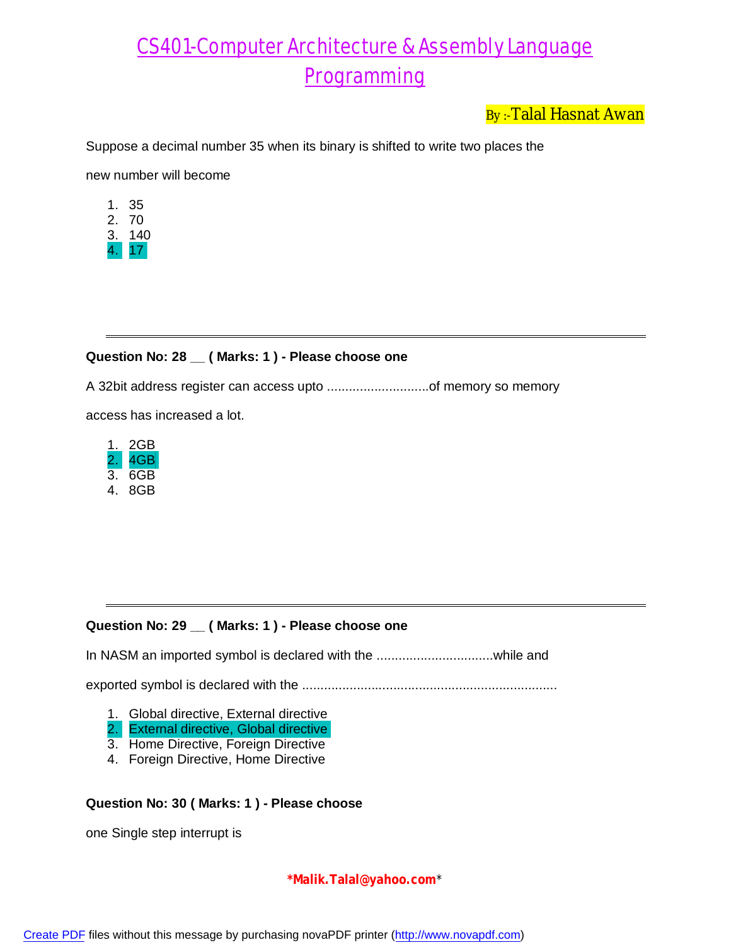By:-Talal Hasnat Awan

Suppose a decimal number 35 when its binary is shifted to write two places the

new number will become

- 1. 35
- 2. 70
- 3. 140
- 4. 17

#### **Question No: 28 \_\_ ( Marks: 1 ) - Please choose one**

A 32bit address register can access upto ............................of memory so memory

access has increased a lot.



#### **Question No: 29 \_\_ ( Marks: 1 ) - Please choose one**

In NASM an imported symbol is declared with the ................................while and

exported symbol is declared with the ......................................................................

- 1. Global directive, External directive
- 2. External directive, Global directive
- 3. Home Directive, Foreign Directive
- 4. Foreign Directive, Home Directive

#### **Question No: 30 ( Marks: 1 ) - Please choose**

one Single step interrupt is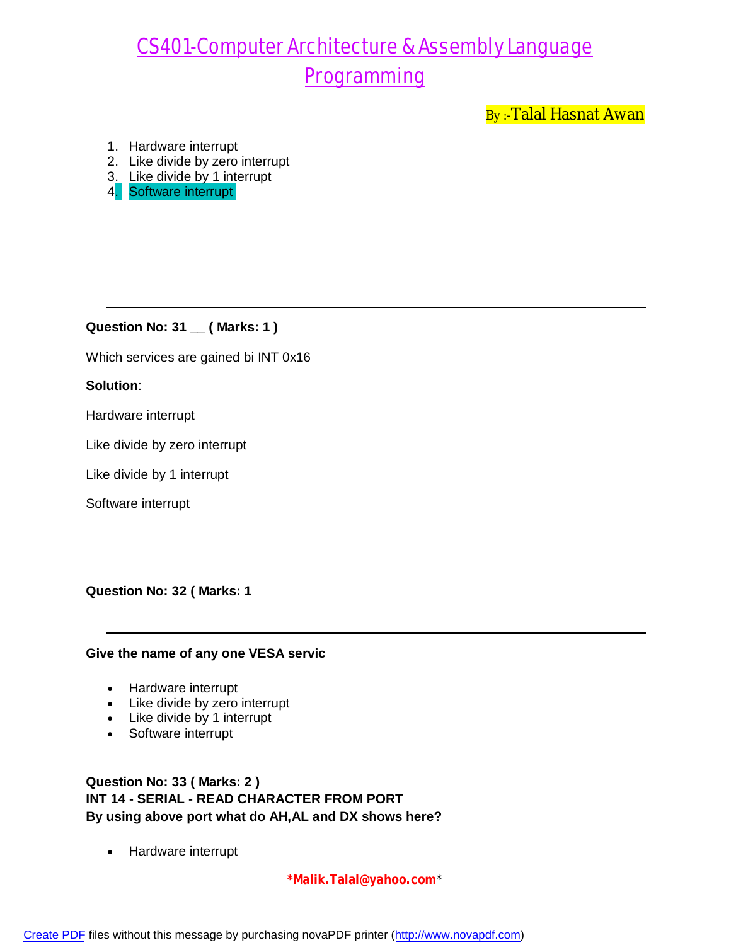By :-Talal Hasnat Awan

- 1. Hardware interrupt
- 2. Like divide by zero interrupt
- 3. Like divide by 1 interrupt
- 4. Software interrupt

**Question No: 31 \_\_ ( Marks: 1 )**

Which services are gained bi INT 0x16

### **Solution**:

Hardware interrupt

Like divide by zero interrupt

Like divide by 1 interrupt

Software interrupt

**Question No: 32 ( Marks: 1** 

#### **Give the name of any one VESA servic**

- Hardware interrupt
- Like divide by zero interrupt
- Like divide by 1 interrupt
- Software interrupt

**Question No: 33 ( Marks: 2 ) INT 14 - SERIAL - READ CHARACTER FROM PORT By using above port what do AH,AL and DX shows here?**

• Hardware interrupt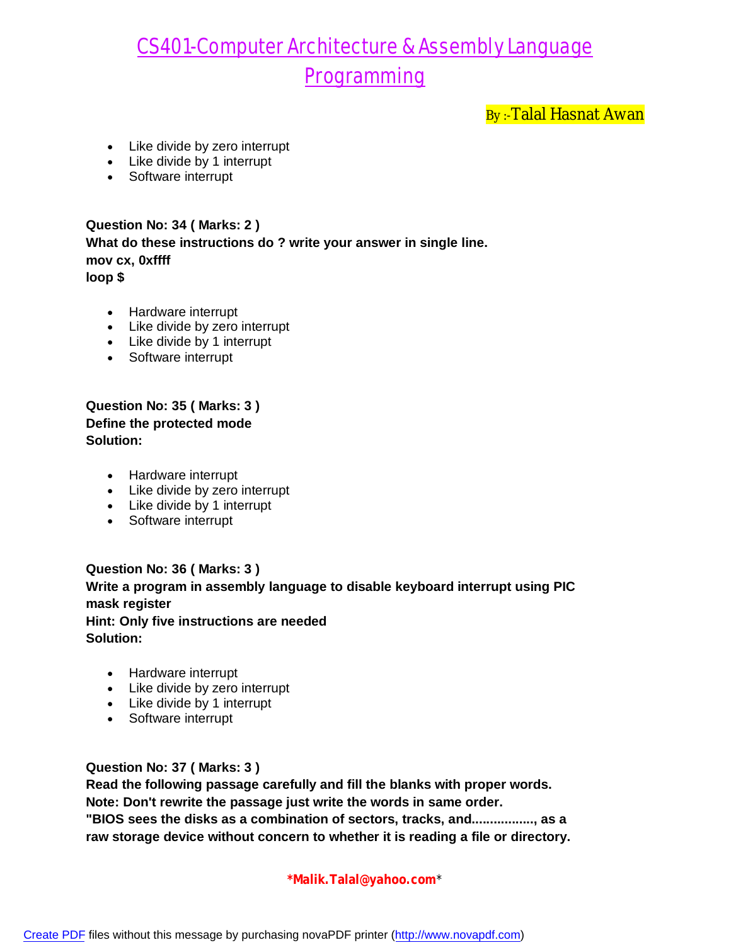By :-Talal Hasnat Awan

- Like divide by zero interrupt
- Like divide by 1 interrupt
- Software interrupt

**Question No: 34 ( Marks: 2 ) What do these instructions do ? write your answer in single line. mov cx, 0xffff loop \$**

- Hardware interrupt
- Like divide by zero interrupt
- Like divide by 1 interrupt
- Software interrupt

**Question No: 35 ( Marks: 3 ) Define the protected mode Solution:**

- Hardware interrupt
- Like divide by zero interrupt
- Like divide by 1 interrupt
- Software interrupt

**Question No: 36 ( Marks: 3 ) Write a program in assembly language to disable keyboard interrupt using PIC mask register Hint: Only five instructions are needed Solution:**

- Hardware interrupt
- Like divide by zero interrupt
- Like divide by 1 interrupt
- Software interrupt

**Question No: 37 ( Marks: 3 )**

**Read the following passage carefully and fill the blanks with proper words. Note: Don't rewrite the passage just write the words in same order. "BIOS sees the disks as a combination of sectors, tracks, and................., as a raw storage device without concern to whether it is reading a file or directory.**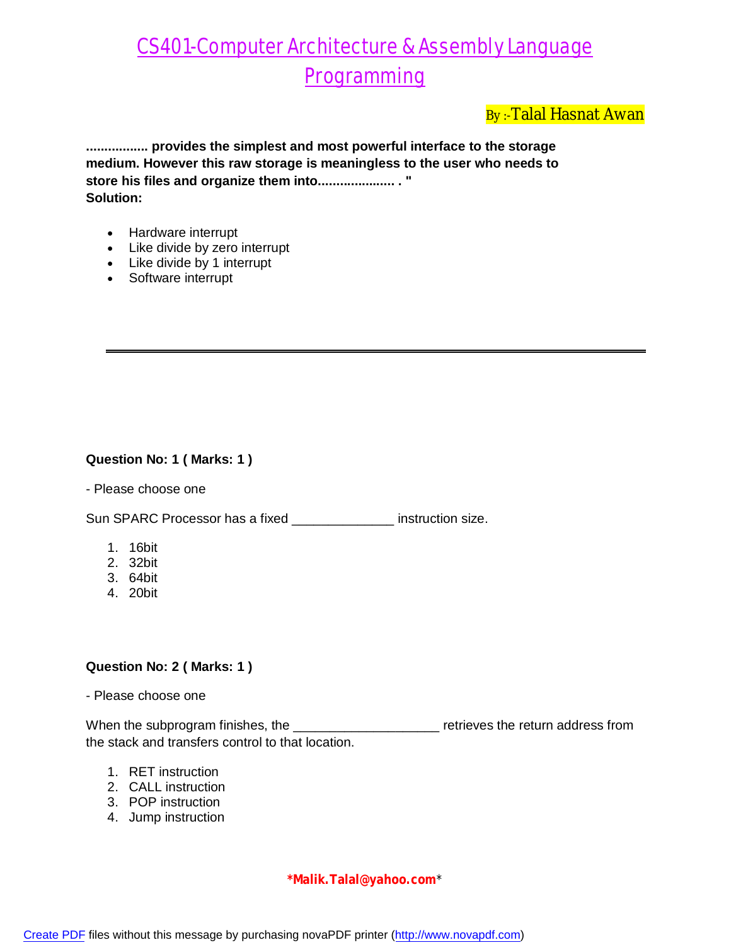### By :-Talal Hasnat Awan

**................. provides the simplest and most powerful interface to the storage medium. However this raw storage is meaningless to the user who needs to store his files and organize them into..................... . " Solution:**

- Hardware interrupt
- Like divide by zero interrupt
- Like divide by 1 interrupt
- Software interrupt

### **Question No: 1 ( Marks: 1 )**

- Please choose one

Sun SPARC Processor has a fixed \_\_\_\_\_\_\_\_\_\_\_\_\_\_ instruction size.

- 1. 16bit
- 2. 32bit
- 3. 64bit
- 4. 20bit

#### **Question No: 2 ( Marks: 1 )**

- Please choose one

When the subprogram finishes, the \_\_\_\_\_\_\_\_\_\_\_\_\_\_\_\_\_\_\_\_ retrieves the return address from the stack and transfers control to that location.

- 1. RET instruction
- 2. CALL instruction
- 3. POP instruction
- 4. Jump instruction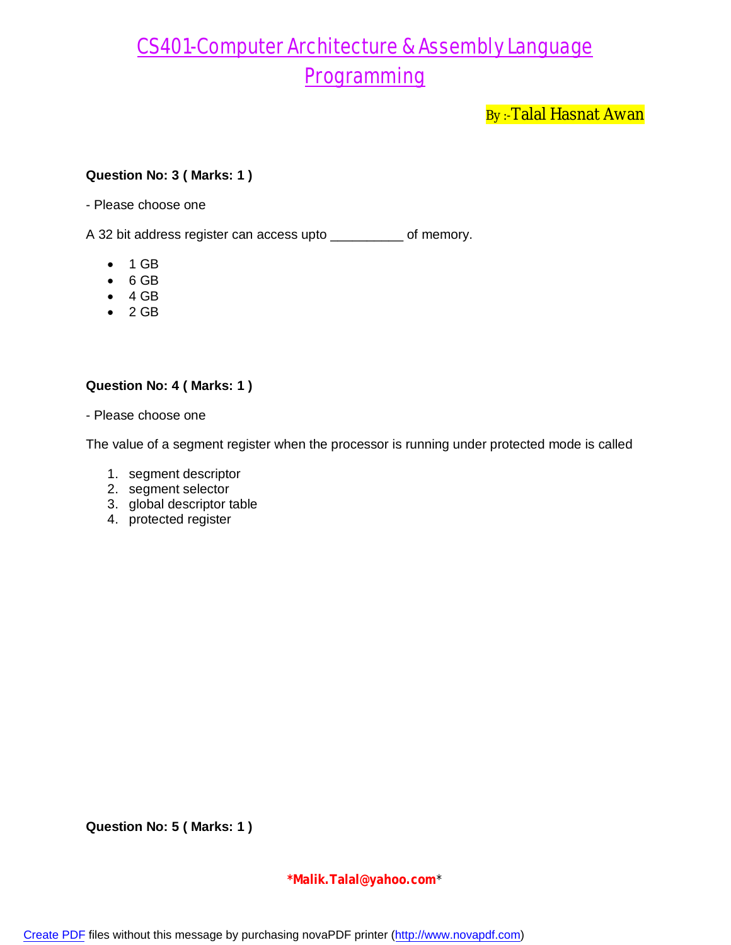By:-Talal Hasnat Awan

#### **Question No: 3 ( Marks: 1 )**

- Please choose one

A 32 bit address register can access upto \_\_\_\_\_\_\_\_\_\_ of memory.

- $\bullet$  1 GB
- $-6$  GB
- $-4$  GB
- $\bullet$  2 GB

#### **Question No: 4 ( Marks: 1 )**

- Please choose one

The value of a segment register when the processor is running under protected mode is called

- 1. segment descriptor
- 2. segment selector
- 3. global descriptor table
- 4. protected register

**Question No: 5 ( Marks: 1 )**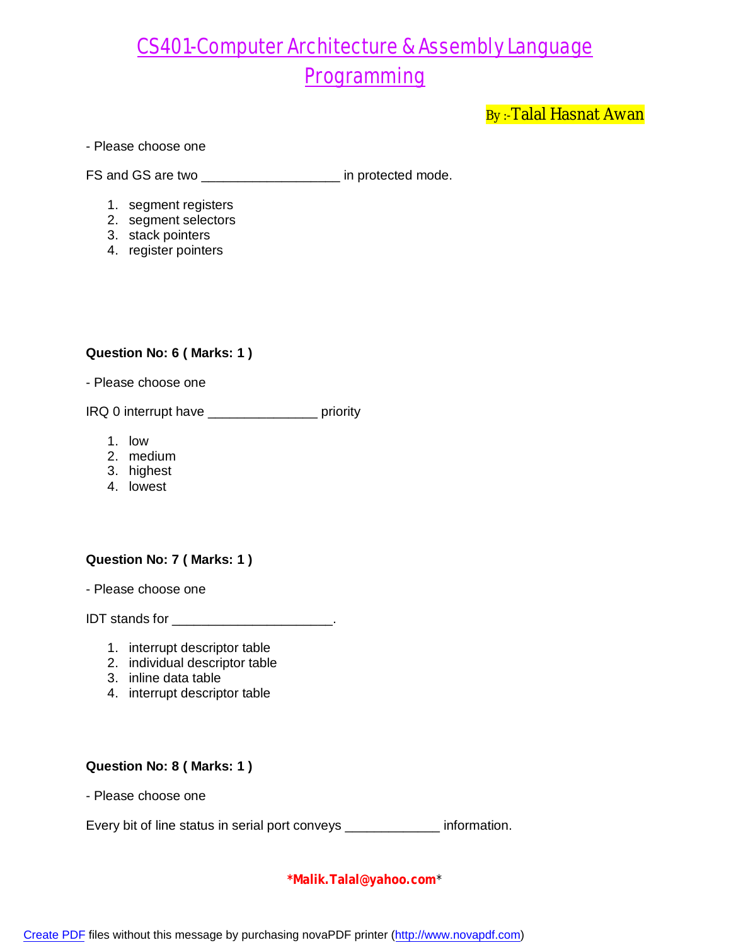By:-Talal Hasnat Awan

#### - Please choose one

FS and GS are two \_\_\_\_\_\_\_\_\_\_\_\_\_\_\_\_\_\_\_\_\_\_ in protected mode.

- 1. segment registers
- 2. segment selectors
- 3. stack pointers
- 4. register pointers

### **Question No: 6 ( Marks: 1 )**

- Please choose one

IRQ 0 interrupt have \_\_\_\_\_\_\_\_\_\_\_\_\_\_\_ priority

- 1. low
- 2. medium
- 3. highest
- 4. lowest

#### **Question No: 7 ( Marks: 1 )**

- Please choose one

IDT stands for \_\_\_\_\_\_\_\_\_\_\_\_\_\_\_\_\_\_\_\_\_\_.

- 1. interrupt descriptor table
- 2. individual descriptor table
- 3. inline data table
- 4. interrupt descriptor table

#### **Question No: 8 ( Marks: 1 )**

- Please choose one

Every bit of line status in serial port conveys \_\_\_\_\_\_\_\_\_\_\_ information.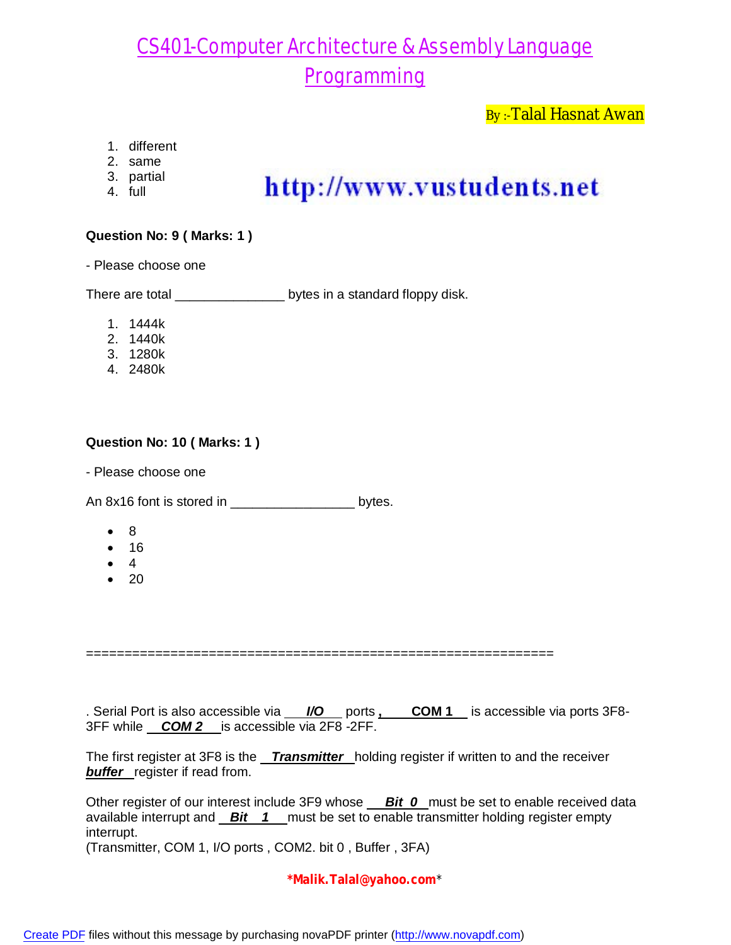By:-Talal Hasnat Awan

- 1. different
- 2. same
- 3. partial
- 4. full

## http://www.vustudents.net

### **Question No: 9 ( Marks: 1 )**

- Please choose one

There are total \_\_\_\_\_\_\_\_\_\_\_\_\_\_\_\_\_\_\_ bytes in a standard floppy disk.

- 1. 1444k
- 2. 1440k
- 3. 1280k
- 4. 2480k

### **Question No: 10 ( Marks: 1 )**

- Please choose one

An 8x16 font is stored in \_\_\_\_\_\_\_\_\_\_\_\_\_\_\_\_\_\_\_\_\_\_\_\_ bytes.

- 8
- $16$
- $\bullet$  4
- $\bullet$  20

=============================================================

. Serial Port is also accessible via  $\frac{1}{0}$  ports **, COM 1** is accessible via ports 3F8-3FF while *COM 2* is accessible via 2F8 -2FF.

The first register at 3F8 is the *Transmitter* holding register if written to and the receiver **buffer** register if read from.

Other register of our interest include 3F9 whose *Bit 0* must be set to enable received data available interrupt and *Bit 1* must be set to enable transmitter holding register empty interrupt. (Transmitter, COM 1, I/O ports , COM2. bit 0 , Buffer , 3FA)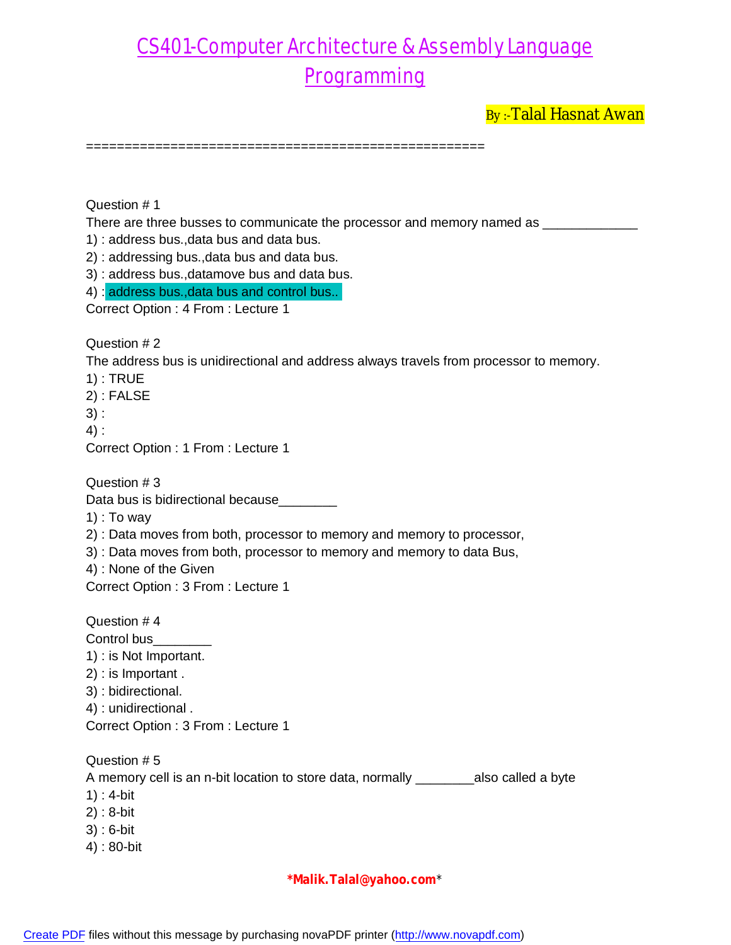By:-Talal Hasnat Awan

====================================================

Question # 1

There are three busses to communicate the processor and memory named as \_\_\_\_\_\_\_\_

1) : address bus.,data bus and data bus.

2) : addressing bus.,data bus and data bus.

3) : address bus.,datamove bus and data bus.

4) : address bus., data bus and control bus.

Correct Option : 4 From : Lecture 1

Question # 2

The address bus is unidirectional and address always travels from processor to memory.

1) : TRUE

2) : FALSE

 $3)$  :

4) :

Correct Option : 1 From : Lecture 1

Question # 3

Data bus is bidirectional because

1) : To way

2) : Data moves from both, processor to memory and memory to processor,

3) : Data moves from both, processor to memory and memory to data Bus,

4) : None of the Given

Correct Option : 3 From : Lecture 1

Question # 4 Control bus 1) : is Not Important. 2) : is Important . 3) : bidirectional. 4) : unidirectional . Correct Option : 3 From : Lecture 1 Question # 5

A memory cell is an n-bit location to store data, normally \_\_\_\_\_\_\_\_also called a byte

- 1) : 4-bit
- 2) : 8-bit
- 3) : 6-bit
- 4) : 80-bit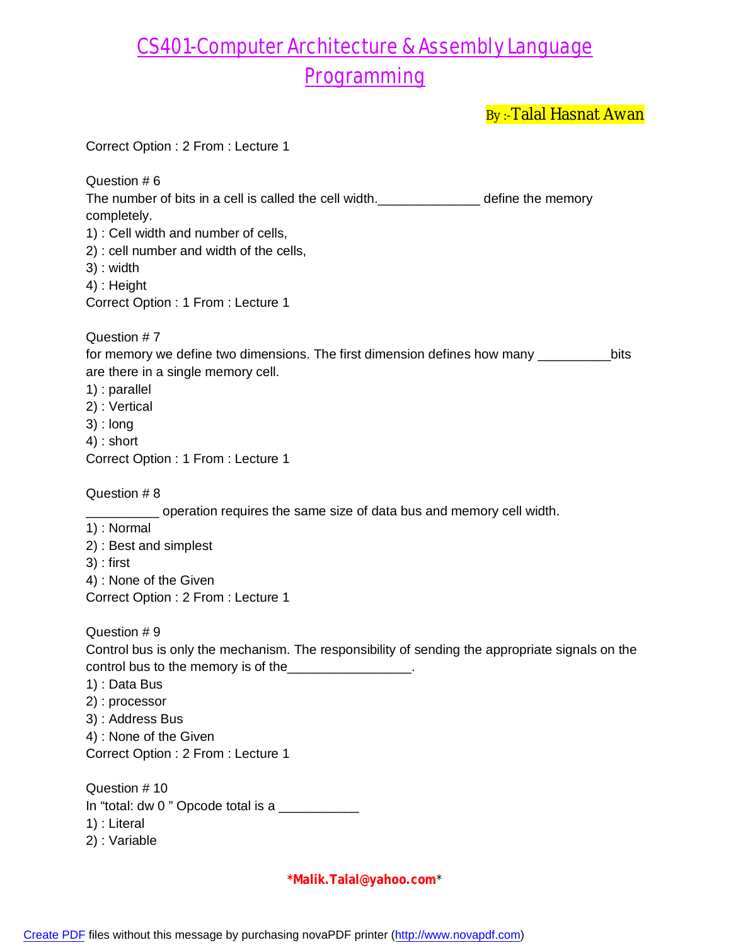By :- Talal Hasnat Awan

|                                                                                                 | <u>,, a.a.a.a.vva.</u> |
|-------------------------------------------------------------------------------------------------|------------------------|
| Correct Option: 2 From: Lecture 1                                                               |                        |
| Question #6<br>The number of bits in a cell is called the cell width.<br><u>Lettime memory</u>  |                        |
| completely.<br>1) : Cell width and number of cells,                                             |                        |
| 2) : cell number and width of the cells,                                                        |                        |
| 3) : width                                                                                      |                        |
| 4) : Height                                                                                     |                        |
| Correct Option: 1 From: Lecture 1                                                               |                        |
| Question #7                                                                                     |                        |
| for memory we define two dimensions. The first dimension defines how many ______                | bits                   |
| are there in a single memory cell.                                                              |                        |
| $1$ : parallel                                                                                  |                        |
| 2) : Vertical                                                                                   |                        |
| $3)$ : long<br>$4)$ : short                                                                     |                        |
| Correct Option: 1 From: Lecture 1                                                               |                        |
| Question #8                                                                                     |                        |
| operation requires the same size of data bus and memory cell width.                             |                        |
| 1): Normal                                                                                      |                        |
| 2) : Best and simplest                                                                          |                        |
| $3$ ) : first                                                                                   |                        |
| 4) : None of the Given                                                                          |                        |
| Correct Option: 2 From: Lecture 1                                                               |                        |
| Question #9                                                                                     |                        |
| Control bus is only the mechanism. The responsibility of sending the appropriate signals on the |                        |
| control bus to the memory is of the_________________.                                           |                        |
| 1) : Data Bus                                                                                   |                        |
| 2): processor                                                                                   |                        |
| 3) : Address Bus                                                                                |                        |
| 4) : None of the Given<br>Correct Option: 2 From: Lecture 1                                     |                        |
|                                                                                                 |                        |
| Question #10                                                                                    |                        |
| In "total: dw 0" Opcode total is a ____________                                                 |                        |
| 1) : Literal                                                                                    |                        |
| 2): Variable                                                                                    |                        |
|                                                                                                 |                        |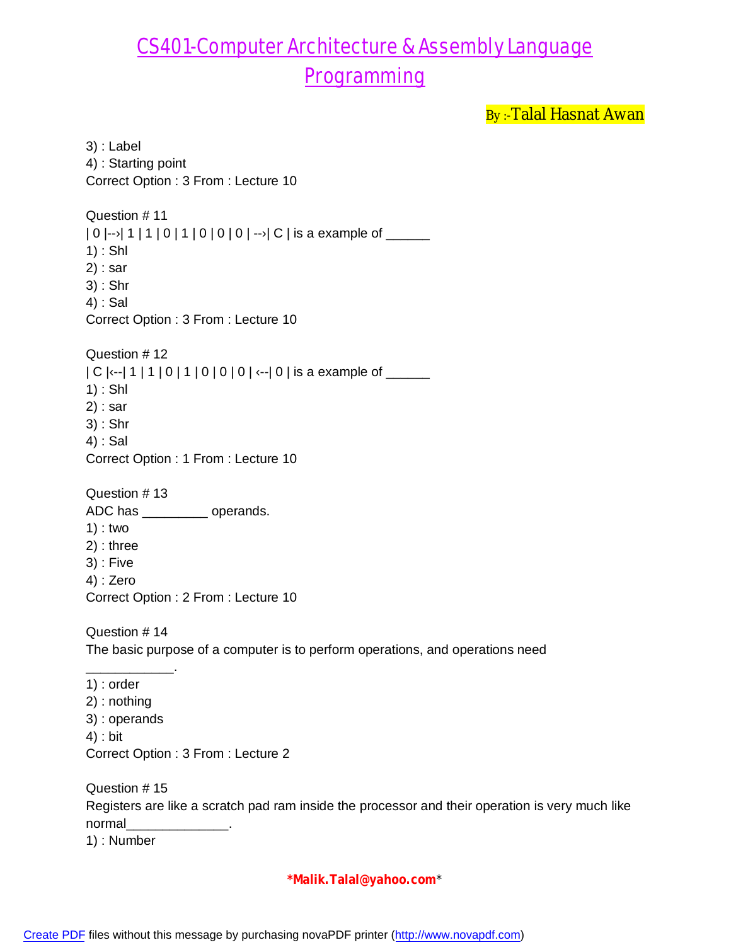By:-Talal Hasnat Awan

3) : Label 4) : Starting point Correct Option : 3 From : Lecture 10 Question # 11  $|0|$ -- $|1|1|0|1|0|0|0|$  -- $|C|$  is a example of \_\_\_\_\_ 1) : Shl 2) : sar 3) : Shr 4) : Sal Correct Option : 3 From : Lecture 10 Question # 12  $|C|$   $\left| \begin{array}{c} -2 \\ -1 \end{array} \right|$  1 | 0 | 1 | 0 | 0 | 0 |  $\left| \begin{array}{c} -1 \\ -1 \end{array} \right|$  is a example of \_\_\_\_\_ 1) : Shl 2) : sar 3) : Shr 4) : Sal Correct Option : 1 From : Lecture 10 Question # 13 ADC has \_\_\_\_\_\_\_\_\_ operands. 1) : two 2) : three 3) : Five 4) : Zero Correct Option : 2 From : Lecture 10 Question # 14 The basic purpose of a computer is to perform operations, and operations need \_\_\_\_\_\_\_\_\_\_\_\_. 1) : order 2) : nothing 3) : operands 4) : bit Correct Option : 3 From : Lecture 2 Question # 15 Registers are like a scratch pad ram inside the processor and their operation is very much like normal\_\_\_\_\_\_\_\_\_\_\_\_\_\_. 1) : Number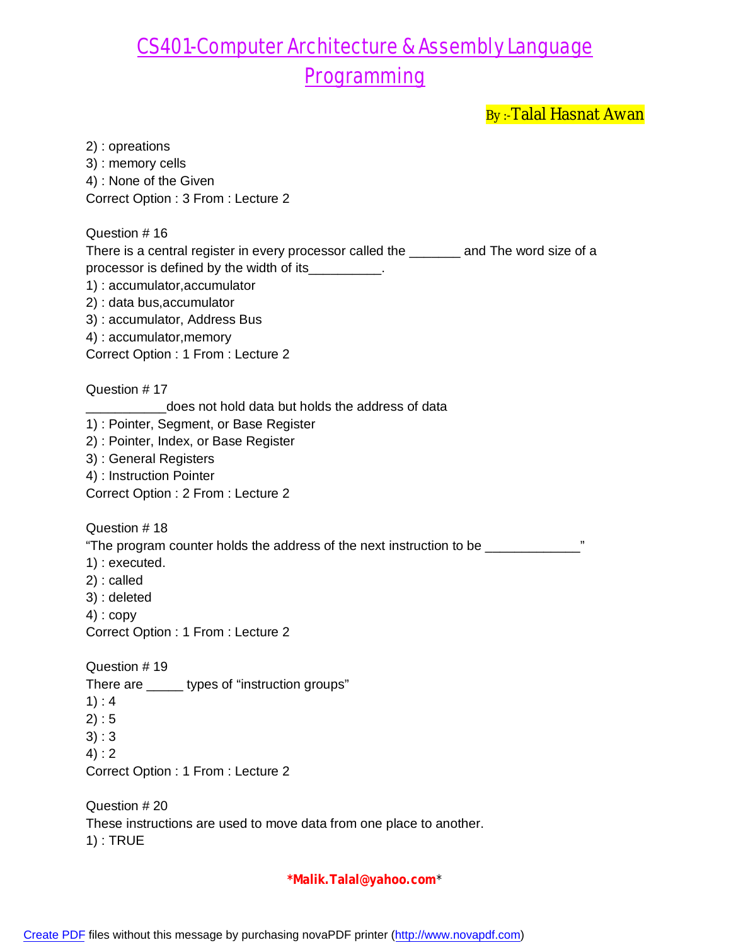By :- Talal Hasnat Awan

| 2) : opreations                                                                           |
|-------------------------------------------------------------------------------------------|
| 3) : memory cells                                                                         |
| 4) : None of the Given                                                                    |
| Correct Option: 3 From: Lecture 2                                                         |
| Question #16                                                                              |
| There is a central register in every processor called the ________ and The word size of a |
| processor is defined by the width of its_________.                                        |
| 1): accumulator, accumulator                                                              |
| 2) : data bus, accumulator                                                                |
| 3): accumulator, Address Bus                                                              |
| 4) : accumulator, memory                                                                  |
| Correct Option: 1 From: Lecture 2                                                         |
| Question #17                                                                              |
| does not hold data but holds the address of data                                          |
| 1): Pointer, Segment, or Base Register                                                    |
| 2) : Pointer, Index, or Base Register<br>3) : General Registers                           |
| 4) : Instruction Pointer                                                                  |
| Correct Option: 2 From: Lecture 2                                                         |
|                                                                                           |
| Question #18                                                                              |
| "The program counter holds the address of the next instruction to be ___________          |
| $1$ : executed.<br>$2)$ : called                                                          |
| 3) : deleted                                                                              |
| $4$ ) : copy                                                                              |
| Correct Option: 1 From: Lecture 2                                                         |
| Question #19                                                                              |
| There are ______ types of "instruction groups"                                            |
| 1): 4                                                                                     |
| 2): 5                                                                                     |
| 3):3                                                                                      |
| 4): 2                                                                                     |
| Correct Option : 1 From : Lecture 2                                                       |
| Question # 20                                                                             |
| These instructions are used to move data from one place to another.<br>$1)$ : TRUE        |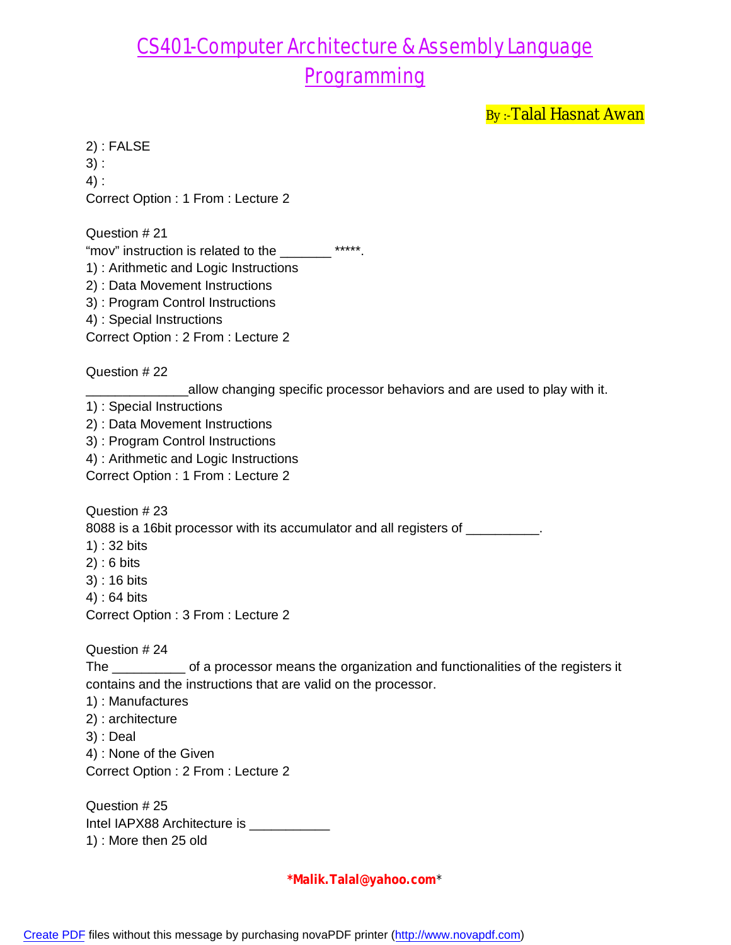By:-Talal Hasnat Awan

2) : FALSE 3) : 4) : Correct Option : 1 From : Lecture 2

Question # 21

"mov" instruction is related to the \_\_\_\_\_\_\_ \*\*\*\*\*.

1) : Arithmetic and Logic Instructions

- 2) : Data Movement Instructions
- 3) : Program Control Instructions
- 4) : Special Instructions

Correct Option : 2 From : Lecture 2

Question # 22

\_allow changing specific processor behaviors and are used to play with it.

1) : Special Instructions

2) : Data Movement Instructions

- 3) : Program Control Instructions
- 4) : Arithmetic and Logic Instructions

Correct Option : 1 From : Lecture 2

Question # 23

8088 is a 16bit processor with its accumulator and all registers of \_\_\_\_\_\_\_\_\_\_.

- 1) : 32 bits
- 2) : 6 bits
- 3) : 16 bits
- 4) : 64 bits

Correct Option : 3 From : Lecture 2

Question # 24

The \_\_\_\_\_\_\_\_\_\_ of a processor means the organization and functionalities of the registers it contains and the instructions that are valid on the processor.

- 1) : Manufactures
- 2) : architecture
- 3) : Deal
- 4) : None of the Given

Correct Option : 2 From : Lecture 2

Question # 25 Intel IAPX88 Architecture is \_\_\_\_\_\_\_\_\_\_\_\_ 1) : More then 25 old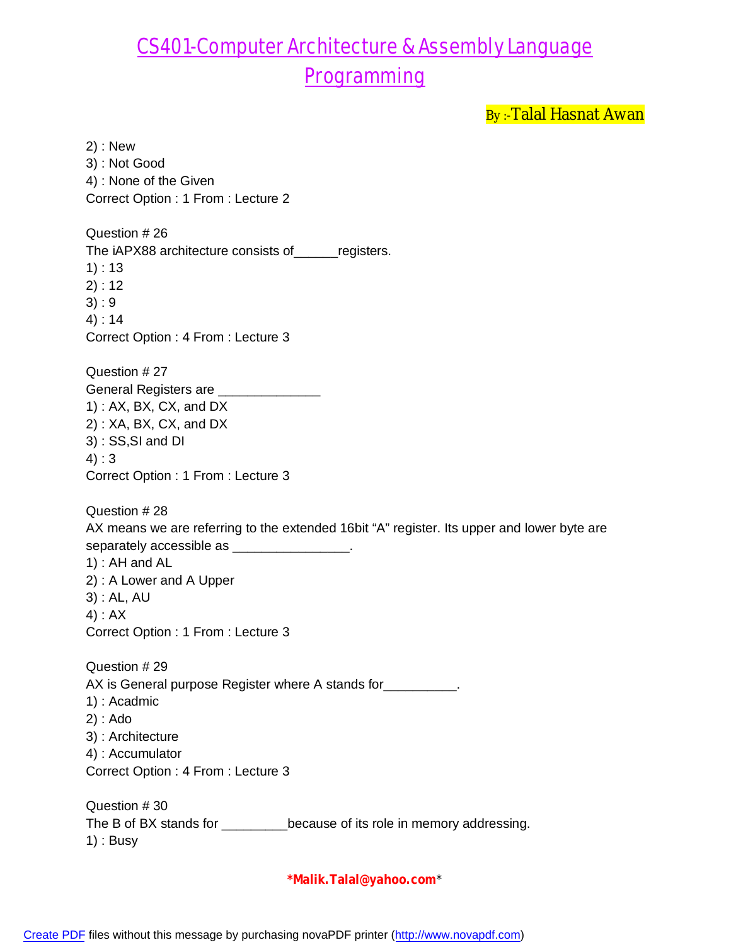By:-Talal Hasnat Awan

2) : New 3) : Not Good 4) : None of the Given Correct Option : 1 From : Lecture 2 Question # 26 The iAPX88 architecture consists of registers. 1) : 13 2) : 12 3) : 9 4) : 14 Correct Option : 4 From : Lecture 3 Question # 27 General Registers are \_\_\_\_\_\_\_\_\_ 1) : AX, BX, CX, and DX 2) : XA, BX, CX, and DX 3) : SS,SI and DI 4) : 3 Correct Option : 1 From : Lecture 3 Question # 28 AX means we are referring to the extended 16bit "A" register. Its upper and lower byte are separately accessible as \_\_\_\_\_\_\_\_\_\_\_\_\_\_\_\_. 1) : AH and AL 2) : A Lower and A Upper 3) : AL, AU 4) : AX Correct Option : 1 From : Lecture 3 Question # 29 AX is General purpose Register where A stands for \_\_\_\_\_\_\_\_\_\_. 1) : Acadmic 2) : Ado 3) : Architecture 4) : Accumulator Correct Option : 4 From : Lecture 3 Question # 30 The B of BX stands for \_\_\_\_\_\_\_\_\_\_because of its role in memory addressing. 1) : Busy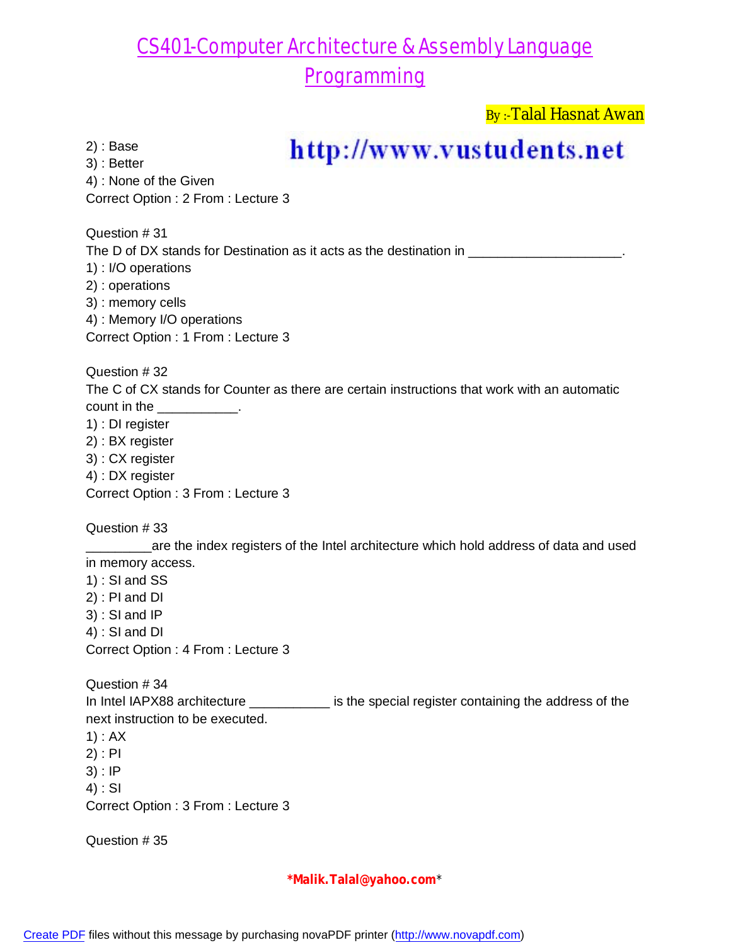By :-Talal Hasnat Awan

2) : Base

## http://www.vustudents.net

3) : Better 4) : None of the Given Correct Option : 2 From : Lecture 3

Question # 31

The D of DX stands for Destination as it acts as the destination in

1) : I/O operations

2) : operations

3) : memory cells

4) : Memory I/O operations

Correct Option : 1 From : Lecture 3

Question # 32

The C of CX stands for Counter as there are certain instructions that work with an automatic count in the \_\_\_\_\_\_\_\_\_\_\_.

1) : DI register

2) : BX register

3) : CX register

4) : DX register

Correct Option : 3 From : Lecture 3

Question # 33

**\_\_\_\_\_\_\_are the index registers of the Intel architecture which hold address of data and used** in memory access.

1) : SI and SS

2) : PI and DI

3) : SI and IP

4) : SI and DI

Correct Option : 4 From : Lecture 3

Question # 34 In Intel IAPX88 architecture \_\_\_\_\_\_\_\_\_\_\_\_ is the special register containing the address of the next instruction to be executed.

1) : AX

2) : PI

3) : IP

4) : SI

Correct Option : 3 From : Lecture 3

Question # 35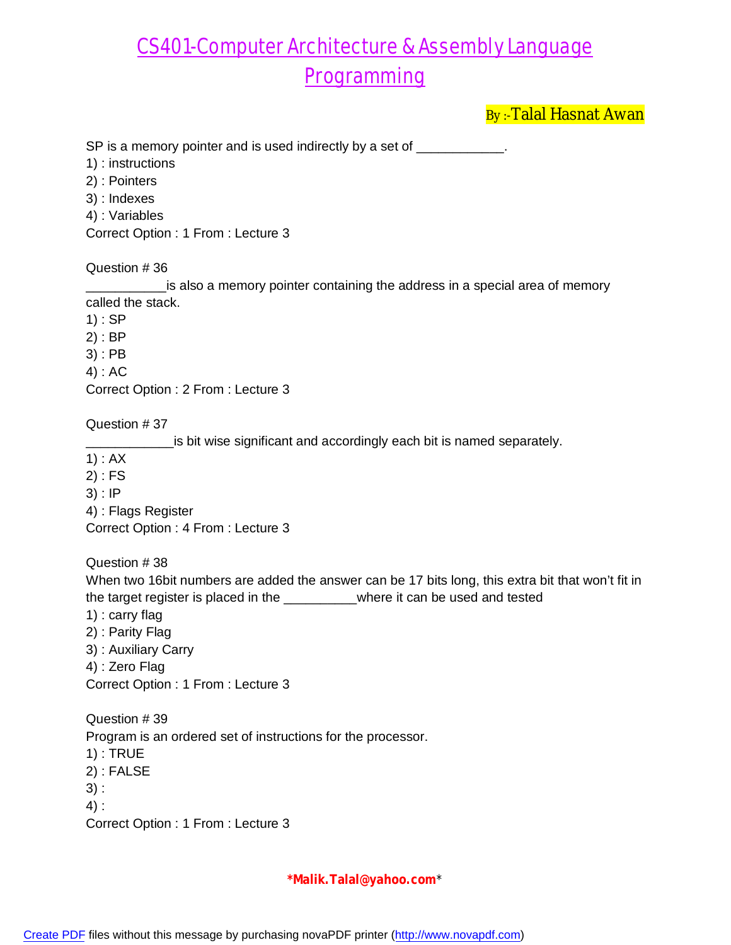By:-Talal Hasnat Awan

SP is a memory pointer and is used indirectly by a set of \_\_\_\_\_\_\_\_\_\_\_.

- 1) : instructions
- 2) : Pointers
- 3) : Indexes
- 4) : Variables

Correct Option : 1 From : Lecture 3

#### Question # 36

\_\_\_\_\_\_\_\_\_\_\_is also a memory pointer containing the address in a special area of memory called the stack.

1) : SP

- 2) : BP
- 3) : PB
- 4) : AC

Correct Option : 2 From : Lecture 3

Question # 37

is bit wise significant and accordingly each bit is named separately.

- 1) : AX
- 2) : FS
- 3) : IP
- 4) : Flags Register

Correct Option : 4 From : Lecture 3

Question # 38

When two 16bit numbers are added the answer can be 17 bits long, this extra bit that won't fit in the target register is placed in the \_\_\_\_\_\_\_\_\_\_where it can be used and tested

- 1) : carry flag
- 2) : Parity Flag
- 3) : Auxiliary Carry
- 4) : Zero Flag

Correct Option : 1 From : Lecture 3

Question # 39 Program is an ordered set of instructions for the processor. 1) : TRUE 2) : FALSE 3) : 4) :

Correct Option : 1 From : Lecture 3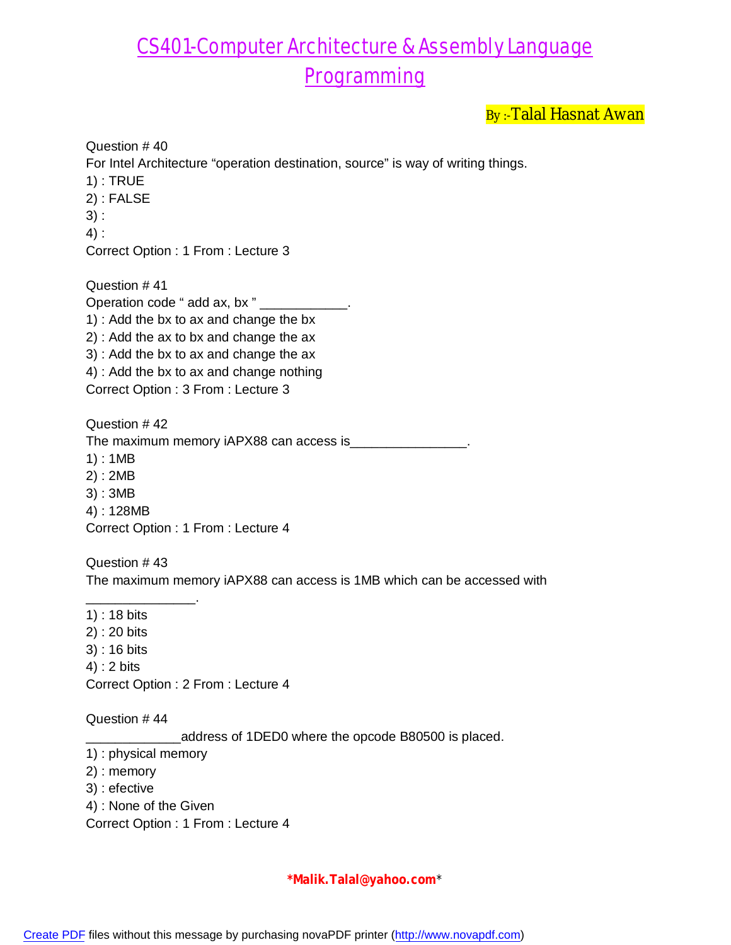By:-Talal Hasnat Awan

Question # 40 For Intel Architecture "operation destination, source" is way of writing things. 1) : TRUE 2) : FALSE 3) : 4) : Correct Option : 1 From : Lecture 3 Question # 41

Operation code " add ax, bx " \_\_\_\_\_\_\_ 1) : Add the bx to ax and change the bx 2) : Add the ax to bx and change the ax 3) : Add the bx to ax and change the ax 4) : Add the bx to ax and change nothing Correct Option : 3 From : Lecture 3

Question # 42 The maximum memory iAPX88 can access is\_\_\_\_\_\_\_\_\_\_\_\_\_\_\_\_. 1) : 1MB 2) : 2MB 3) : 3MB

4) : 128MB

Correct Option : 1 From : Lecture 4

Question # 43 The maximum memory iAPX88 can access is 1MB which can be accessed with

\_\_\_\_\_\_\_\_\_\_\_\_\_\_\_. 1) : 18 bits 2) : 20 bits 3) : 16 bits 4) : 2 bits Correct Option : 2 From : Lecture 4

Question # 44

address of 1DED0 where the opcode B80500 is placed.

- 1) : physical memory
- 2) : memory
- 3) : efective
- 4) : None of the Given

Correct Option : 1 From : Lecture 4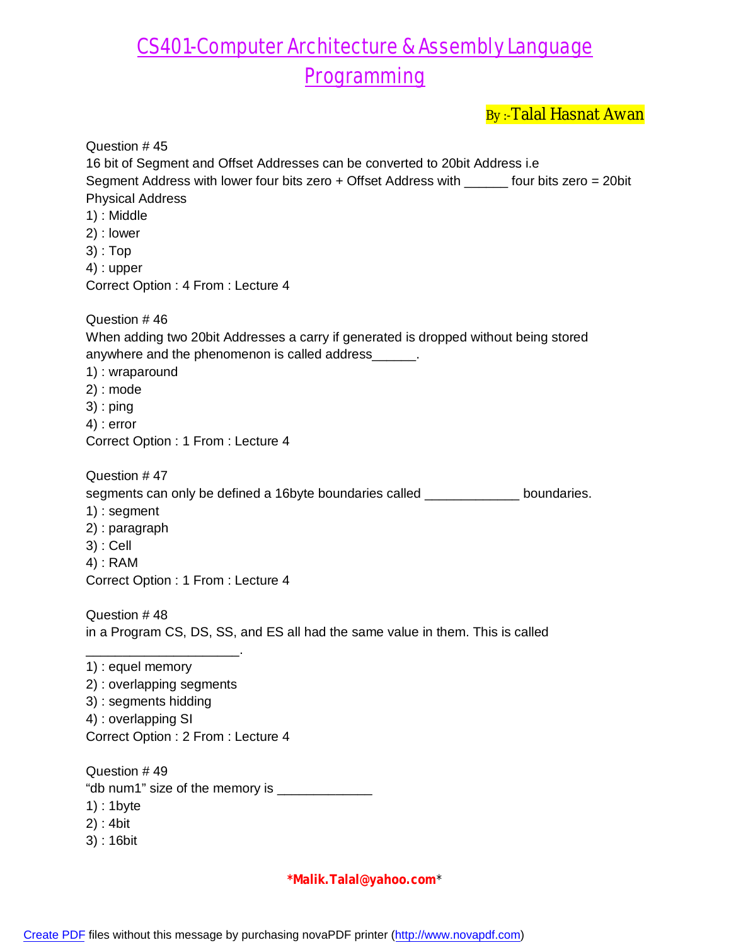By :- Talal Hasnat Awan

| Question #45                                                                                 |
|----------------------------------------------------------------------------------------------|
| 16 bit of Segment and Offset Addresses can be converted to 20 bit Address i.e.               |
| Segment Address with lower four bits zero + Offset Address with _____ four bits zero = 20bit |
| <b>Physical Address</b>                                                                      |
| 1) : Middle                                                                                  |
| 2) : lower                                                                                   |
| $3$ : Top                                                                                    |
| $4)$ : upper                                                                                 |
| Correct Option: 4 From: Lecture 4                                                            |
| Question #46                                                                                 |
| When adding two 20bit Addresses a carry if generated is dropped without being stored         |
| anywhere and the phenomenon is called address______.                                         |
| 1): wraparound                                                                               |
| $2)$ : mode                                                                                  |
| $3$ ) : ping                                                                                 |
| $4$ ) : error                                                                                |
| Correct Option: 1 From: Lecture 4                                                            |
| Question #47                                                                                 |
| segments can only be defined a 16byte boundaries called ___________ boundaries.              |
| $1)$ : segment                                                                               |
| 2) : paragraph                                                                               |
| $3)$ : Cell                                                                                  |
| $4)$ : RAM                                                                                   |
| Correct Option: 1 From: Lecture 4                                                            |
| Question #48                                                                                 |
| in a Program CS, DS, SS, and ES all had the same value in them. This is called               |
|                                                                                              |
| 1) : equel memory                                                                            |
| 2) : overlapping segments                                                                    |
| 3) : segments hidding                                                                        |
| 4) : overlapping SI                                                                          |
| Correct Option : 2 From : Lecture 4                                                          |
|                                                                                              |
| Question #49                                                                                 |
| "db num1" size of the memory is _______________                                              |
| $1$ : 1byte                                                                                  |
| $2)$ : 4bit                                                                                  |
| $3)$ : 16bit                                                                                 |
|                                                                                              |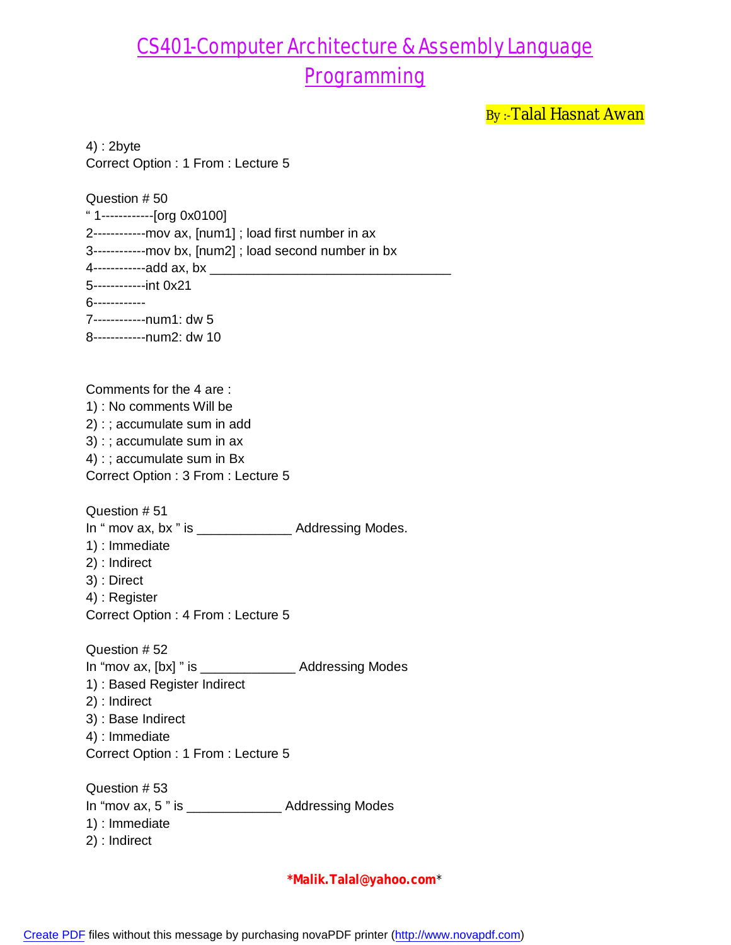By:-Talal Hasnat Awan

4) : 2byte Correct Option : 1 From : Lecture 5

Question # 50 " 1------------[org 0x0100] 2------------mov ax, [num1] ; load first number in ax 3------------mov bx, [num2] ; load second number in bx 4------------add ax, bx \_\_\_\_\_\_\_\_\_\_\_\_\_\_\_\_\_\_\_\_\_\_\_\_\_\_\_\_\_\_\_\_\_ 5------------int 0x21 6------------ 7------------num1: dw 5 8------------num2: dw 10

Comments for the 4 are : 1) : No comments Will be 2) : ; accumulate sum in add 3) : ; accumulate sum in ax 4) : ; accumulate sum in Bx Correct Option : 3 From : Lecture 5

Question # 51

In " mov ax, bx " is \_\_\_\_\_\_\_\_\_\_\_\_\_\_\_\_ Addressing Modes.

- 1) : Immediate
- 2) : Indirect
- 3) : Direct 4) : Register

Correct Option : 4 From : Lecture 5

Question # 52 In "mov ax, [bx] " is \_\_\_\_\_\_\_\_\_\_\_\_\_ Addressing Modes 1) : Based Register Indirect 2) : Indirect 3) : Base Indirect 4) : Immediate Correct Option : 1 From : Lecture 5

Question # 53 In "mov ax, 5" is \_\_\_\_\_\_\_\_\_\_\_\_\_\_\_\_\_\_ Addressing Modes 1) : Immediate 2) : Indirect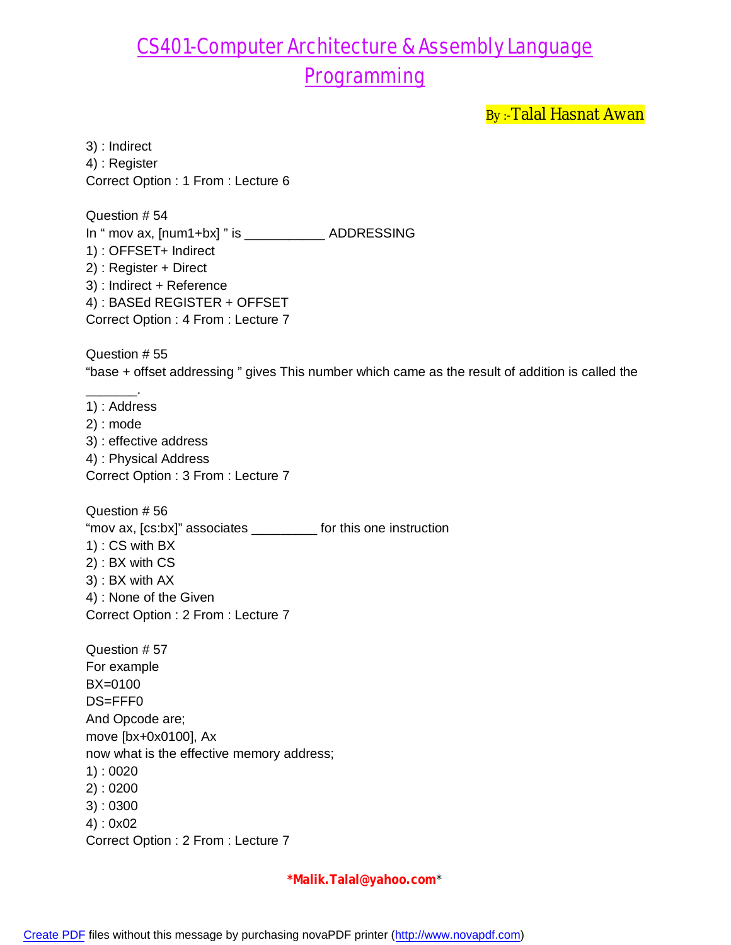By:-Talal Hasnat Awan

3) : Indirect 4) : Register Correct Option : 1 From : Lecture 6

Question # 54 In " mov ax, [num1+bx] " is \_\_\_\_\_\_\_\_\_\_\_ ADDRESSING 1) : OFFSET+ Indirect 2) : Register + Direct 3) : Indirect + Reference 4) : BASEd REGISTER + OFFSET Correct Option : 4 From : Lecture 7

Question # 55 "base + offset addressing " gives This number which came as the result of addition is called the

1) : Address 2) : mode 3) : effective address 4) : Physical Address Correct Option : 3 From : Lecture 7

\_\_\_\_\_\_\_.

Question # 56 "mov ax, [cs:bx]" associates \_\_\_\_\_\_\_\_\_ for this one instruction 1) : CS with BX 2) : BX with CS 3) : BX with AX 4) : None of the Given Correct Option : 2 From : Lecture 7

Question # 57 For example BX=0100 DS=FFF0 And Opcode are; move [bx+0x0100], Ax now what is the effective memory address; 1) : 0020 2) : 0200 3) : 0300 4) : 0x02 Correct Option : 2 From : Lecture 7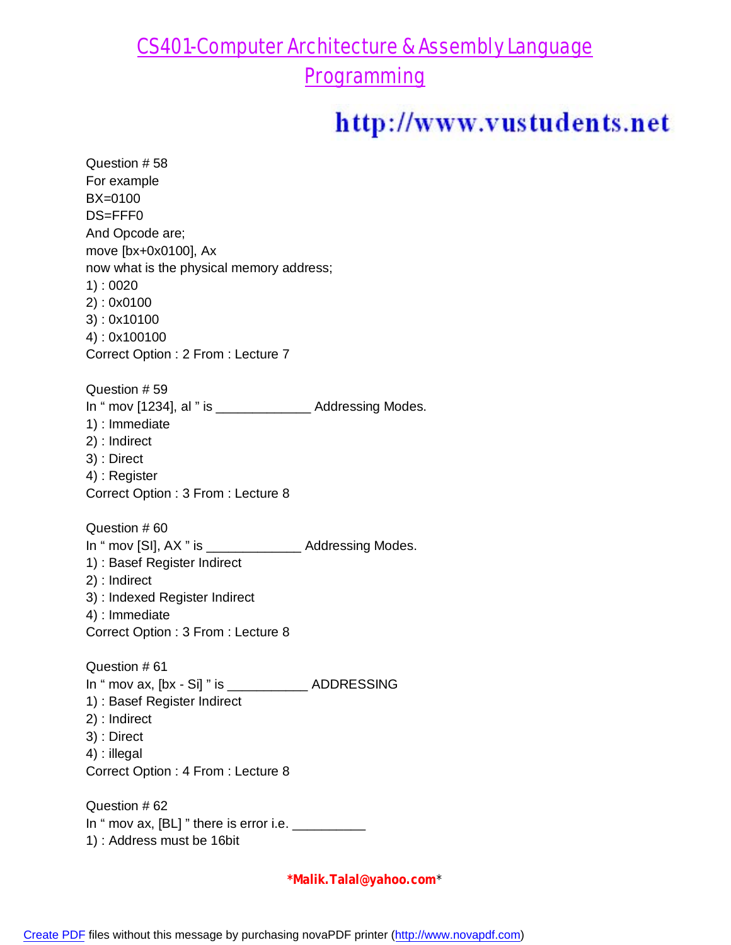## CS401-Computer Architecture & Assembly Language

Programming

# http://www.vustudents.net

Question # 58 For example BX=0100 DS=FFF0 And Opcode are; move [bx+0x0100], Ax now what is the physical memory address; 1) : 0020 2) : 0x0100 3) : 0x10100 4) : 0x100100 Correct Option : 2 From : Lecture 7 Question # 59 In " mov [1234], al " is \_\_\_\_\_\_\_\_\_\_\_\_\_ Addressing Modes. 1) : Immediate 2) : Indirect 3) : Direct 4) : Register Correct Option : 3 From : Lecture 8 Question # 60 In " mov [SI], AX " is \_\_\_\_\_\_\_\_\_\_\_\_\_\_\_\_\_ Addressing Modes. 1) : Basef Register Indirect 2) : Indirect 3) : Indexed Register Indirect 4) : Immediate Correct Option : 3 From : Lecture 8 Question # 61 In " mov ax, [bx - Si] " is \_\_\_\_\_\_\_\_\_\_\_ ADDRESSING 1) : Basef Register Indirect 2) : Indirect 3) : Direct 4) : illegal Correct Option : 4 From : Lecture 8 Question # 62 In " mov ax,  $[BL]$  " there is error i.e.  $\frac{1}{2}$ 1) : Address must be 16bit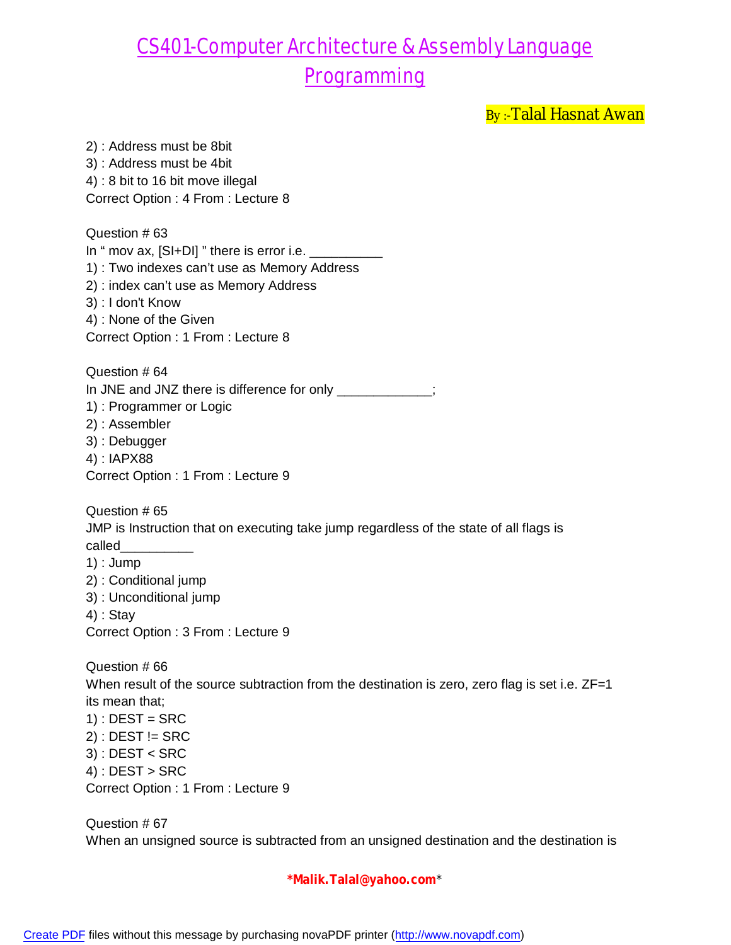By:-Talal Hasnat Awan

2) : Address must be 8bit 3) : Address must be 4bit 4) : 8 bit to 16 bit move illegal Correct Option : 4 From : Lecture 8

Question # 63 In " mov ax,  $[SI+DI]$  " there is error i.e.  $\_\_$ 1) : Two indexes can't use as Memory Address 2) : index can't use as Memory Address 3) : I don't Know 4) : None of the Given Correct Option : 1 From : Lecture 8 Question # 64 In JNE and JNZ there is difference for only \_\_\_\_\_\_\_\_\_\_\_\_\_; 1) : Programmer or Logic 2) : Assembler 3) : Debugger 4) : IAPX88

Question # 65 JMP is Instruction that on executing take jump regardless of the state of all flags is called\_\_\_\_\_\_\_\_\_\_ 1) : Jump 2) : Conditional jump 3) : Unconditional jump 4) : Stay Correct Option : 3 From : Lecture 9 Question # 66 When result of the source subtraction from the destination is zero, zero flag is set i.e. ZF=1 its mean that;

 $1)$ : DEST = SRC  $2)$ : DEST != SRC 3) : DEST < SRC  $4$ ) : DEST > SRC Correct Option : 1 From : Lecture 9

Correct Option : 1 From : Lecture 9

Question # 67 When an unsigned source is subtracted from an unsigned destination and the destination is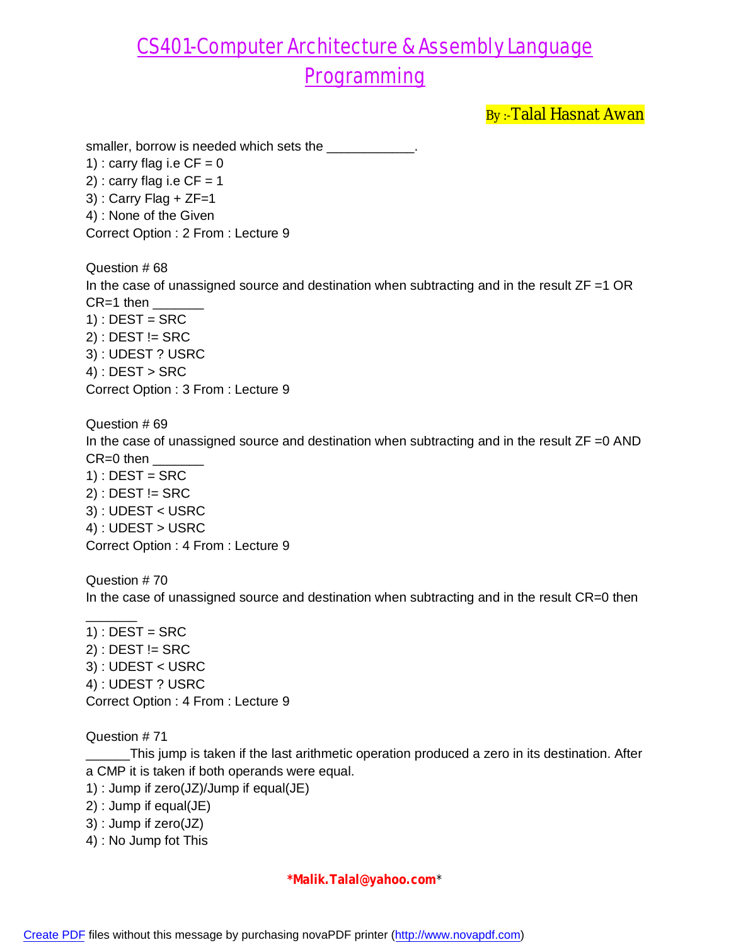By:-Talal Hasnat Awan

smaller, borrow is needed which sets the \_\_\_\_\_\_\_\_\_\_\_

1) : carry flag i.e  $CF = 0$ 2) : carry flag i.e  $CF = 1$  $3)$ : Carry Flag + ZF=1 4) : None of the Given Correct Option : 2 From : Lecture 9

Question # 68 In the case of unassigned source and destination when subtracting and in the result  $ZF = 1$  OR  $CR=1$  then  $1)$ : DEST = SRC  $2)$ : DEST != SRC 3) : UDEST ? USRC  $4$ ) : DEST > SRC Correct Option : 3 From : Lecture 9

Question # 69 In the case of unassigned source and destination when subtracting and in the result ZF =0 AND  $CR=0$  then  $1)$  : DEST = SRC  $2)$ : DEST != SRC 3) : UDEST < USRC 4) : UDEST > USRC Correct Option : 4 From : Lecture 9

Question # 70 In the case of unassigned source and destination when subtracting and in the result CR=0 then

 $1)$  : DEST = SRC  $2)$ : DEST != SRC 3) : UDEST < USRC 4) : UDEST ? USRC Correct Option : 4 From : Lecture 9

#### Question # 71

 $\overline{\phantom{a}}$ 

\_\_\_\_\_\_This jump is taken if the last arithmetic operation produced a zero in its destination. After a CMP it is taken if both operands were equal.

- 1) : Jump if zero(JZ)/Jump if equal(JE)
- 2) : Jump if equal(JE)
- 3) : Jump if zero(JZ)
- 4) : No Jump fot This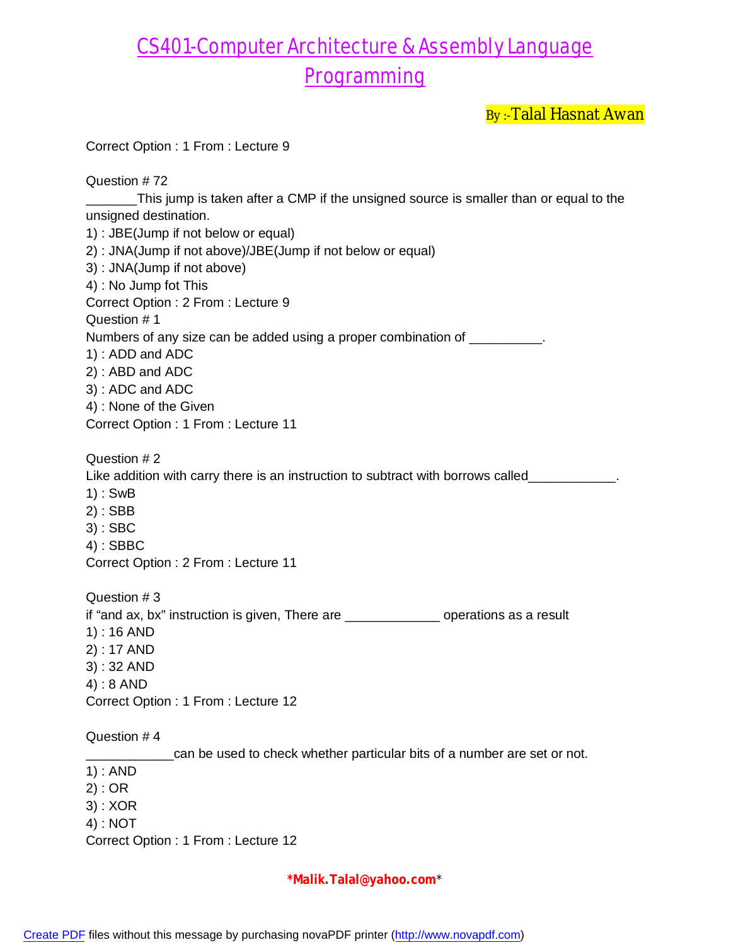By :- Talal Hasnat Awan

| Correct Option: 1 From: Lecture 9                                                           |
|---------------------------------------------------------------------------------------------|
| Question #72                                                                                |
| This jump is taken after a CMP if the unsigned source is smaller than or equal to the       |
| unsigned destination.                                                                       |
| 1) : JBE(Jump if not below or equal)                                                        |
| 2) : JNA(Jump if not above)/JBE(Jump if not below or equal)                                 |
| 3) : JNA(Jump if not above)                                                                 |
| 4) : No Jump fot This                                                                       |
| Correct Option: 2 From: Lecture 9                                                           |
| Question #1                                                                                 |
| Numbers of any size can be added using a proper combination of _________.                   |
| 1): ADD and ADC                                                                             |
| 2): ABD and ADC                                                                             |
| 3): ADC and ADC<br>4) : None of the Given                                                   |
| Correct Option: 1 From: Lecture 11                                                          |
|                                                                                             |
| Question #2                                                                                 |
| Like addition with carry there is an instruction to subtract with borrows called___________ |
| $1):$ SwB                                                                                   |
| $2)$ : SBB                                                                                  |
| 3) : SBC                                                                                    |
| 4) : SBBC                                                                                   |
| Correct Option: 2 From: Lecture 11                                                          |
| Question #3                                                                                 |
| if "and ax, bx" instruction is given, There are _______________ operations as a result      |
| $1) : 16$ AND                                                                               |
| $2) : 17$ AND                                                                               |
| $3):32$ AND                                                                                 |
| $4): 8$ AND                                                                                 |
| Correct Option: 1 From: Lecture 12                                                          |
| Question #4                                                                                 |
| can be used to check whether particular bits of a number are set or not.                    |
| $1)$ : AND                                                                                  |
| 2) : OR                                                                                     |
| $3)$ : XOR                                                                                  |
| $4)$ : NOT                                                                                  |
| Correct Option: 1 From: Lecture 12                                                          |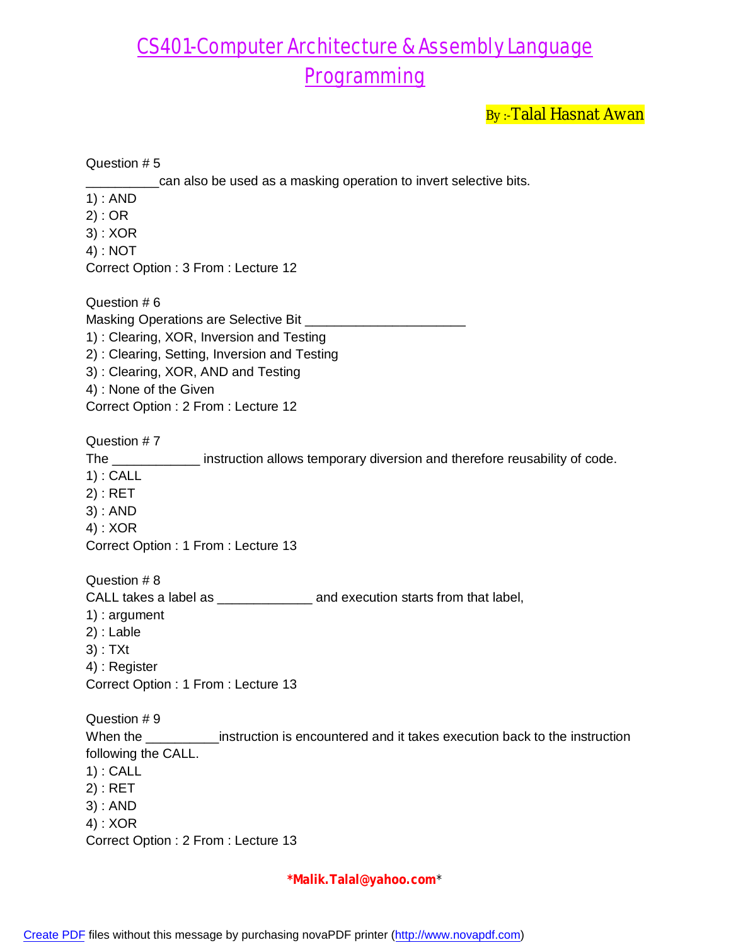By :- Talal Hasnat Awan

| Question #5                                                                                                                                                                                                                                                                                       |
|---------------------------------------------------------------------------------------------------------------------------------------------------------------------------------------------------------------------------------------------------------------------------------------------------|
| can also be used as a masking operation to invert selective bits.<br>$1)$ : AND<br>2) : OR<br>$3)$ : XOR<br>4) : NOT<br>Correct Option: 3 From: Lecture 12                                                                                                                                        |
| Question #6<br>Masking Operations are Selective Bit <b>Masking Operations</b> are Selective Bit<br>1): Clearing, XOR, Inversion and Testing<br>2): Clearing, Setting, Inversion and Testing<br>3): Clearing, XOR, AND and Testing<br>4) : None of the Given<br>Correct Option: 2 From: Lecture 12 |
| Question #7<br>The _______________ instruction allows temporary diversion and therefore reusability of code.<br>$1)$ : CALL<br>$2)$ : RET<br>3) : AND<br>$4)$ : XOR<br>Correct Option: 1 From: Lecture 13                                                                                         |
| Question #8<br>CALL takes a label as __________________ and execution starts from that label,<br>$1$ : argument<br>$2)$ : Lable<br>$3)$ : TXt<br>4) : Register<br>Correct Option : 1 From : Lecture 13                                                                                            |
| Question #9<br>When the ______________instruction is encountered and it takes execution back to the instruction<br>following the CALL.<br>$1)$ : CALL<br>$2)$ : RET<br>$3)$ : AND<br>$4)$ : XOR<br>Correct Option : 2 From : Lecture 13                                                           |

**\*Malik.Talal@yahoo.com**\*

[Create PDF](http://www.novapdf.com) files without this message by purchasing novaPDF printer (<http://www.novapdf.com>)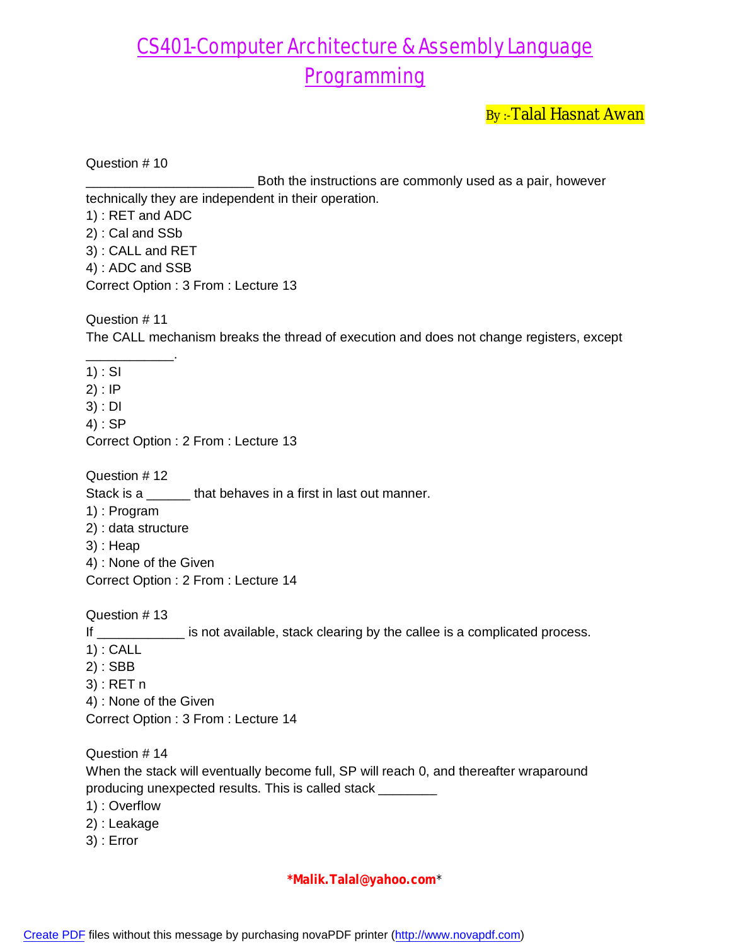Both the instructions are commonly used as a pair, however

By:-Talal Hasnat Awan

Question # 10 technically they are independent in their operation.

1) : RET and ADC 2) : Cal and SSb 3) : CALL and RET 4) : ADC and SSB Correct Option : 3 From : Lecture 13

Question # 11 The CALL mechanism breaks the thread of execution and does not change registers, except

\_\_\_\_\_\_\_\_\_\_\_\_. 1) : SI 2) : IP 3) : DI 4) : SP Correct Option : 2 From : Lecture 13 Question # 12 Stack is a that behaves in a first in last out manner. 1) : Program 2) : data structure 3) : Heap 4) : None of the Given Correct Option : 2 From : Lecture 14 Question # 13 If \_\_\_\_\_\_\_\_\_\_\_\_\_ is not available, stack clearing by the callee is a complicated process. 1) : CALL 2) : SBB 3) : RET n 4) : None of the Given Correct Option : 3 From : Lecture 14 Question # 14 When the stack will eventually become full, SP will reach 0, and thereafter wraparound producing unexpected results. This is called stack \_\_\_\_\_\_\_\_

- 1) : Overflow
- 2) : Leakage
- 3) : Error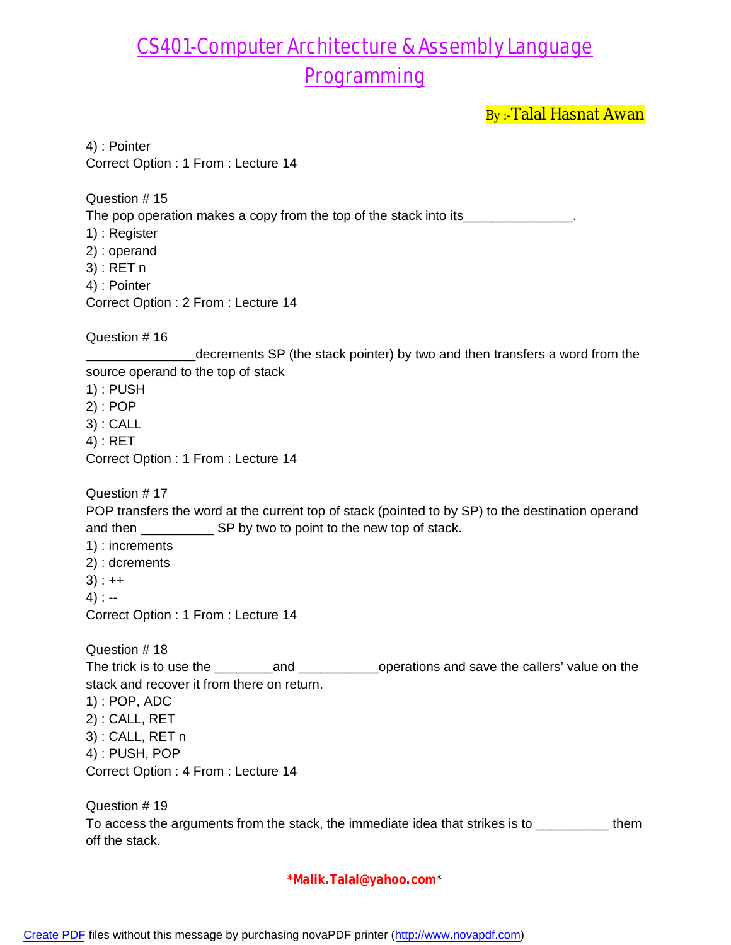By:-Talal Hasnat Awan

4) : Pointer Correct Option : 1 From : Lecture 14 Question # 15 The pop operation makes a copy from the top of the stack into its\_\_\_\_\_\_\_\_\_\_\_\_\_\_\_ 1) : Register 2) : operand 3) : RET n 4) : Pointer Correct Option : 2 From : Lecture 14 Question # 16 decrements SP (the stack pointer) by two and then transfers a word from the source operand to the top of stack 1) : PUSH 2) : POP 3) : CALL 4) : RET Correct Option : 1 From : Lecture 14 Question # 17 POP transfers the word at the current top of stack (pointed to by SP) to the destination operand and then \_\_\_\_\_\_\_\_\_\_\_\_\_\_\_ SP by two to point to the new top of stack. 1) : increments 2) : dcrements  $3) : ++$ 4) : -- Correct Option : 1 From : Lecture 14 Question # 18 The trick is to use the \_\_\_\_\_\_\_\_and \_\_\_\_\_\_\_\_\_\_\_operations and save the callers' value on the stack and recover it from there on return. 1) : POP, ADC 2) : CALL, RET 3) : CALL, RET n 4) : PUSH, POP Correct Option : 4 From : Lecture 14 Question # 19 To access the arguments from the stack, the immediate idea that strikes is to \_\_\_\_\_\_\_\_\_\_\_\_\_ them off the stack.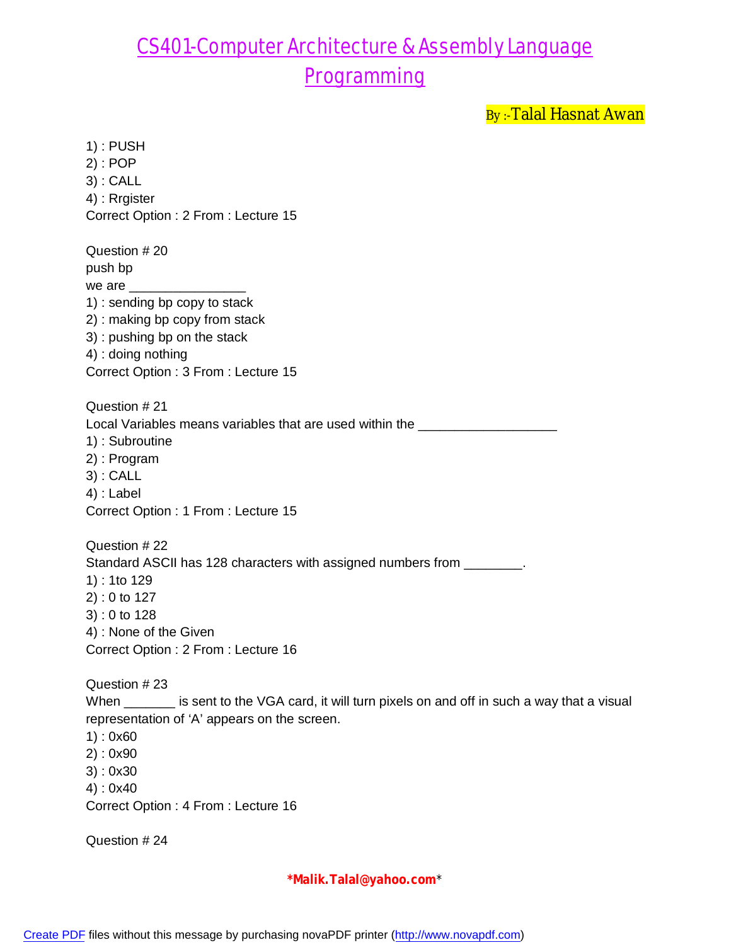By:-Talal Hasnat Awan

1) : PUSH 2) : POP 3) : CALL 4) : Rrgister Correct Option : 2 From : Lecture 15 Question # 20 push bp we are 1) : sending bp copy to stack 2) : making bp copy from stack 3) : pushing bp on the stack 4) : doing nothing Correct Option : 3 From : Lecture 15 Question # 21 Local Variables means variables that are used within the \_\_\_\_\_\_\_\_\_\_\_\_\_\_\_\_\_\_\_\_\_\_\_ 1) : Subroutine 2) : Program 3) : CALL 4) : Label Correct Option : 1 From : Lecture 15 Question # 22 Standard ASCII has 128 characters with assigned numbers from \_\_\_\_\_\_\_\_. 1) : 1to 129 2) : 0 to 127 3) : 0 to 128 4) : None of the Given Correct Option : 2 From : Lecture 16 Question # 23 When \_\_\_\_\_\_ is sent to the VGA card, it will turn pixels on and off in such a way that a visual representation of 'A' appears on the screen. 1) : 0x60 2) : 0x90 3) : 0x30 4) : 0x40 Correct Option : 4 From : Lecture 16 Question # 24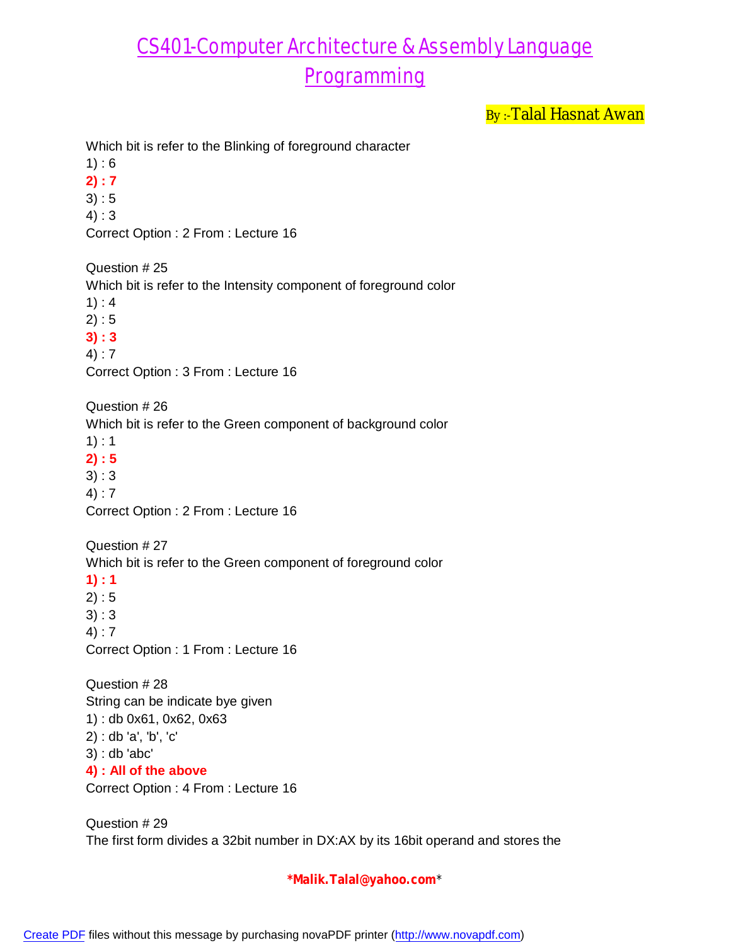By:-Talal Hasnat Awan

Which bit is refer to the Blinking of foreground character

 $1) : 6$ 

**2) : 7**

 $3) : 5$ 

4) : 3

Correct Option : 2 From : Lecture 16

Question # 25

Which bit is refer to the Intensity component of foreground color

 $1) : 4$ 

 $2) : 5$ 

**3) : 3**

4) : 7

Correct Option : 3 From : Lecture 16

Question # 26 Which bit is refer to the Green component of background color 1) : 1 **2) : 5** 3) : 3

4) : 7

Correct Option : 2 From : Lecture 16

Question # 27

Which bit is refer to the Green component of foreground color

**1) : 1**

 $2) : 5$ 3) : 3

4) : 7

Correct Option : 1 From : Lecture 16

Question # 28 String can be indicate bye given 1) : db 0x61, 0x62, 0x63 2) : db 'a', 'b', 'c' 3) : db 'abc' **4) : All of the above**

Correct Option : 4 From : Lecture 16

Question # 29 The first form divides a 32bit number in DX:AX by its 16bit operand and stores the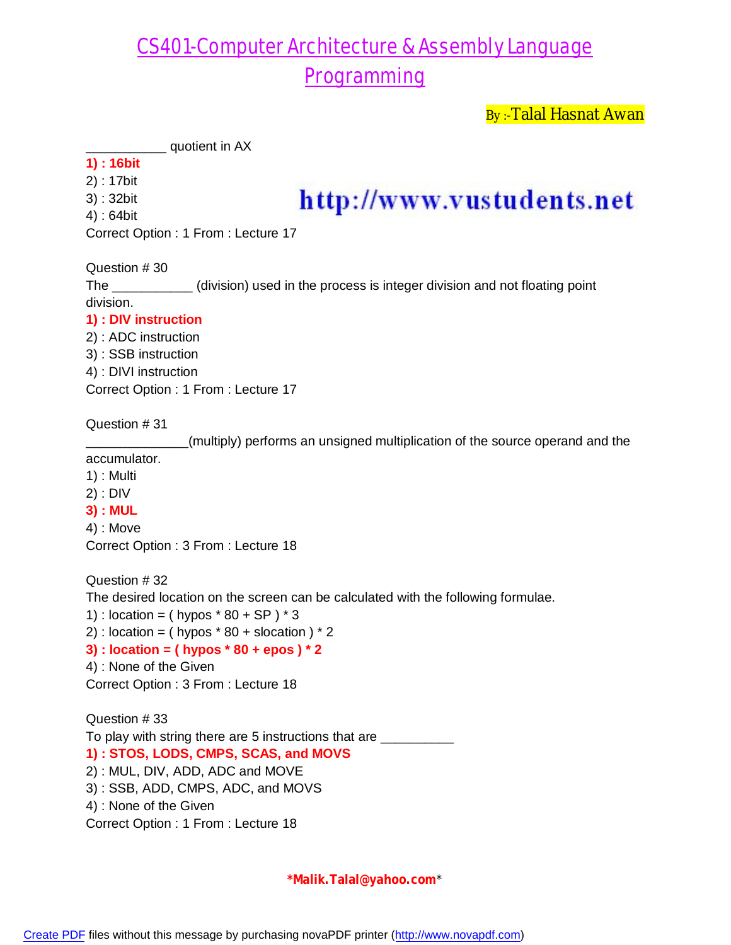By:-Talal Hasnat Awan

 $\_$  quotient in AX

### **1) : 16bit**

- 2) : 17bit
- 3) : 32bit
- 4) : 64bit

## http://www.vustudents.net

Correct Option : 1 From : Lecture 17

Question # 30

The \_\_\_\_\_\_\_\_\_\_\_ (division) used in the process is integer division and not floating point division.

### **1) : DIV instruction**

2) : ADC instruction 3) : SSB instruction 4) : DIVI instruction Correct Option : 1 From : Lecture 17

Question # 31

\_\_\_\_\_\_\_\_\_\_\_\_\_\_(multiply) performs an unsigned multiplication of the source operand and the

accumulator.

- 1) : Multi
- 2) : DIV
- **3) : MUL**

4) : Move

Correct Option : 3 From : Lecture 18

Question # 32 The desired location on the screen can be calculated with the following formulae.

1) : location =  $($  hypos  $*$  80 + SP  $)*$  3

2) : location = ( hypos  $*$  80 + slocation )  $*$  2

#### **3) : location = ( hypos \* 80 + epos ) \* 2**

```
4) : None of the Given
```
Correct Option : 3 From : Lecture 18

Question # 33 To play with string there are 5 instructions that are \_\_\_\_\_\_\_\_\_ **1) : STOS, LODS, CMPS, SCAS, and MOVS** 2) : MUL, DIV, ADD, ADC and MOVE 3) : SSB, ADD, CMPS, ADC, and MOVS 4) : None of the Given

Correct Option : 1 From : Lecture 18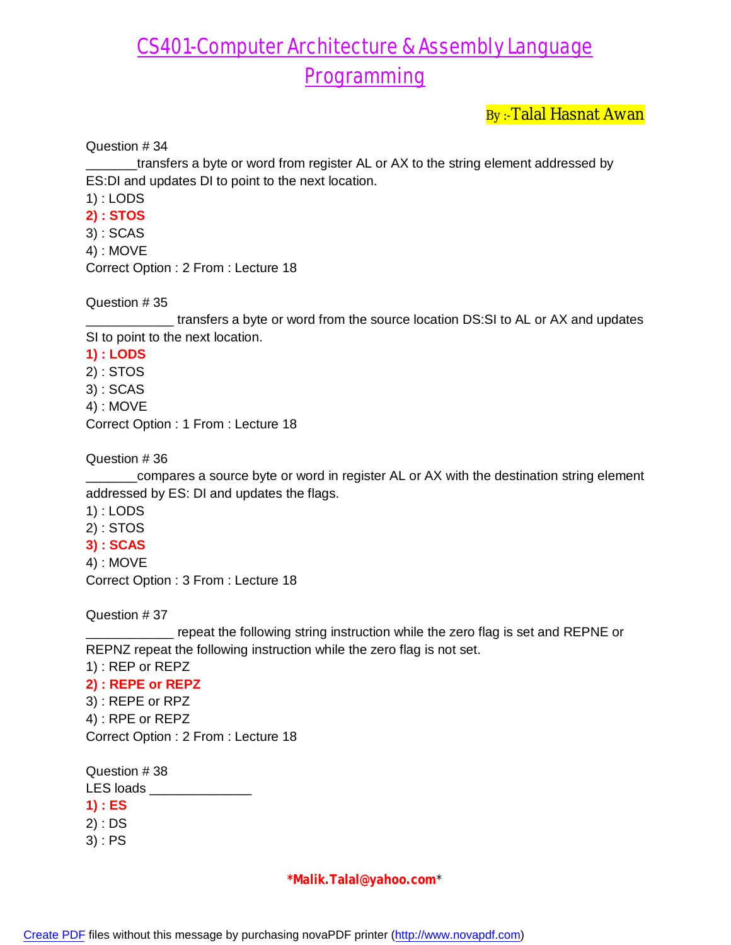By :-Talal Hasnat Awan

Question # 34

\_\_\_\_\_\_\_transfers a byte or word from register AL or AX to the string element addressed by ES:DI and updates DI to point to the next location.

1) : LODS

**2) : STOS**

3) : SCAS 4) : MOVE Correct Option : 2 From : Lecture 18

Question # 35

**wate the source location DS:SI to AL or AX and updates** SI to point to the next location.

**1) : LODS**

2) : STOS

3) : SCAS

4) : MOVE

Correct Option : 1 From : Lecture 18

Question # 36

\_\_\_\_\_\_compares a source byte or word in register AL or AX with the destination string element addressed by ES: DI and updates the flags.

1) : LODS

2) : STOS

**3) : SCAS**

4) : MOVE

Correct Option : 3 From : Lecture 18

Question # 37

 $-$  repeat the following string instruction while the zero flag is set and REPNE or REPNZ repeat the following instruction while the zero flag is not set.

1) : REP or REPZ

**2) : REPE or REPZ** 3) : REPE or RPZ 4) : RPE or REPZ Correct Option : 2 From : Lecture 18

Question # 38 LES loads **1) : ES** 2) : DS 3) : PS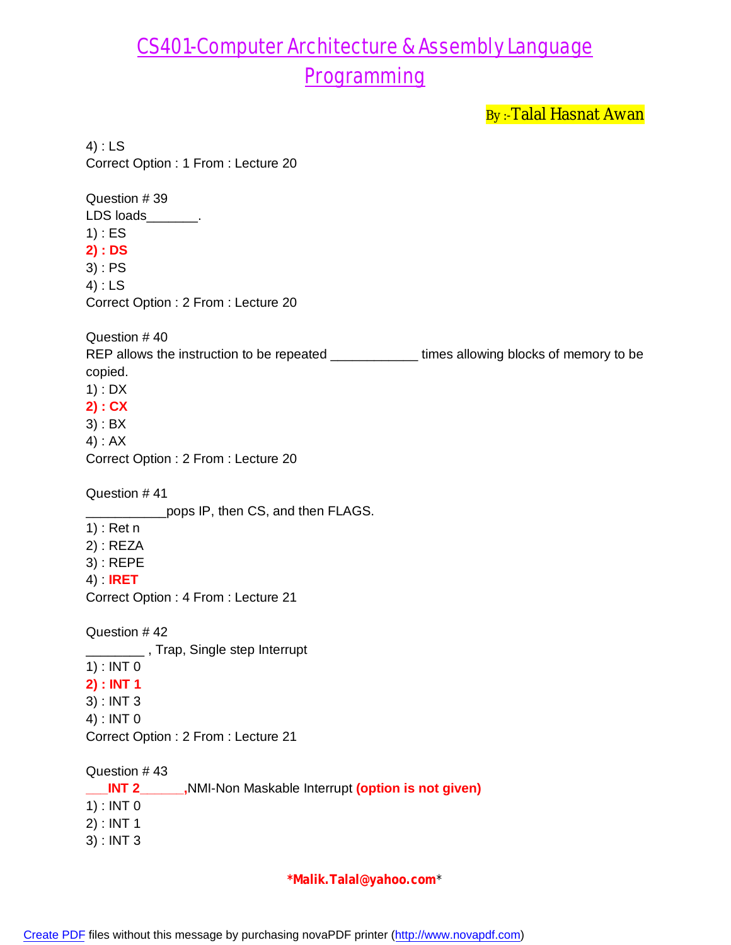By:-Talal Hasnat Awan

4) : LS Correct Option : 1 From : Lecture 20 Question # 39 LDS loads\_\_\_\_\_\_\_. 1) : ES **2) : DS** 3) : PS 4) : LS Correct Option : 2 From : Lecture 20 Question # 40 REP allows the instruction to be repeated \_\_\_\_\_\_\_\_\_\_\_\_\_\_\_ times allowing blocks of memory to be copied. 1) : DX **2) : CX** 3) : BX 4) : AX Correct Option : 2 From : Lecture 20 Question # 41 pops IP, then CS, and then FLAGS. 1) : Ret n 2) : REZA 3) : REPE 4) : **IRET** Correct Option : 4 From : Lecture 21 Question # 42 **\_\_\_\_\_\_\_\_**, Trap, Single step Interrupt 1) : INT 0 **2) : INT 1** 3) : INT 3 4) : INT 0 Correct Option : 2 From : Lecture 21 Question # 43 **\_\_\_INT 2\_\_\_\_\_\_,**NMI-Non Maskable Interrupt **(option is not given)** 1) : INT 0 2) : INT 1 3) : INT 3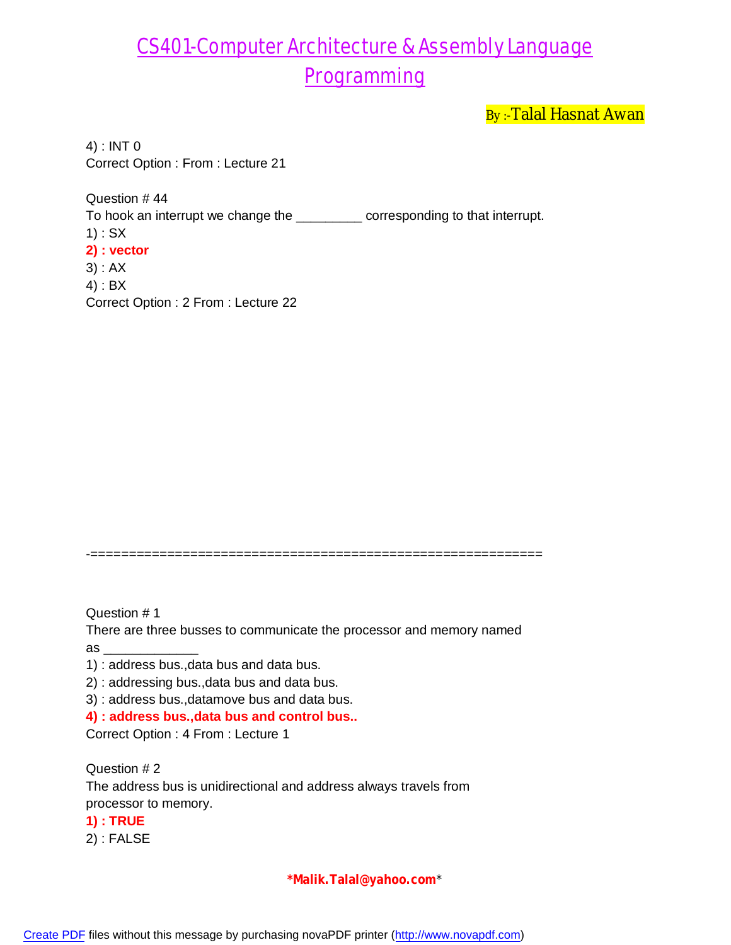By:-Talal Hasnat Awan

4) : INT 0 Correct Option : From : Lecture 21

Question # 44 To hook an interrupt we change the \_\_\_\_\_\_\_\_\_ corresponding to that interrupt. 1) : SX **2) : vector** 3) : AX 4) : BX Correct Option : 2 From : Lecture 22

-===========================================================

Question # 1

There are three busses to communicate the processor and memory named  $as$   $\qquad$ 

- 1) : address bus.,data bus and data bus.
- 2) : addressing bus.,data bus and data bus.
- 3) : address bus.,datamove bus and data bus.

**4) : address bus.,data bus and control bus..**

Correct Option : 4 From : Lecture 1

Question # 2 The address bus is unidirectional and address always travels from processor to memory. **1) : TRUE** 2) : FALSE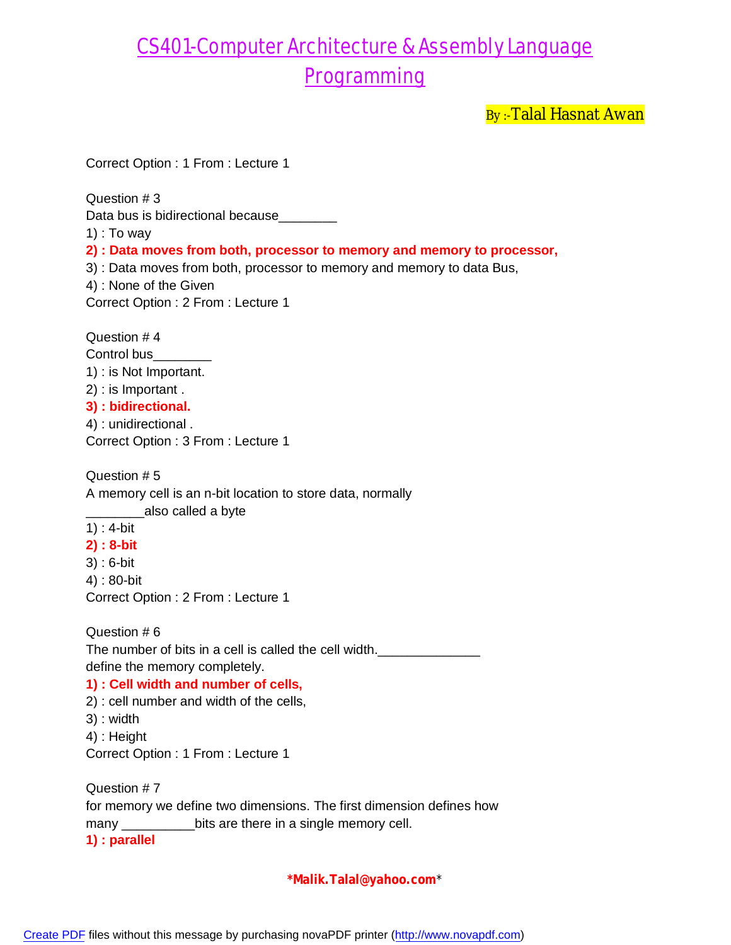By:-Talal Hasnat Awan

Correct Option : 1 From : Lecture 1

Question # 3

Data bus is bidirectional because\_\_\_\_\_

1) : To way

**2) : Data moves from both, processor to memory and memory to processor,**

3) : Data moves from both, processor to memory and memory to data Bus,

4) : None of the Given

Correct Option : 2 From : Lecture 1

Question # 4 Control bus 1) : is Not Important. 2) : is Important . **3) : bidirectional.** 4) : unidirectional .

Correct Option : 3 From : Lecture 1

Question # 5 A memory cell is an n-bit location to store data, normally

\_\_\_\_\_\_\_\_also called a byte

- 1) : 4-bit
- **2) : 8-bit**
- 3) : 6-bit
- 4) : 80-bit

Correct Option : 2 From : Lecture 1

Question # 6 The number of bits in a cell is called the cell width. define the memory completely.

#### **1) : Cell width and number of cells,**

2) : cell number and width of the cells,

- 3) : width
- 4) : Height

Correct Option : 1 From : Lecture 1

Question # 7 for memory we define two dimensions. The first dimension defines how many \_\_\_\_\_\_\_\_\_\_\_\_\_bits are there in a single memory cell. **1) : parallel**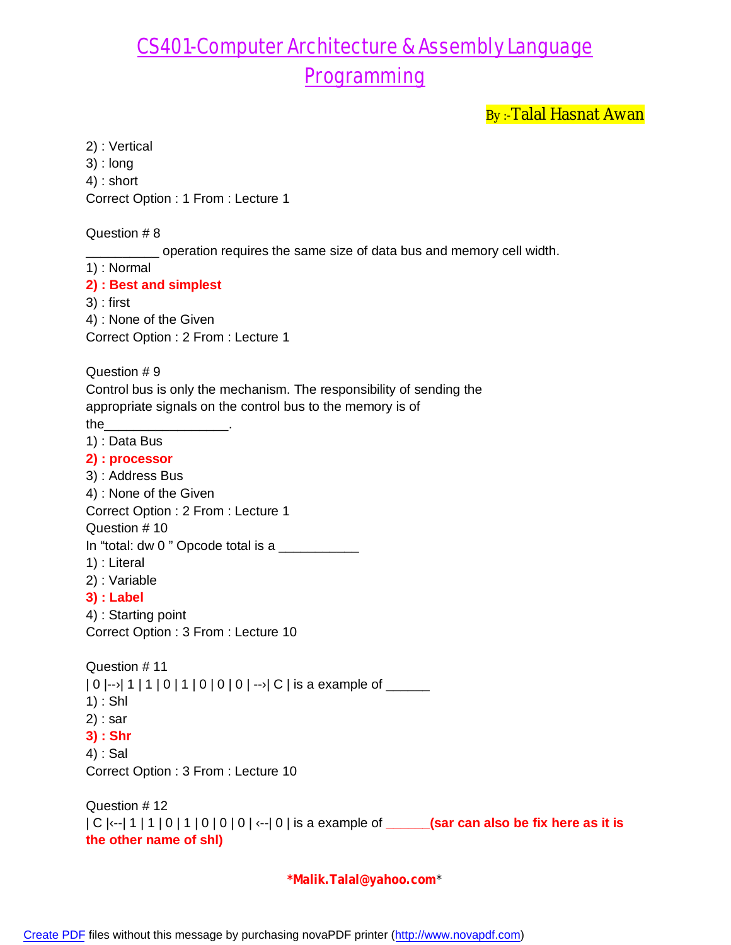By :- Talal Hasnat Awan

2) : Vertical 3) : long 4) : short Correct Option : 1 From : Lecture 1 Question # 8 operation requires the same size of data bus and memory cell width. 1) : Normal **2) : Best and simplest** 3) : first 4) : None of the Given Correct Option : 2 From : Lecture 1 Question # 9 Control bus is only the mechanism. The responsibility of sending the appropriate signals on the control bus to the memory is of the 1) : Data Bus **2) : processor** 3) : Address Bus 4) : None of the Given Correct Option : 2 From : Lecture 1 Question # 10 In "total: dw 0" Opcode total is a  $\frac{1}{2}$ 1) : Literal 2) : Variable **3) : Label** 4) : Starting point Correct Option : 3 From : Lecture 10 Question # 11  $|0|$ -- $|1|1|0|1|0|0|0|$ -- $|0|$  is a example of \_\_\_\_\_ 1) : Shl 2) : sar **3) : Shr** 4) : Sal Correct Option : 3 From : Lecture 10 Question # 12 | C |‹--| 1 | 1 | 0 | 1 | 0 | 0 | 0 | ‹--| 0 | is a example of **\_\_\_\_\_\_(sar can also be fix here as it is the other name of shl)**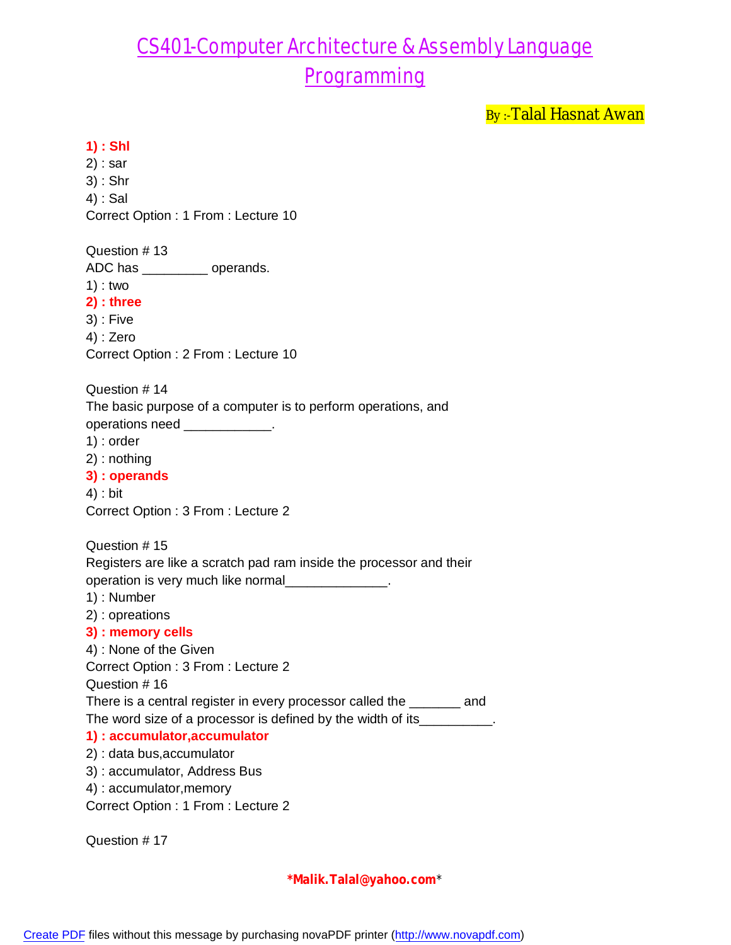By :- Talal Hasnat Awan

#### **1) : Shl**

2) : sar 3) : Shr 4) : Sal Correct Option : 1 From : Lecture 10 Question # 13 ADC has \_\_\_\_\_\_\_\_\_ operands. 1) : two **2) : three** 3) : Five 4) : Zero Correct Option : 2 From : Lecture 10 Question # 14 The basic purpose of a computer is to perform operations, and operations need \_\_\_\_\_\_\_\_\_\_\_\_. 1) : order 2) : nothing **3) : operands** 4) : bit Correct Option : 3 From : Lecture 2 Question # 15 Registers are like a scratch pad ram inside the processor and their operation is very much like normal\_\_\_\_\_\_\_\_\_\_\_\_\_\_. 1) : Number 2) : opreations **3) : memory cells** 4) : None of the Given Correct Option : 3 From : Lecture 2 Question # 16 There is a central register in every processor called the \_\_\_\_\_\_\_ and The word size of a processor is defined by the width of its\_\_\_\_\_\_\_\_\_\_. **1) : accumulator,accumulator** 2) : data bus,accumulator 3) : accumulator, Address Bus 4) : accumulator,memory Correct Option : 1 From : Lecture 2

Question # 17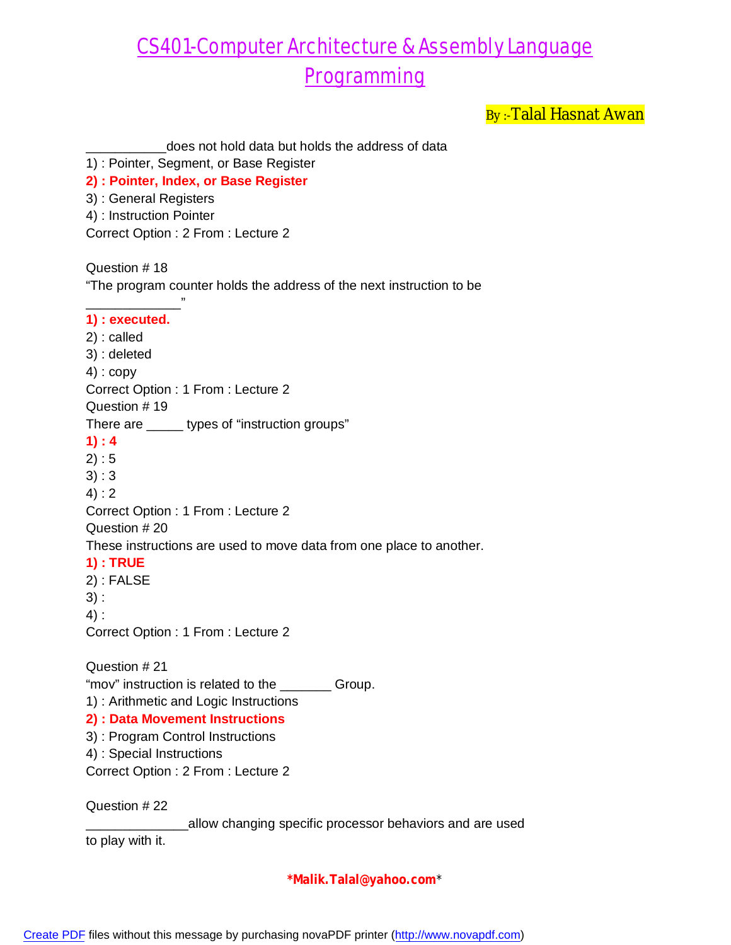By :- Talal Hasnat Awan

| does not hold data but holds the address of data<br>1) : Pointer, Segment, or Base Register<br>2) : Pointer, Index, or Base Register<br>3) : General Registers<br>4) : Instruction Pointer<br>Correct Option: 2 From: Lecture 2                                                                                                                                                                                                 |
|---------------------------------------------------------------------------------------------------------------------------------------------------------------------------------------------------------------------------------------------------------------------------------------------------------------------------------------------------------------------------------------------------------------------------------|
| Question #18<br>"The program counter holds the address of the next instruction to be                                                                                                                                                                                                                                                                                                                                            |
| 1) : executed.<br>$2)$ : called<br>3) : deleted<br>$4$ ) : copy<br>Correct Option : 1 From : Lecture 2<br>Question #19<br>There are _______ types of "instruction groups"<br>1): 4<br>2): 5<br>3):3<br>4): 2<br>Correct Option: 1 From: Lecture 2<br>Question # 20<br>These instructions are used to move data from one place to another.<br><b>1): TRUE</b><br>$2)$ : FALSE<br>3):<br>4):<br>Correct Option: 1 From: Lecture 2 |
| Question #21<br>"mov" instruction is related to the ________ Group.<br>1) : Arithmetic and Logic Instructions<br>2) : Data Movement Instructions<br>3) : Program Control Instructions<br>4) : Special Instructions<br>Correct Option: 2 From: Lecture 2                                                                                                                                                                         |
| Question #22<br>allow changing specific processor behaviors and are used<br>to play with it.                                                                                                                                                                                                                                                                                                                                    |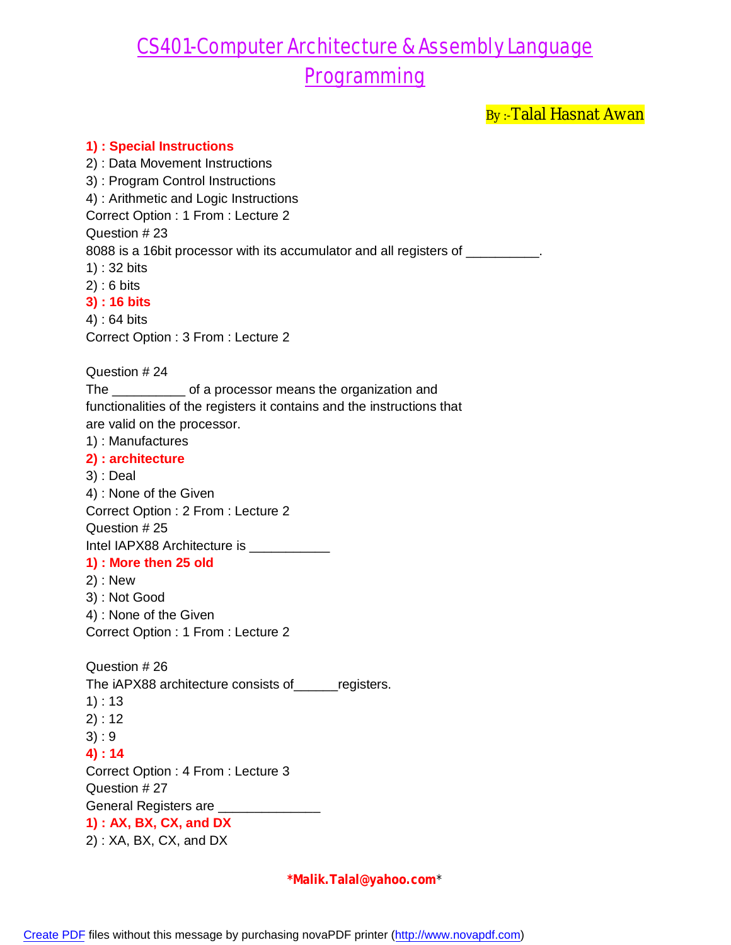By :- Talal Hasnat Awan

**1) : Special Instructions** 2) : Data Movement Instructions 3) : Program Control Instructions 4) : Arithmetic and Logic Instructions Correct Option : 1 From : Lecture 2 Question # 23 8088 is a 16bit processor with its accumulator and all registers of \_\_\_\_\_\_\_\_\_\_. 1) : 32 bits 2) : 6 bits **3) : 16 bits** 4) : 64 bits Correct Option : 3 From : Lecture 2 Question # 24 The \_\_\_\_\_\_\_\_\_\_ of a processor means the organization and functionalities of the registers it contains and the instructions that are valid on the processor. 1) : Manufactures **2) : architecture** 3) : Deal 4) : None of the Given Correct Option : 2 From : Lecture 2 Question # 25 Intel IAPX88 Architecture is \_\_\_\_\_\_\_\_\_\_\_\_\_ **1) : More then 25 old** 2) : New 3) : Not Good 4) : None of the Given Correct Option : 1 From : Lecture 2 Question # 26 The iAPX88 architecture consists of\_\_\_\_\_\_registers. 1) : 13 2) : 12 3) : 9 **4) : 14** Correct Option : 4 From : Lecture 3 Question # 27 General Registers are \_\_\_\_\_ **1) : AX, BX, CX, and DX** 2) : XA, BX, CX, and DX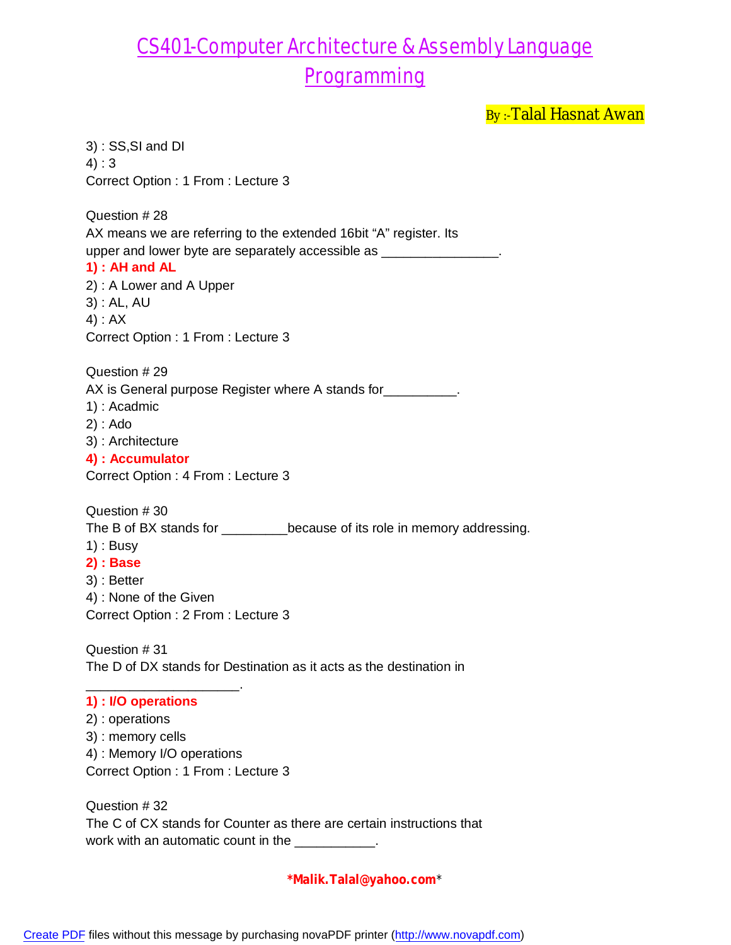By :- Talal Hasnat Awan

3) : SS,SI and DI 4) : 3 Correct Option : 1 From : Lecture 3 Question # 28 AX means we are referring to the extended 16bit "A" register. Its upper and lower byte are separately accessible as \_\_\_\_\_\_\_\_\_\_\_\_\_\_\_\_\_\_\_\_\_\_\_\_\_\_\_\_\_\_ **1) : AH and AL** 2) : A Lower and A Upper 3) : AL, AU 4) : AX Correct Option : 1 From : Lecture 3 Question # 29 AX is General purpose Register where A stands for \_\_\_\_\_\_\_\_\_\_. 1) : Acadmic 2) : Ado 3) : Architecture **4) : Accumulator** Correct Option : 4 From : Lecture 3 Question # 30 The B of BX stands for \_\_\_\_\_\_\_\_\_because of its role in memory addressing. 1) : Busy **2) : Base** 3) : Better 4) : None of the Given Correct Option : 2 From : Lecture 3 Question # 31 The D of DX stands for Destination as it acts as the destination in \_\_\_\_\_\_\_\_\_\_\_\_\_\_\_\_\_\_\_\_\_. **1) : I/O operations** 2) : operations 3) : memory cells 4) : Memory I/O operations Correct Option : 1 From : Lecture 3 Question # 32 The C of CX stands for Counter as there are certain instructions that

**\*Malik.Talal@yahoo.com**\*

work with an automatic count in the \_\_\_\_\_\_\_\_\_\_.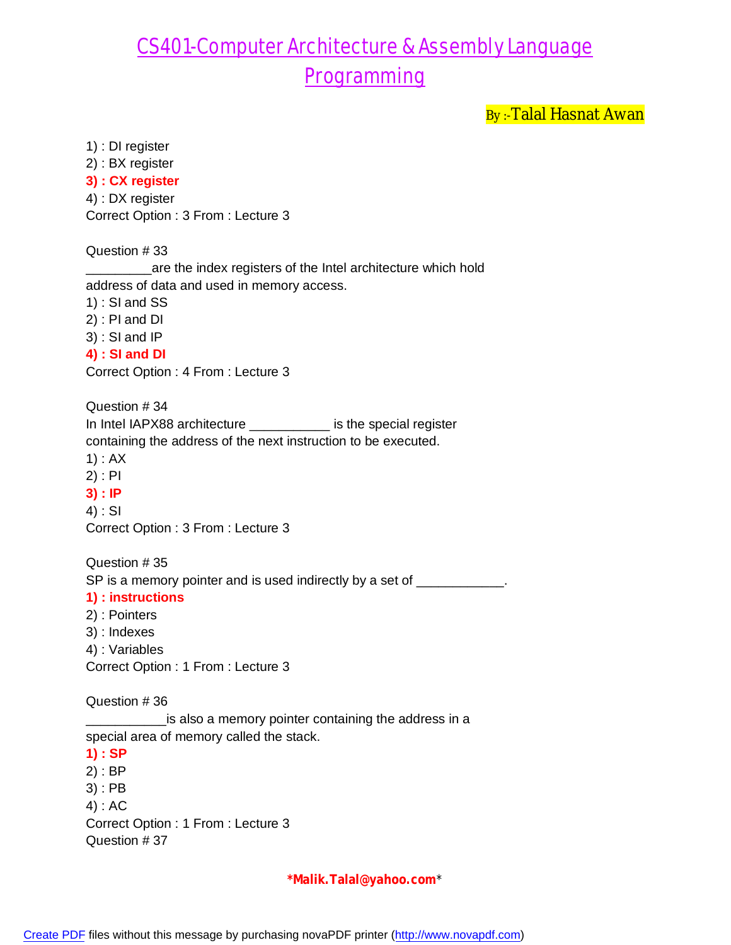By :- Talal Hasnat Awan

1) : DI register

2) : BX register **3) : CX register** 4) : DX register Correct Option : 3 From : Lecture 3

Question # 33

\_are the index registers of the Intel architecture which hold address of data and used in memory access.

1) : SI and SS

2) : PI and DI

3) : SI and IP

**4) : SI and DI**

Correct Option : 4 From : Lecture 3

Question # 34 In Intel IAPX88 architecture \_\_\_\_\_\_\_\_\_\_\_ is the special register containing the address of the next instruction to be executed. 1) : AX

- 2) : PI
- **3) : IP**

4) : SI Correct Option : 3 From : Lecture 3

Question # 35 SP is a memory pointer and is used indirectly by a set of \_\_\_\_\_\_\_\_\_\_\_.

#### **1) : instructions**

2) : Pointers

3) : Indexes

4) : Variables

Correct Option : 1 From : Lecture 3

Question # 36

\_\_\_\_\_\_\_\_\_\_\_is also a memory pointer containing the address in a special area of memory called the stack.

**1) : SP**

- 2) : BP
- 3) : PB

4) : AC

Correct Option : 1 From : Lecture 3 Question # 37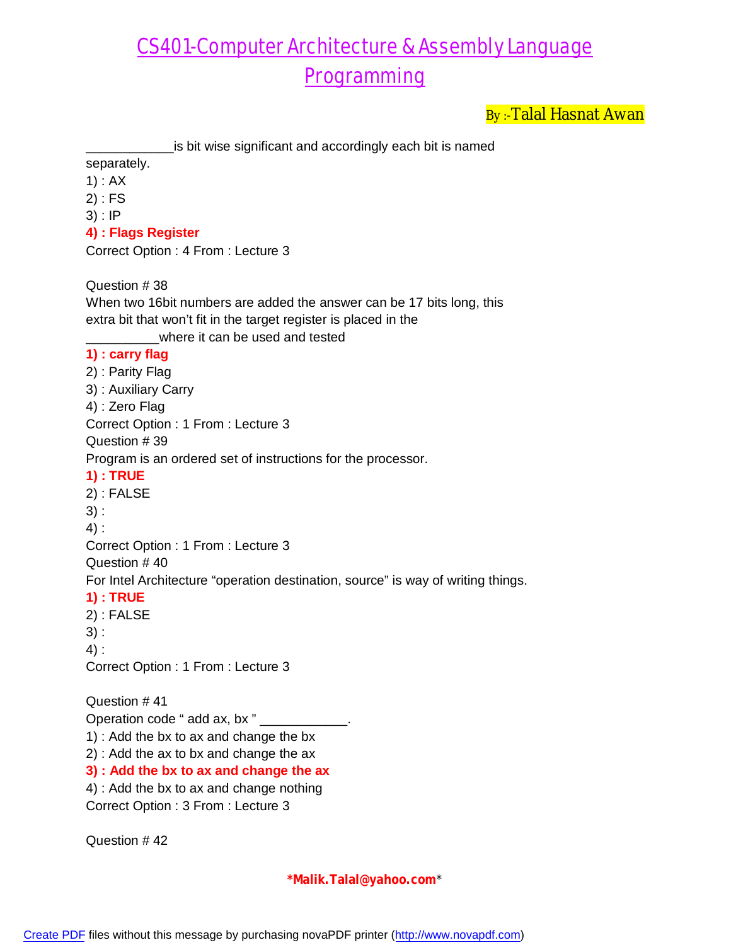By:-Talal Hasnat Awan

\_\_\_\_\_\_\_\_\_\_\_\_is bit wise significant and accordingly each bit is named

separately.

- 1) : AX
- 2) : FS
- 3) : IP
- **4) : Flags Register**

Correct Option : 4 From : Lecture 3

Question # 38

When two 16bit numbers are added the answer can be 17 bits long, this extra bit that won't fit in the target register is placed in the where it can be used and tested **1) : carry flag** 2) : Parity Flag 3) : Auxiliary Carry 4) : Zero Flag Correct Option : 1 From : Lecture 3 Question # 39 Program is an ordered set of instructions for the processor. **1) : TRUE** 2) : FALSE 3) : 4) : Correct Option : 1 From : Lecture 3 Question # 40 For Intel Architecture "operation destination, source" is way of writing things. **1) : TRUE** 2) : FALSE 3) : 4) : Correct Option : 1 From : Lecture 3 Question # 41 Operation code " add ax, bx " 1) : Add the bx to ax and change the bx 2) : Add the ax to bx and change the ax **3) : Add the bx to ax and change the ax** 4) : Add the bx to ax and change nothing

Correct Option : 3 From : Lecture 3

Question # 42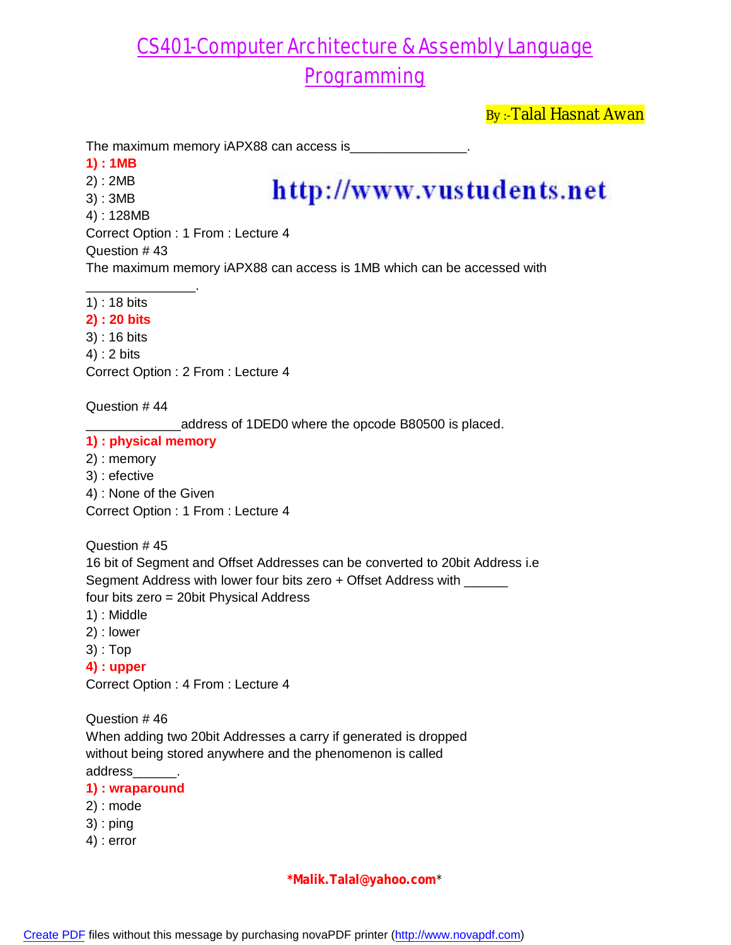By :- Talal Hasnat Awan

The maximum memory iAPX88 can access is\_

- **1) : 1MB**
- 2) : 2MB
- 3) : 3MB
- 4) : 128MB

# http://www.vustudents.net

Correct Option : 1 From : Lecture 4

Question # 43

The maximum memory iAPX88 can access is 1MB which can be accessed with

\_\_\_\_\_\_\_\_\_\_\_\_\_\_\_. 1) : 18 bits

#### **2) : 20 bits**

3) : 16 bits 4) : 2 bits

Correct Option : 2 From : Lecture 4

Question # 44

\_\_\_\_\_\_\_\_\_\_\_\_\_address of 1DED0 where the opcode B80500 is placed.

#### **1) : physical memory**

- 2) : memory
- 3) : efective
- 4) : None of the Given

Correct Option : 1 From : Lecture 4

Question # 45

16 bit of Segment and Offset Addresses can be converted to 20bit Address i.e Segment Address with lower four bits zero + Offset Address with \_\_\_\_\_\_ four bits zero = 20bit Physical Address

- 1) : Middle
- 2) : lower
- 3) : Top

**4) : upper**

Correct Option : 4 From : Lecture 4

Question # 46 When adding two 20bit Addresses a carry if generated is dropped without being stored anywhere and the phenomenon is called address\_\_\_\_\_\_.

#### **1) : wraparound**

- 2) : mode
- 3) : ping
- 4) : error

### **\*Malik.Talal@yahoo.com**\*

[Create PDF](http://www.novapdf.com) files without this message by purchasing novaPDF printer (<http://www.novapdf.com>)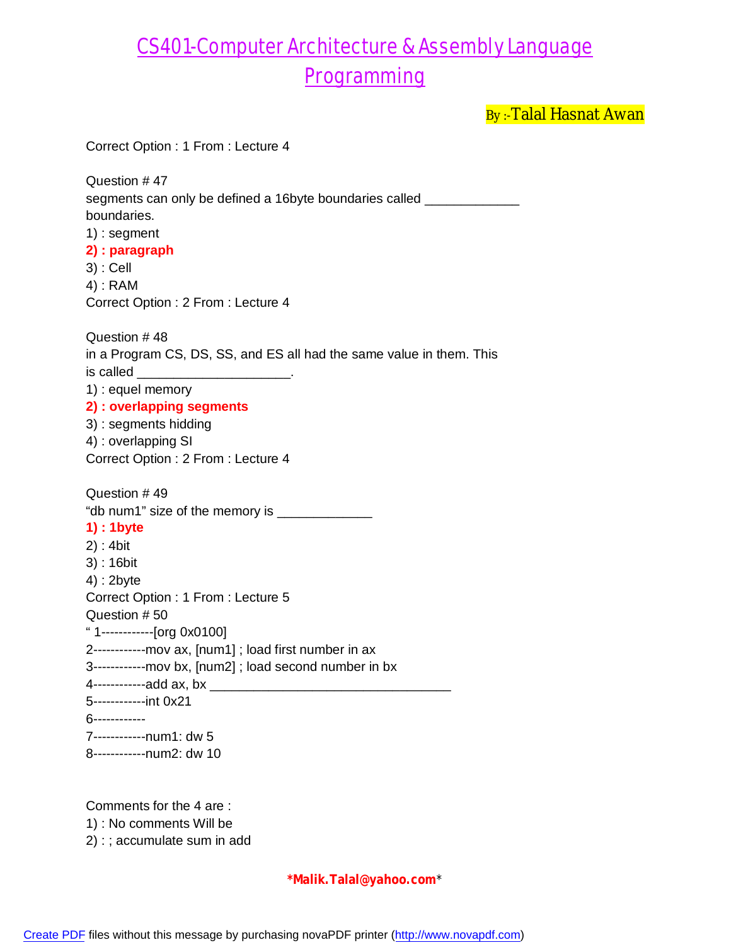By :- Talal Hasnat Awan

| Correct Option: 1 From: Lecture 4                                                                                                                                                                                                                                                                                                                                                                                                            |
|----------------------------------------------------------------------------------------------------------------------------------------------------------------------------------------------------------------------------------------------------------------------------------------------------------------------------------------------------------------------------------------------------------------------------------------------|
| Question #47<br>segments can only be defined a 16byte boundaries called ________________________<br>boundaries.<br>$1$ : segment<br>2) : paragraph<br>$3)$ : Cell<br>$4)$ : RAM<br>Correct Option: 2 From: Lecture 4                                                                                                                                                                                                                         |
| Question #48<br>in a Program CS, DS, SS, and ES all had the same value in them. This<br>is called<br>1) : equel memory<br>2) : overlapping segments<br>3) : segments hidding<br>4) : overlapping SI<br>Correct Option: 2 From: Lecture 4                                                                                                                                                                                                     |
| Question #49<br>"db num1" size of the memory is ________________<br>1) : 1 byte<br>$2)$ : 4bit<br>$3$ : 16bit<br>$4)$ : 2byte<br>Correct Option: 1 From: Lecture 5<br>Question #50<br>"1------------[org 0x0100]<br>2------------mov ax, [num1]; load first number in ax<br>3------------mov bx, [num2]; load second number in bx<br>4-------------add ax, bx ________<br>5-------------int 0x21<br>6------------<br>7------------num1: dw 5 |
| 8------------num2: dw 10                                                                                                                                                                                                                                                                                                                                                                                                                     |
| Comments for the 4 are:                                                                                                                                                                                                                                                                                                                                                                                                                      |

1) : No comments Will be

2) : ; accumulate sum in add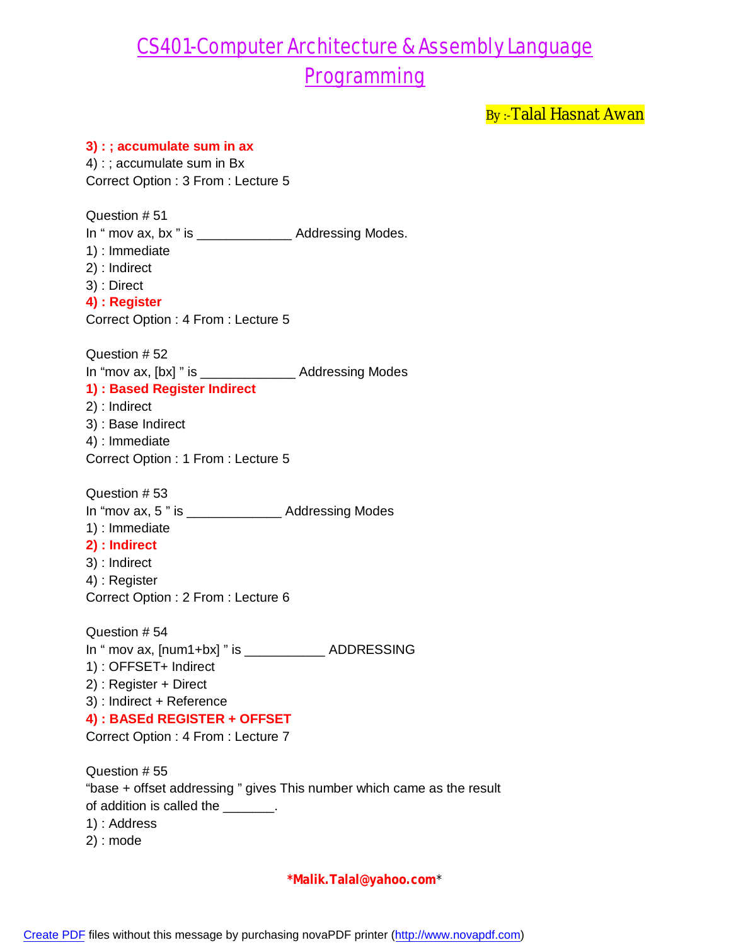By :- Talal Hasnat Awan

### **3) : ; accumulate sum in ax** 4) : ; accumulate sum in Bx Correct Option : 3 From : Lecture 5 Question # 51 In " mov ax, bx " is \_\_\_\_\_\_\_\_\_\_\_\_\_\_\_\_\_ Addressing Modes. 1) : Immediate 2) : Indirect 3) : Direct **4) : Register** Correct Option : 4 From : Lecture 5 Question # 52 In "mov ax, [bx] " is \_\_\_\_\_\_\_\_\_\_\_\_\_ Addressing Modes **1) : Based Register Indirect** 2) : Indirect 3) : Base Indirect 4) : Immediate Correct Option : 1 From : Lecture 5 Question # 53 In "mov ax, 5 " is \_\_\_\_\_\_\_\_\_\_\_\_\_ Addressing Modes 1) : Immediate **2) : Indirect** 3) : Indirect 4) : Register Correct Option : 2 From : Lecture 6 Question # 54 In " mov ax, [num1+bx] " is \_\_\_\_\_\_\_\_\_\_\_ ADDRESSING 1) : OFFSET+ Indirect 2) : Register + Direct 3) : Indirect + Reference **4) : BASEd REGISTER + OFFSET** Correct Option : 4 From : Lecture 7 Question # 55 "base + offset addressing " gives This number which came as the result of addition is called the \_\_\_\_\_\_\_. 1) : Address 2) : mode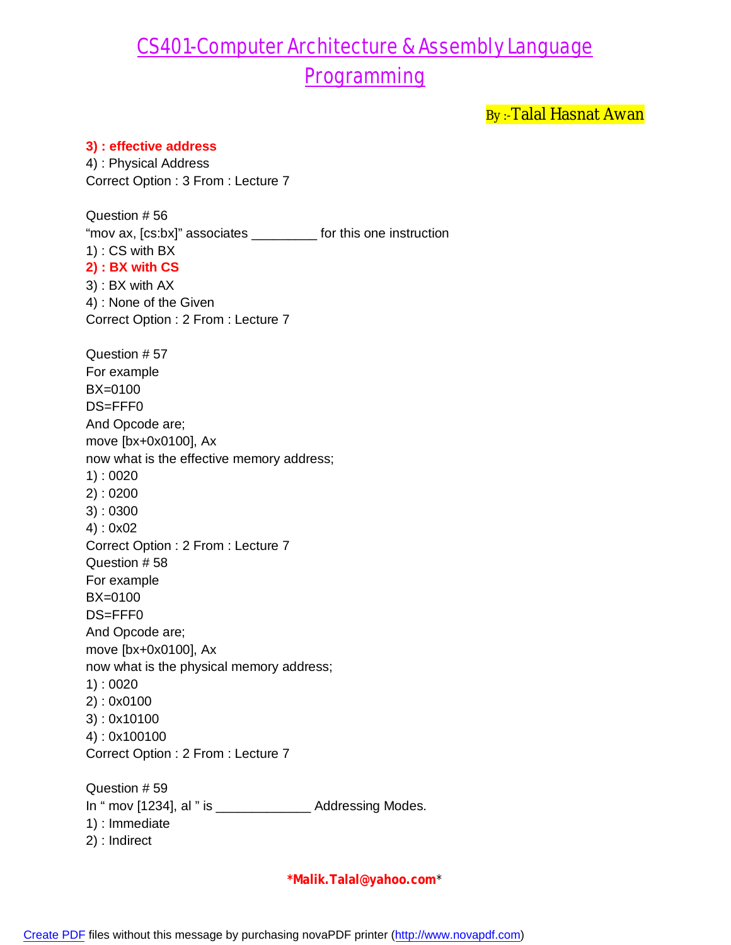By :- Talal Hasnat Awan

#### **3) : effective address**

4) : Physical Address Correct Option : 3 From : Lecture 7

Question # 56 "mov ax, [cs:bx]" associates \_\_\_\_\_\_\_\_\_ for this one instruction 1) : CS with BX **2) : BX with CS** 3) : BX with AX 4) : None of the Given Correct Option : 2 From : Lecture 7 Question # 57 For example BX=0100 DS=FFF0 And Opcode are; move [bx+0x0100], Ax now what is the effective memory address; 1) : 0020 2) : 0200 3) : 0300 4) : 0x02 Correct Option : 2 From : Lecture 7 Question # 58 For example BX=0100 DS=FFF0 And Opcode are; move [bx+0x0100], Ax now what is the physical memory address; 1) : 0020 2) : 0x0100 3) : 0x10100 4) : 0x100100 Correct Option : 2 From : Lecture 7 Question # 59 In " mov [1234], al " is \_\_\_\_\_\_\_\_\_\_\_\_\_ Addressing Modes. 1) : Immediate 2) : Indirect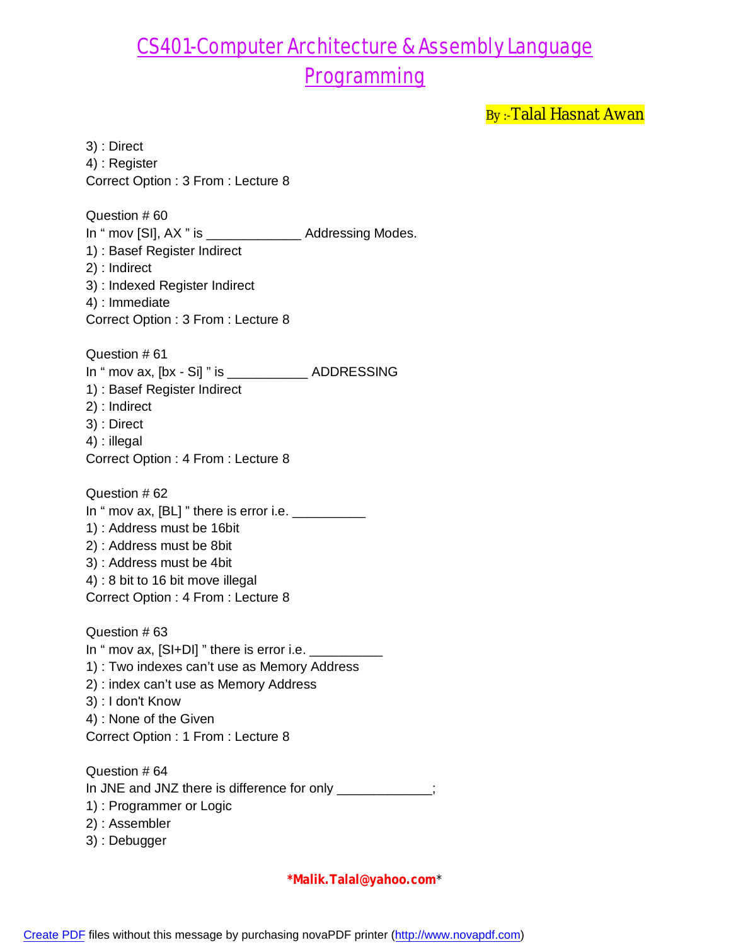By :- Talal Hasnat Awan

3) : Direct 4) : Register Correct Option : 3 From : Lecture 8 Question # 60 In " mov [SI], AX " is \_\_\_\_\_\_\_\_\_\_\_\_\_\_\_\_ Addressing Modes. 1) : Basef Register Indirect 2) : Indirect 3) : Indexed Register Indirect 4) : Immediate Correct Option : 3 From : Lecture 8 Question # 61 In " mov ax, [bx - Si] " is \_\_\_\_\_\_\_\_\_\_\_ ADDRESSING 1) : Basef Register Indirect 2) : Indirect 3) : Direct 4) : illegal Correct Option : 4 From : Lecture 8 Question # 62 In " mov ax,  $[BL]$  " there is error i.e.  $\frac{1}{2}$ 1) : Address must be 16bit 2) : Address must be 8bit 3) : Address must be 4bit 4) : 8 bit to 16 bit move illegal Correct Option : 4 From : Lecture 8 Question # 63 In " mov ax,  $[SI+DI]$  " there is error i.e.  $\frac{1}{1}$ 1) : Two indexes can't use as Memory Address 2) : index can't use as Memory Address 3) : I don't Know 4) : None of the Given Correct Option : 1 From : Lecture 8 Question # 64 In JNE and JNZ there is difference for only \_\_\_\_\_\_\_\_\_\_\_\_\_; 1) : Programmer or Logic 2) : Assembler

3) : Debugger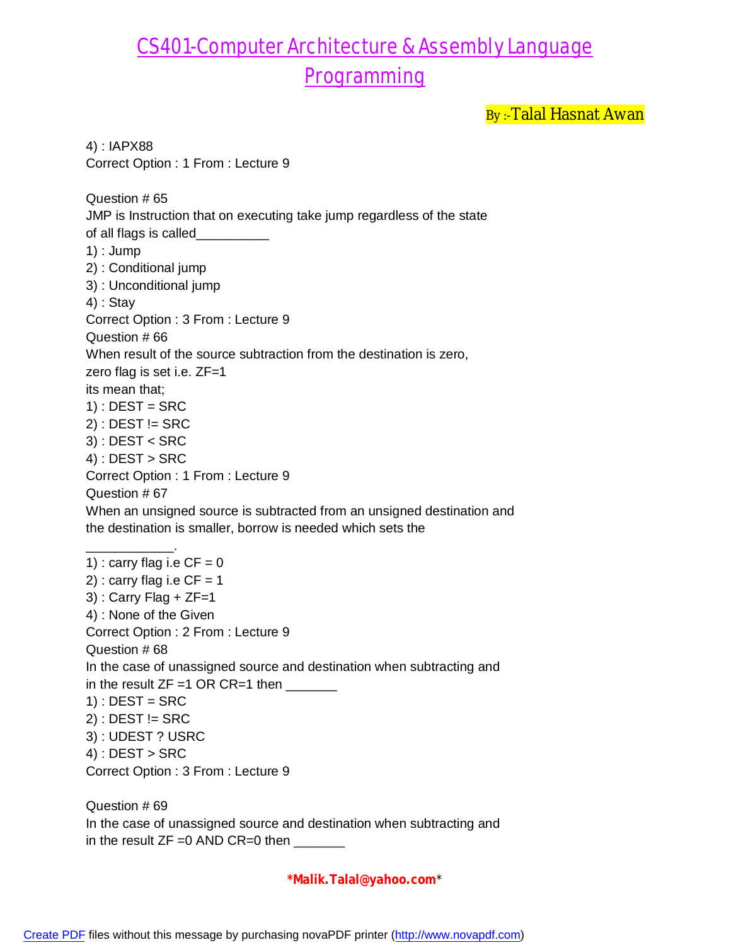By :- Talal Hasnat Awan

4) : IAPX88 Correct Option : 1 From : Lecture 9 Question # 65 JMP is Instruction that on executing take jump regardless of the state of all flags is called\_\_\_\_\_\_\_\_ 1) : Jump 2) : Conditional jump 3) : Unconditional jump 4) : Stay Correct Option : 3 From : Lecture 9 Question # 66 When result of the source subtraction from the destination is zero, zero flag is set i.e. ZF=1 its mean that;  $1)$  : DEST = SRC  $2)$ : DEST != SRC 3) : DEST < SRC  $4)$ : DEST > SRC Correct Option : 1 From : Lecture 9 Question # 67 When an unsigned source is subtracted from an unsigned destination and the destination is smaller, borrow is needed which sets the \_\_\_\_\_\_\_\_\_\_\_\_. 1) : carry flag i.e  $CF = 0$ 2) : carry flag i.e  $CF = 1$  $3)$ : Carry Flag + ZF=1 4) : None of the Given Correct Option : 2 From : Lecture 9 Question # 68 In the case of unassigned source and destination when subtracting and in the result  $ZF =1$  OR CR=1 then  $\frac{1}{\sqrt{1-\frac{1}{n}}}\frac{1}{\sqrt{1-\frac{1}{n}}}\frac{1}{\sqrt{1-\frac{1}{n}}}\frac{1}{\sqrt{1-\frac{1}{n}}}\frac{1}{\sqrt{1-\frac{1}{n}}}\frac{1}{\sqrt{1-\frac{1}{n}}}\frac{1}{\sqrt{1-\frac{1}{n}}}\frac{1}{\sqrt{1-\frac{1}{n}}}\frac{1}{\sqrt{1-\frac{1}{n}}}\frac{1}{\sqrt{1-\frac{1}{n}}}\frac{1}{\sqrt{1-\frac{1}{n}}}\frac{1}{\sqrt{1-\frac$  $1)$ : DEST = SRC  $2)$ : DEST != SRC 3) : UDEST ? USRC  $4)$ : DEST > SRC Correct Option : 3 From : Lecture 9 Question # 69

In the case of unassigned source and destination when subtracting and in the result  $ZF =0$  AND  $CR=0$  then  $\sqrt{2\pi}$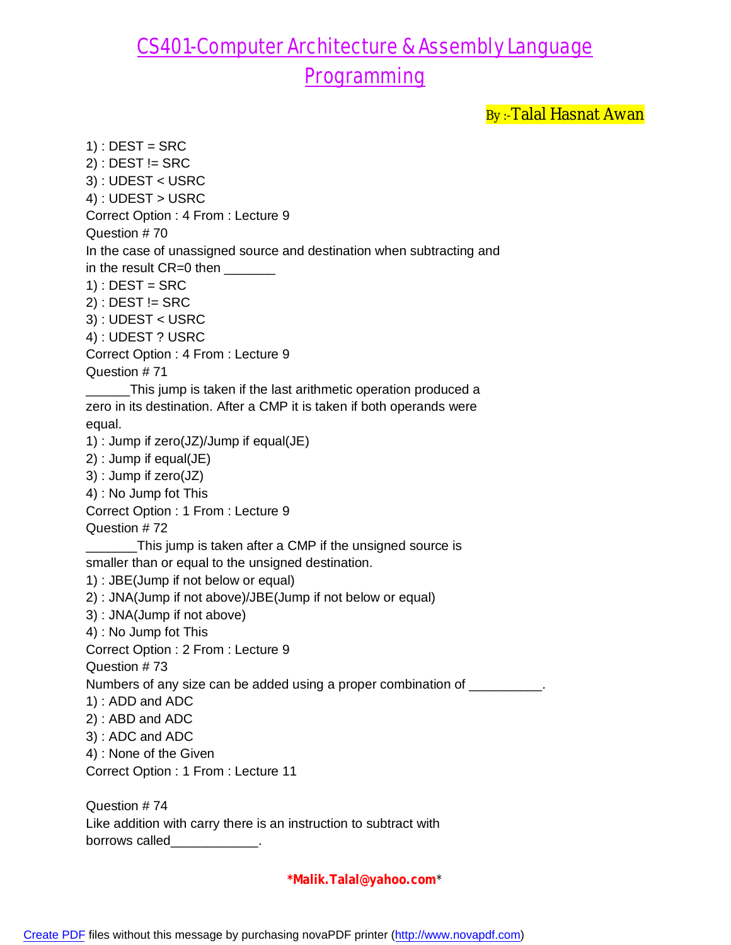By :- Talal Hasnat Awan

 $1)$ : DEST = SRC  $2)$ : DEST != SRC 3) : UDEST < USRC 4) : UDEST > USRC Correct Option : 4 From : Lecture 9 Question # 70 In the case of unassigned source and destination when subtracting and in the result CR=0 then \_\_\_\_\_\_\_\_  $1)$ : DEST = SRC  $2)$ : DEST != SRC 3) : UDEST < USRC 4) : UDEST ? USRC Correct Option : 4 From : Lecture 9 Question # 71 \_\_\_\_\_\_This jump is taken if the last arithmetic operation produced a zero in its destination. After a CMP it is taken if both operands were equal. 1) : Jump if zero(JZ)/Jump if equal(JE) 2) : Jump if equal(JE) 3) : Jump if zero(JZ) 4) : No Jump fot This Correct Option : 1 From : Lecture 9 Question # 72 \_\_\_\_\_\_\_This jump is taken after a CMP if the unsigned source is smaller than or equal to the unsigned destination. 1) : JBE(Jump if not below or equal) 2) : JNA(Jump if not above)/JBE(Jump if not below or equal) 3) : JNA(Jump if not above) 4) : No Jump fot This Correct Option : 2 From : Lecture 9 Question # 73 Numbers of any size can be added using a proper combination of \_\_\_\_\_\_\_\_\_. 1) : ADD and ADC 2) : ABD and ADC 3) : ADC and ADC 4) : None of the Given Correct Option : 1 From : Lecture 11 Question # 74 Like addition with carry there is an instruction to subtract with

borrows called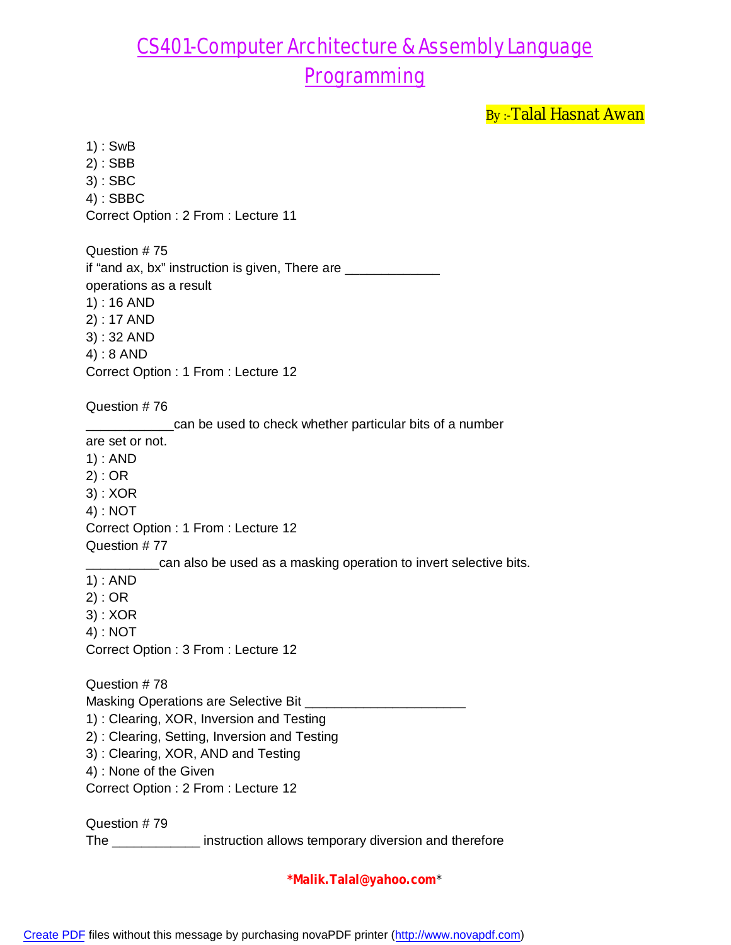By :- Talal Hasnat Awan

1) : SwB 2) : SBB 3) : SBC 4) : SBBC Correct Option : 2 From : Lecture 11 Question # 75 if "and ax, bx" instruction is given, There are \_\_\_\_\_\_\_\_\_\_\_\_\_ operations as a result 1) : 16 AND 2) : 17 AND 3) : 32 AND 4) : 8 AND Correct Option : 1 From : Lecture 12 Question # 76 \_\_\_\_\_\_\_\_\_\_\_\_can be used to check whether particular bits of a number are set or not. 1) : AND 2) : OR 3) : XOR 4) : NOT Correct Option : 1 From : Lecture 12 Question # 77 \_\_\_\_\_\_\_\_\_\_can also be used as a masking operation to invert selective bits. 1) : AND 2) : OR 3) : XOR 4) : NOT Correct Option : 3 From : Lecture 12 Question # 78 Masking Operations are Selective Bit \_\_\_\_\_\_ 1) : Clearing, XOR, Inversion and Testing 2) : Clearing, Setting, Inversion and Testing 3) : Clearing, XOR, AND and Testing 4) : None of the Given Correct Option : 2 From : Lecture 12 Question # 79 The \_\_\_\_\_\_\_\_\_\_\_\_ instruction allows temporary diversion and therefore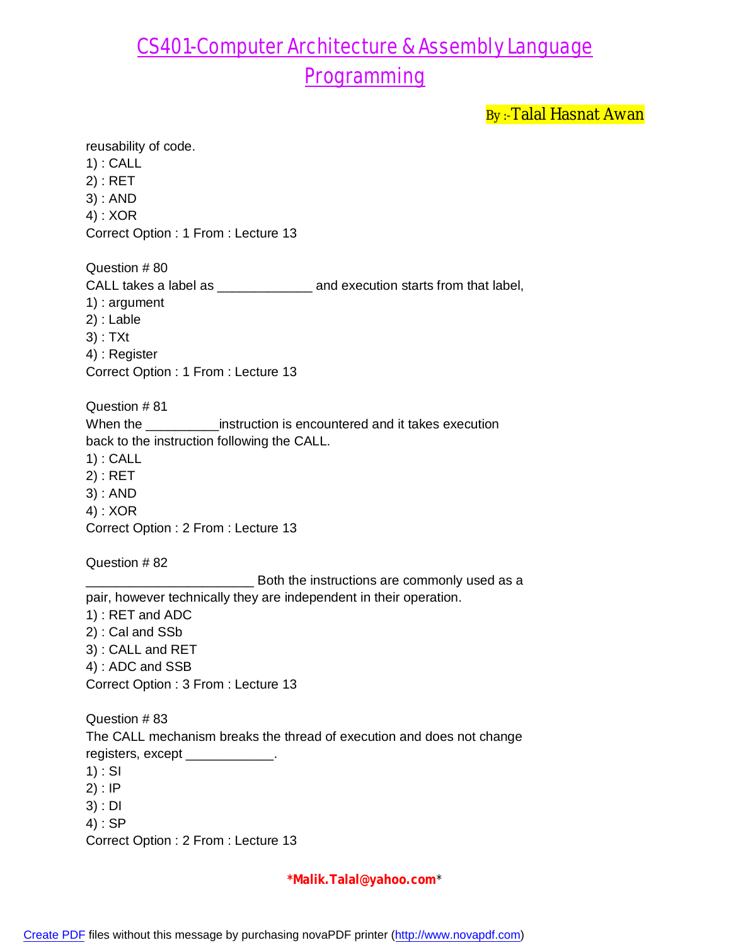By :- Talal Hasnat Awan

reusability of code. 1) : CALL 2) : RET 3) : AND 4) : XOR Correct Option : 1 From : Lecture 13 Question # 80 CALL takes a label as \_\_\_\_\_\_\_\_\_\_\_\_\_ and execution starts from that label, 1) : argument 2) : Lable 3) : TXt 4) : Register Correct Option : 1 From : Lecture 13 Question # 81 When the \_\_\_\_\_\_\_\_\_\_\_\_instruction is encountered and it takes execution back to the instruction following the CALL. 1) : CALL 2) : RET 3) : AND 4) : XOR Correct Option : 2 From : Lecture 13 Question # 82 \_\_\_\_\_\_\_\_\_\_\_\_\_\_\_\_\_\_\_\_\_\_\_ Both the instructions are commonly used as a pair, however technically they are independent in their operation. 1) : RET and ADC 2) : Cal and SSb 3) : CALL and RET 4) : ADC and SSB Correct Option : 3 From : Lecture 13 Question # 83 The CALL mechanism breaks the thread of execution and does not change registers, except \_\_\_\_\_\_\_\_\_\_\_\_.  $1)$ : SI 2) : IP 3) : DI 4) : SP Correct Option : 2 From : Lecture 13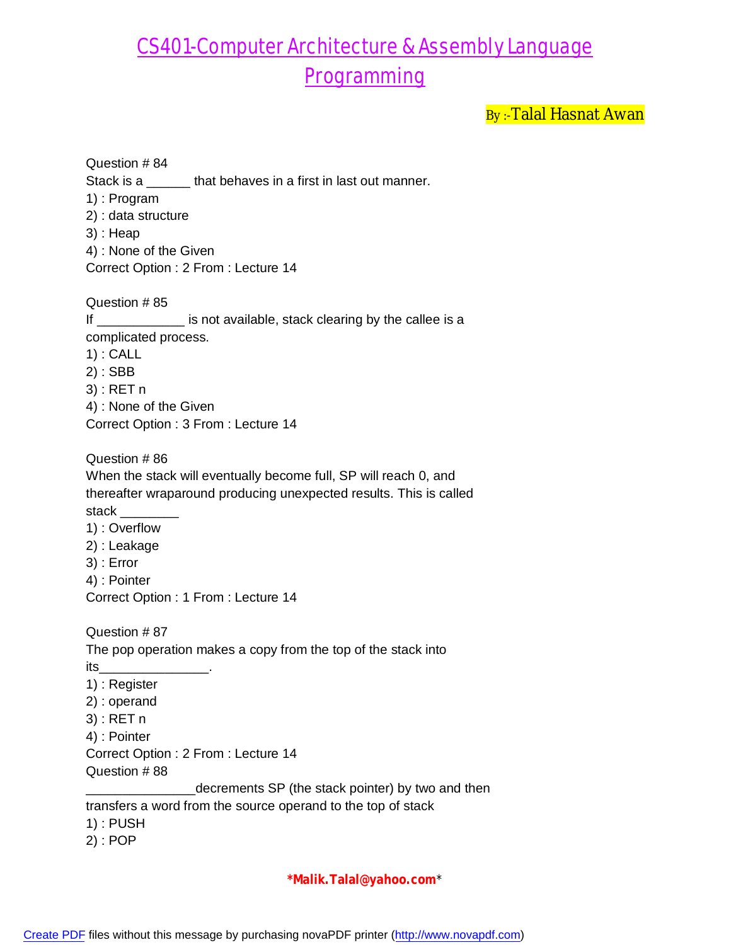By :- Talal Hasnat Awan

Question # 84 Stack is a \_\_\_\_\_\_\_ that behaves in a first in last out manner. 1) : Program 2) : data structure 3) : Heap 4) : None of the Given Correct Option : 2 From : Lecture 14 Question # 85 If \_\_\_\_\_\_\_\_\_\_\_\_\_\_ is not available, stack clearing by the callee is a complicated process. 1) : CALL 2) : SBB 3) : RET n 4) : None of the Given Correct Option : 3 From : Lecture 14 Question # 86 When the stack will eventually become full, SP will reach 0, and thereafter wraparound producing unexpected results. This is called stack 1) : Overflow 2) : Leakage 3) : Error 4) : Pointer Correct Option : 1 From : Lecture 14 Question # 87 The pop operation makes a copy from the top of the stack into its\_\_\_\_\_\_\_\_\_\_\_\_\_\_\_. 1) : Register 2) : operand 3) : RET n 4) : Pointer Correct Option : 2 From : Lecture 14 Question # 88 \_decrements SP (the stack pointer) by two and then transfers a word from the source operand to the top of stack 1) : PUSH 2) : POP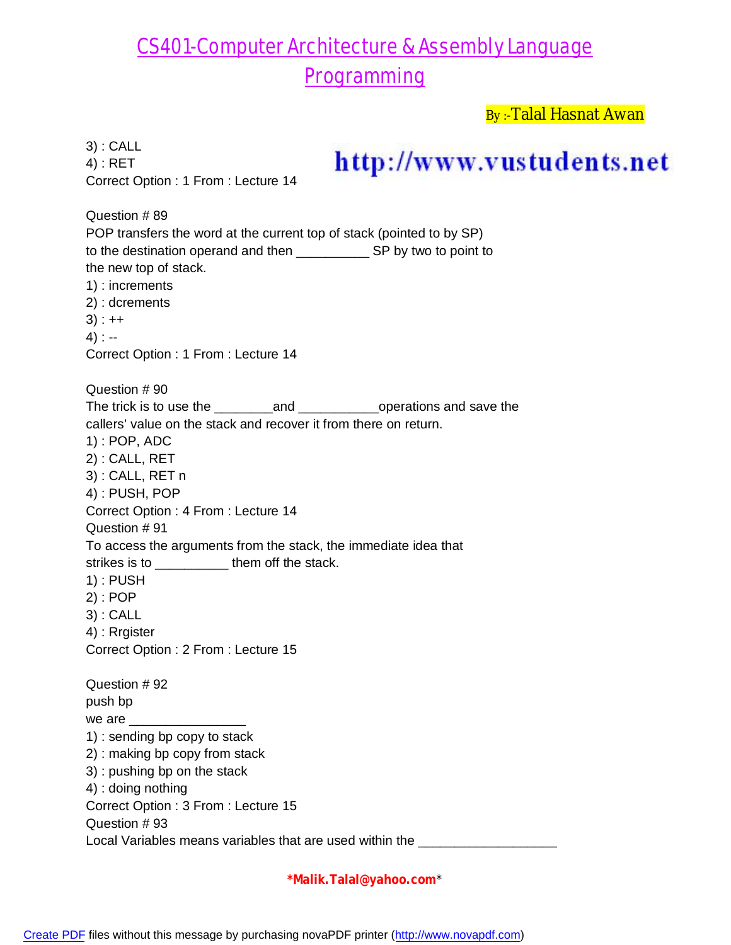By :-Talal Hasnat Awan

| $3)$ : CALL<br>$4$ : RET<br>Correct Option: 1 From: Lecture 14                                                                                                                                                                                                                                                              | http://www.vustudents.net |
|-----------------------------------------------------------------------------------------------------------------------------------------------------------------------------------------------------------------------------------------------------------------------------------------------------------------------------|---------------------------|
| Question #89<br>POP transfers the word at the current top of stack (pointed to by SP)<br>the new top of stack.<br>1) : increments<br>2) : dcrements<br>$3) : ++$<br>$4)$ : --<br>Correct Option: 1 From: Lecture 14                                                                                                         |                           |
| Question #90<br>callers' value on the stack and recover it from there on return.<br>$1)$ : POP, ADC                                                                                                                                                                                                                         |                           |
| 2): CALL, RET<br>3): CALL, RET n<br>4): PUSH, POP<br>Correct Option: 4 From: Lecture 14                                                                                                                                                                                                                                     |                           |
| Question #91<br>To access the arguments from the stack, the immediate idea that<br>strikes is to __________ them off the stack.                                                                                                                                                                                             |                           |
| $1)$ : PUSH<br>2) : POP<br>3) : CALL<br>4) : Rrgister                                                                                                                                                                                                                                                                       |                           |
| Correct Option : 2 From : Lecture 15<br>Question #92<br>push bp<br>1) : sending bp copy to stack<br>2) : making bp copy from stack<br>3) : pushing bp on the stack<br>4) : doing nothing<br>Correct Option : 3 From : Lecture 15<br>Question #93<br>Local Variables means variables that are used within the ______________ |                           |
|                                                                                                                                                                                                                                                                                                                             |                           |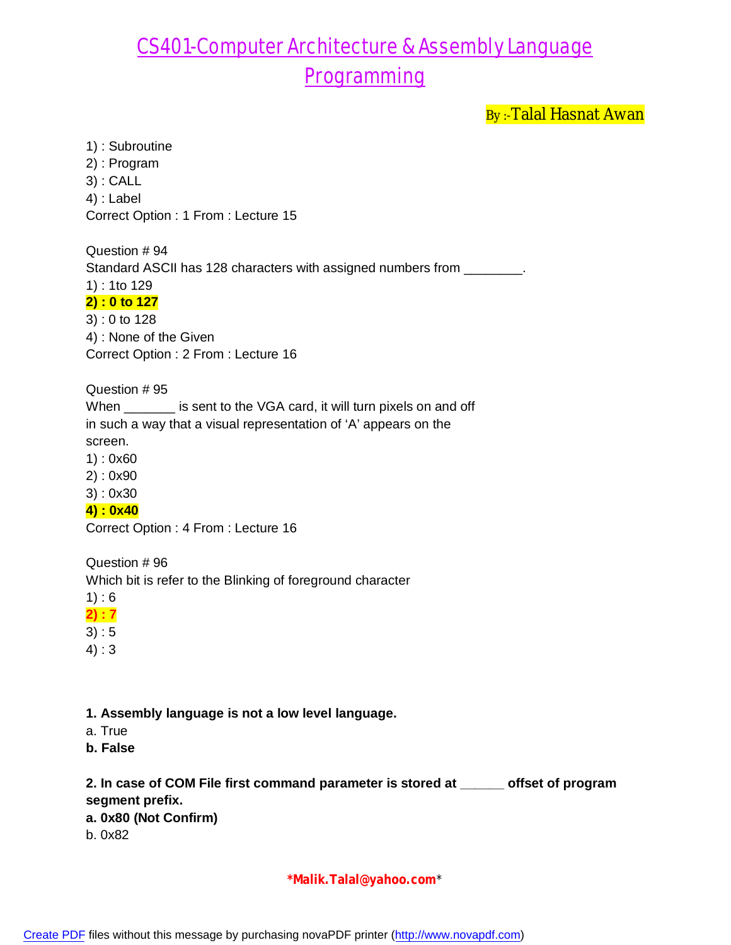By :- Talal Hasnat Awan

1) : Subroutine 2) : Program 3) : CALL 4) : Label Correct Option : 1 From : Lecture 15

Question # 94 Standard ASCII has 128 characters with assigned numbers from \_\_\_\_\_\_\_. 1) : 1to 129

### **2) : 0 to 127**

3) : 0 to 128 4) : None of the Given Correct Option : 2 From : Lecture 16

Question # 95

When \_\_\_\_\_\_\_ is sent to the VGA card, it will turn pixels on and off in such a way that a visual representation of 'A' appears on the screen.

1) : 0x60

2) : 0x90

3) : 0x30

**4) : 0x40**

Correct Option : 4 From : Lecture 16

Question # 96

Which bit is refer to the Blinking of foreground character

 $1) : 6$ 

**2) : 7**

 $3) : 5$ 

4) : 3

**1. Assembly language is not a low level language.**

a. True

**b. False**

**2. In case of COM File first command parameter is stored at \_\_\_\_\_\_ offset of program segment prefix. a. 0x80 (Not Confirm)**

b. 0x82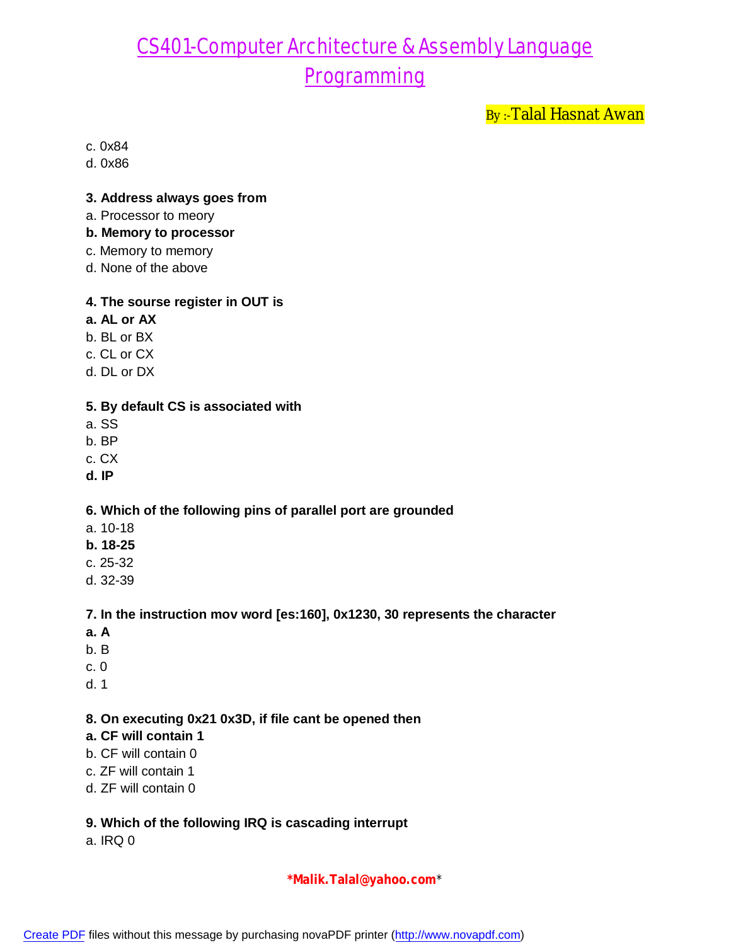By:-Talal Hasnat Awan

c. 0x84

d. 0x86

#### **3. Address always goes from**

- a. Processor to meory
- **b. Memory to processor**
- c. Memory to memory
- d. None of the above

#### **4. The sourse register in OUT is**

- **a. AL or AX**
- b. BL or BX
- c. CL or CX
- d. DL or DX

#### **5. By default CS is associated with**

- a. SS
- b. BP
- c. CX
- **d. IP**

#### **6. Which of the following pins of parallel port are grounded**

- a. 10-18
- **b. 18-25**
- c. 25-32
- d. 32-39

#### **7. In the instruction mov word [es:160], 0x1230, 30 represents the character**

- **a. A**
- b. B
- c. 0
- d. 1

#### **8. On executing 0x21 0x3D, if file cant be opened then**

- **a. CF will contain 1**
- b. CF will contain 0
- c. ZF will contain 1
- d. ZF will contain 0

#### **9. Which of the following IRQ is cascading interrupt**

a. IRQ 0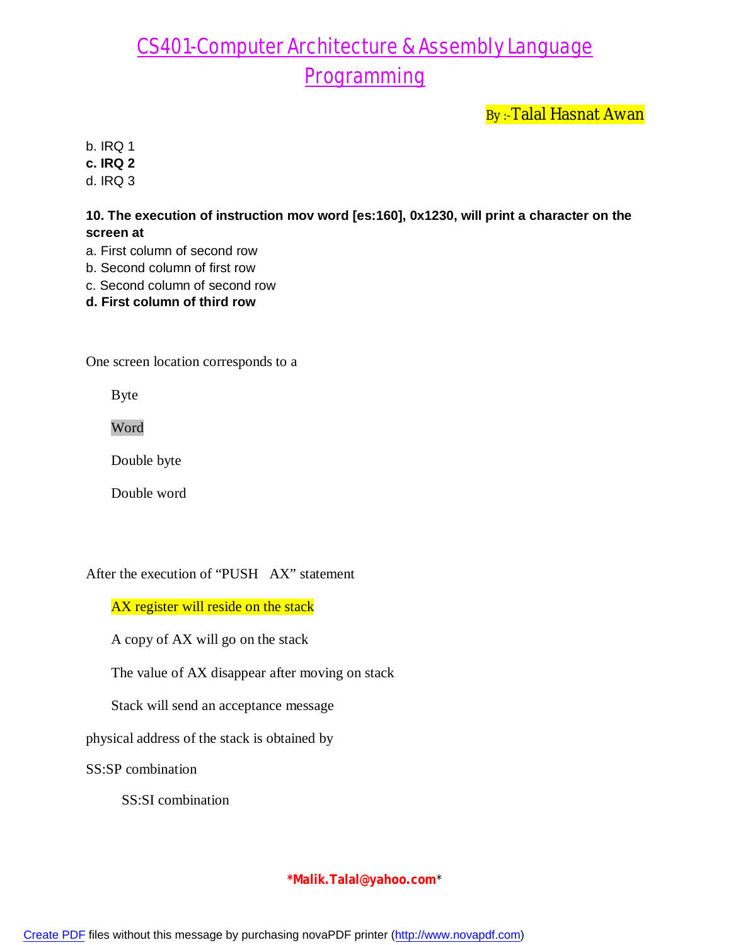By:-Talal Hasnat Awan

b. IRQ 1

**c. IRQ 2**

d. IRQ 3

**10. The execution of instruction mov word [es:160], 0x1230, will print a character on the screen at**

- a. First column of second row
- b. Second column of first row
- c. Second column of second row
- **d. First column of third row**

One screen location corresponds to a

Byte

Word

Double byte

Double word

After the execution of "PUSH AX" statement

AX register will reside on the stack

A copy of AX will go on the stack

The value of AX disappear after moving on stack

Stack will send an acceptance message

physical address of the stack is obtained by

SS:SP combination

SS:SI combination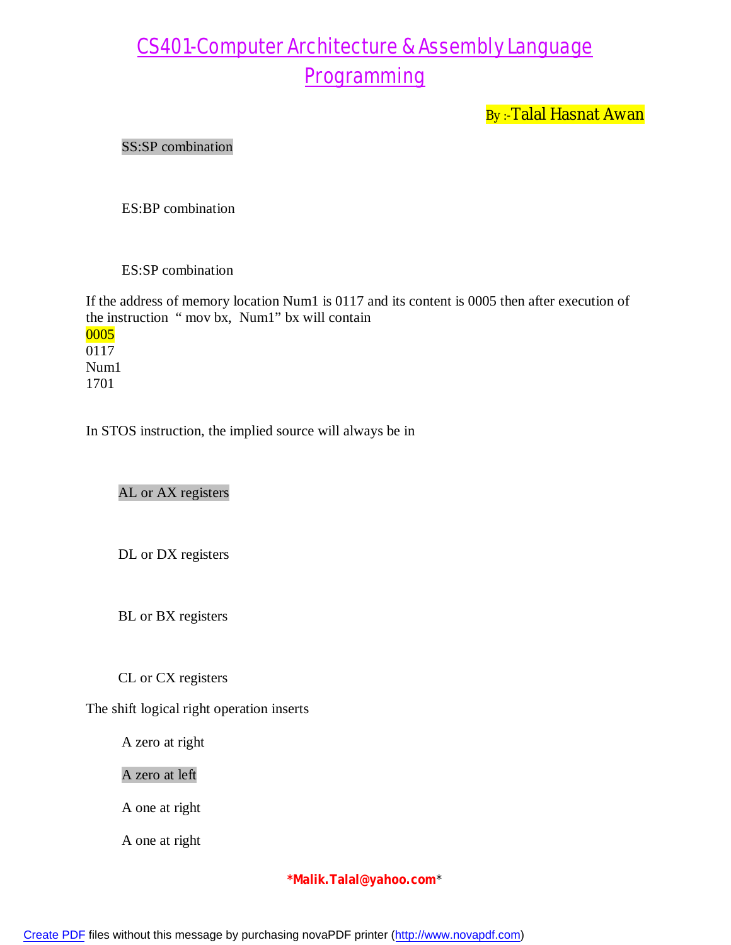By:-Talal Hasnat Awan

#### SS:SP combination

ES:BP combination

ES:SP combination

If the address of memory location Num1 is 0117 and its content is 0005 then after execution of the instruction " mov bx, Num1" bx will contain 0005 0117 Num1 1701

In STOS instruction, the implied source will always be in

AL or AX registers

DL or DX registers

BL or BX registers

CL or CX registers

The shift logical right operation inserts

A zero at right

A zero at left

A one at right

A one at right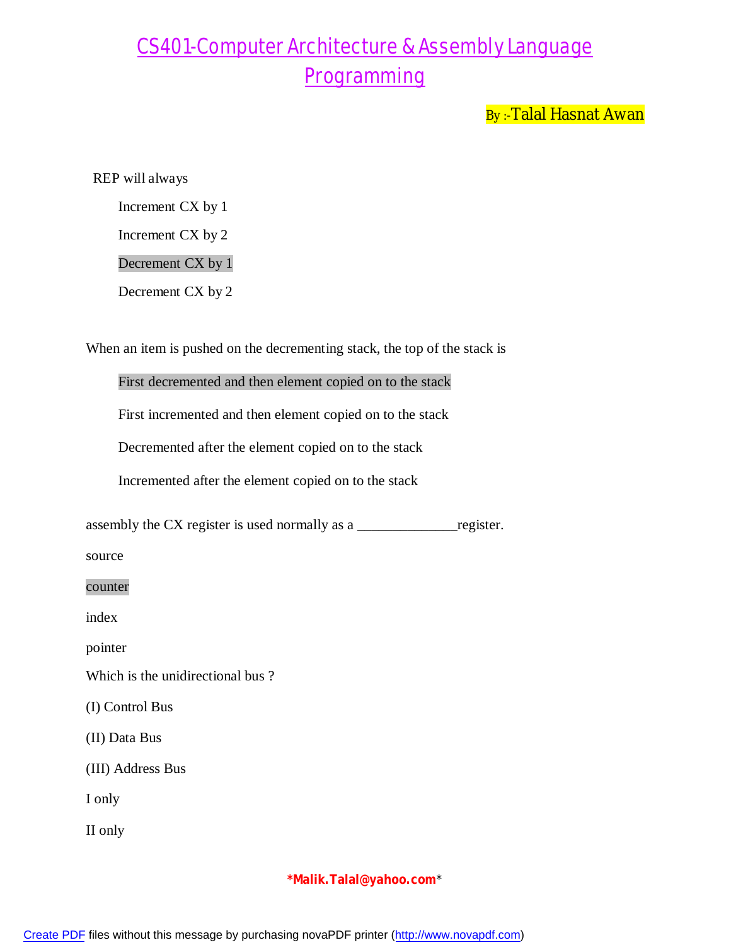By:-Talal Hasnat Awan

REP will always

Increment CX by 1

Increment CX by 2

Decrement CX by 1

Decrement CX by 2

When an item is pushed on the decrementing stack, the top of the stack is

First decremented and then element copied on to the stack

First incremented and then element copied on to the stack

Decremented after the element copied on to the stack

Incremented after the element copied on to the stack

assembly the CX register is used normally as a \_\_\_\_\_\_\_\_\_\_\_\_\_\_register.

source

counter

index

pointer

Which is the unidirectional bus ?

(I) Control Bus

(II) Data Bus

(III) Address Bus

I only

II only